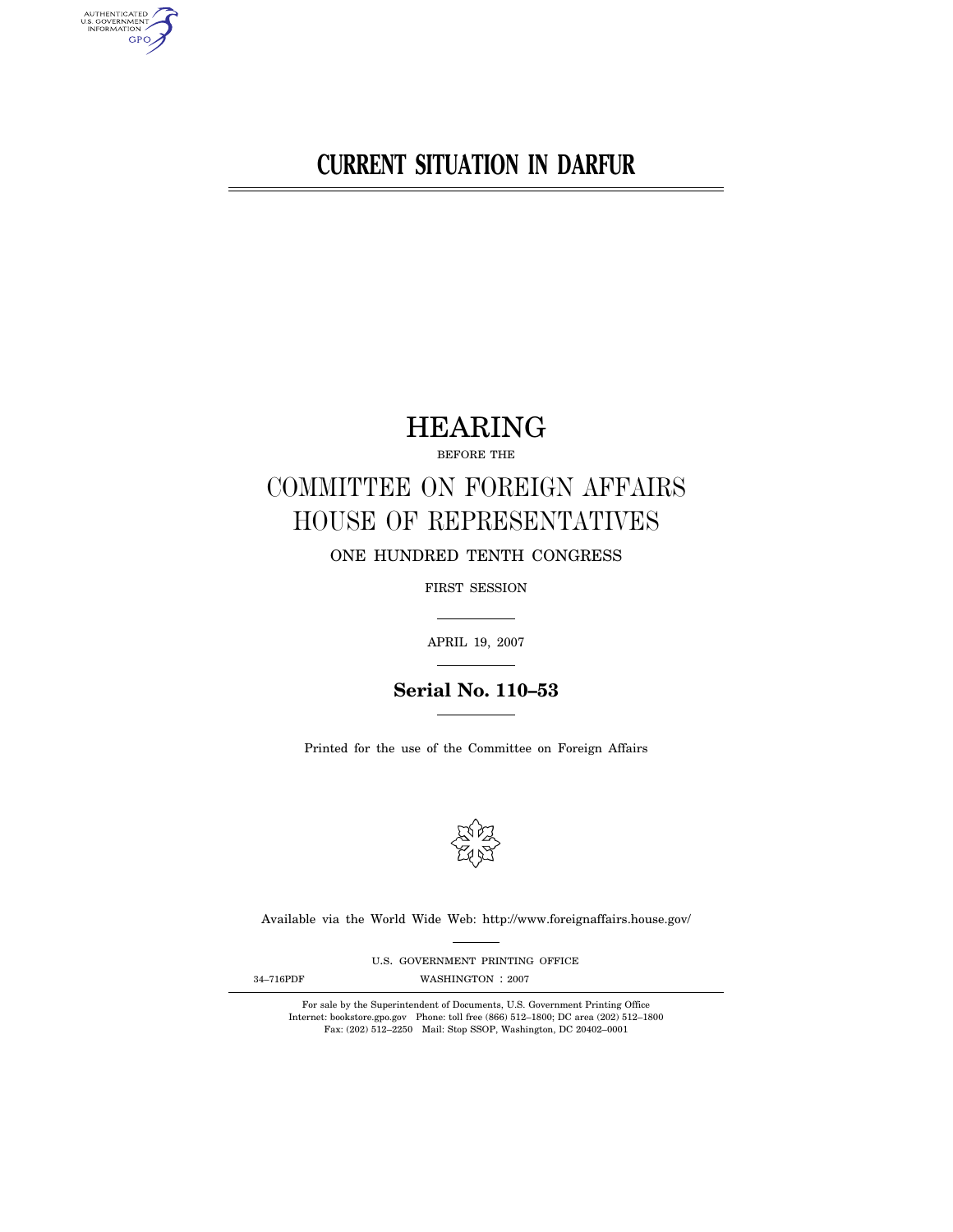# **CURRENT SITUATION IN DARFUR**

# HEARING

BEFORE THE

# COMMITTEE ON FOREIGN AFFAIRS HOUSE OF REPRESENTATIVES

ONE HUNDRED TENTH CONGRESS

FIRST SESSION

APRIL 19, 2007

**Serial No. 110–53**

Printed for the use of the Committee on Foreign Affairs



Available via the World Wide Web: http://www.foreignaffairs.house.gov/

U.S. GOVERNMENT PRINTING OFFICE

AUTHENTICATED<br>U.S. GOVERNMENT<br>INFORMATION **GPO** 

34-716PDF WASHINGTON : 2007

For sale by the Superintendent of Documents, U.S. Government Printing Office Internet: bookstore.gpo.gov Phone: toll free (866) 512–1800; DC area (202) 512–1800 Fax: (202) 512–2250 Mail: Stop SSOP, Washington, DC 20402–0001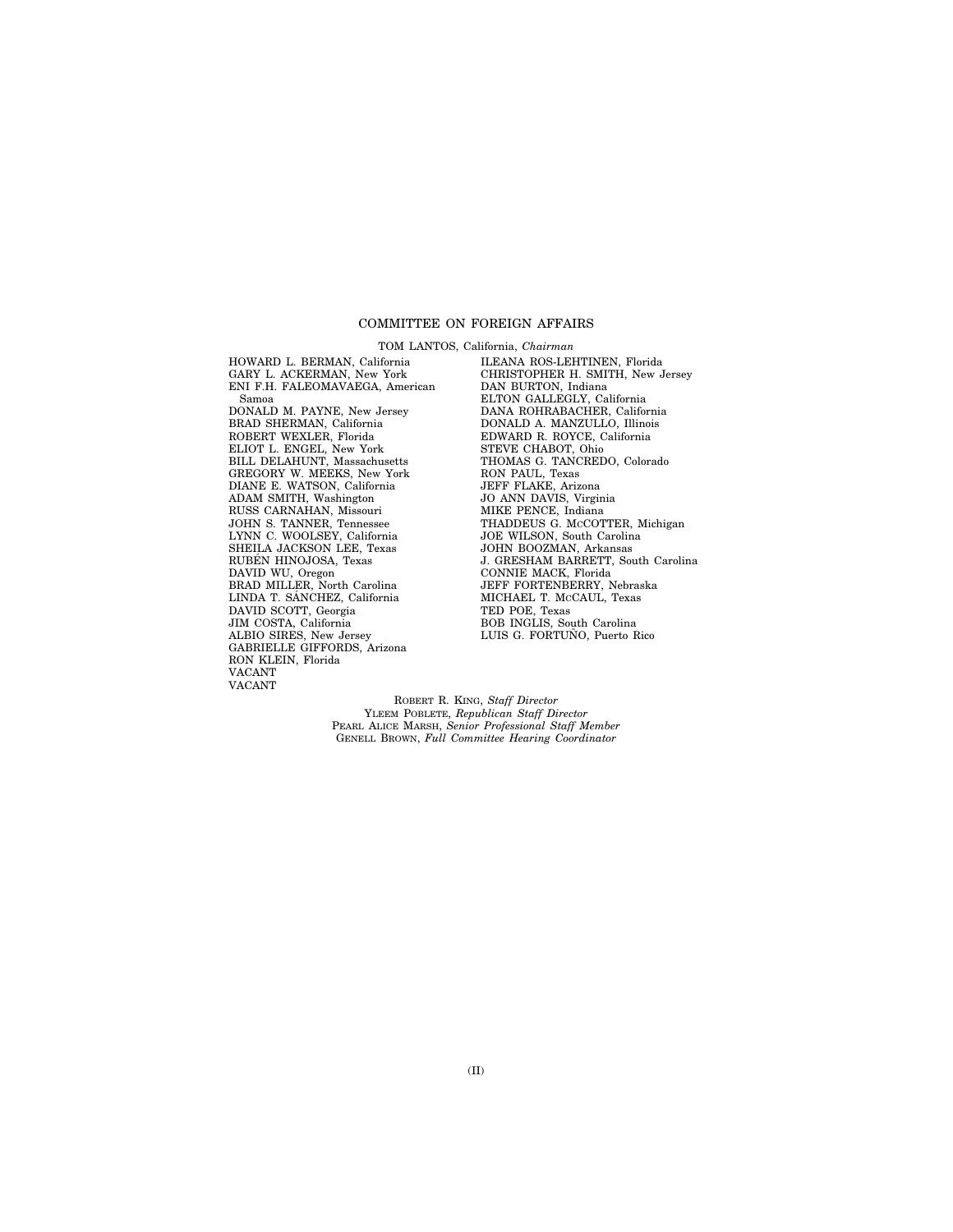## COMMITTEE ON FOREIGN AFFAIRS

TOM LANTOS, California, *Chairman* 

HOWARD L. BERMAN, California GARY L. ACKERMAN, New York ENI F.H. FALEOMAVAEGA, American Samoa DONALD M. PAYNE, New Jersey BRAD SHERMAN, California ROBERT WEXLER, Florida ELIOT L. ENGEL, New York BILL DELAHUNT, Massachusetts GREGORY W. MEEKS, New York DIANE E. WATSON, California ADAM SMITH, Washington RUSS CARNAHAN, Missouri JOHN S. TANNER, Tennessee LYNN C. WOOLSEY, California SHEILA JACKSON LEE, Texas RUBEN HINOJOSA, Texas DAVID WU, Oregon BRAD MILLER, North Carolina<br>LINDA T. SANCHEZ, California DAVID SCOTT, Georgia JIM COSTA, California ALBIO SIRES, New Jersey GABRIELLE GIFFORDS, Arizona RON KLEIN, Florida VACANT VACANT

ILEANA ROS-LEHTINEN, Florida CHRISTOPHER H. SMITH, New Jersey DAN BURTON, Indiana ELTON GALLEGLY, California DANA ROHRABACHER, California DONALD A. MANZULLO, Illinois EDWARD R. ROYCE, California STEVE CHABOT, Ohio THOMAS G. TANCREDO, Colorado RON PAUL, Texas JEFF FLAKE, Arizona JO ANN DAVIS, Virginia MIKE PENCE, Indiana THADDEUS G. MCCOTTER, Michigan JOE WILSON, South Carolina JOHN BOOZMAN, Arkansas J. GRESHAM BARRETT, South Carolina CONNIE MACK, Florida JEFF FORTENBERRY, Nebraska MICHAEL T. MCCAUL, Texas TED POE, Texas BOB INGLIS, South Carolina LUIS G. FORTUÑO, Puerto Rico

ROBERT R. KING, *Staff Director*  YLEEM POBLETE, *Republican Staff Director*  PEARL ALICE MARSH, *Senior Professional Staff Member*  GENELL BROWN, *Full Committee Hearing Coordinator*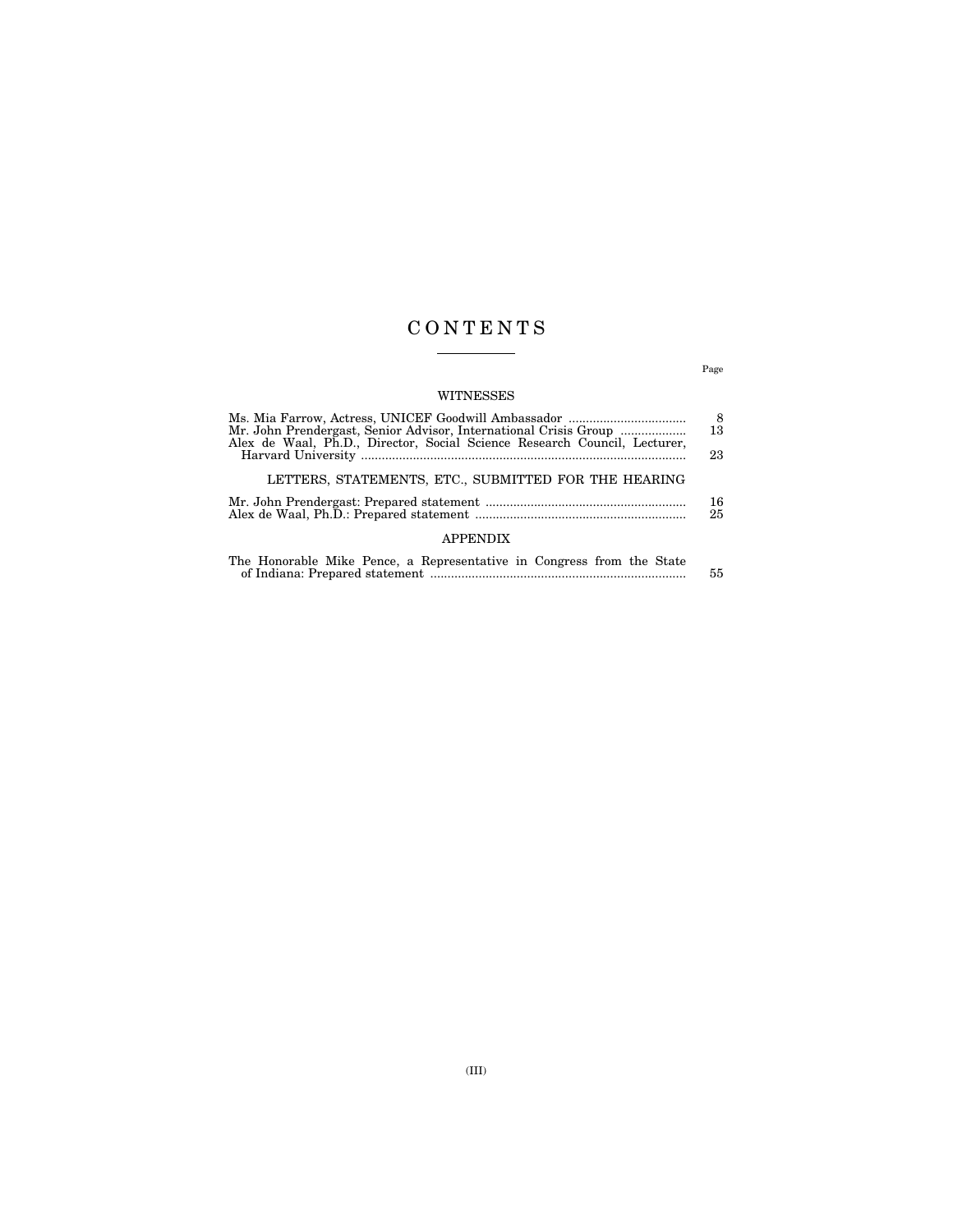# C O N T E N T S

# WITNESSES

|                                                                           | - 8<br>13 |  |  |  |  |  |  |  |
|---------------------------------------------------------------------------|-----------|--|--|--|--|--|--|--|
|                                                                           |           |  |  |  |  |  |  |  |
| Alex de Waal, Ph.D., Director, Social Science Research Council, Lecturer, |           |  |  |  |  |  |  |  |
|                                                                           | 23        |  |  |  |  |  |  |  |
|                                                                           |           |  |  |  |  |  |  |  |
| LETTERS. STATEMENTS. ETC., SUBMITTED FOR THE HEARING                      |           |  |  |  |  |  |  |  |
|                                                                           | 16        |  |  |  |  |  |  |  |
|                                                                           |           |  |  |  |  |  |  |  |
|                                                                           | 25        |  |  |  |  |  |  |  |
|                                                                           |           |  |  |  |  |  |  |  |
| <b>APPENDIX</b>                                                           |           |  |  |  |  |  |  |  |
|                                                                           |           |  |  |  |  |  |  |  |

|  |  |  |  |  | The Honorable Mike Pence, a Representative in Congress from the State |  |  |  |  |    |  |
|--|--|--|--|--|-----------------------------------------------------------------------|--|--|--|--|----|--|
|  |  |  |  |  |                                                                       |  |  |  |  | 55 |  |

Page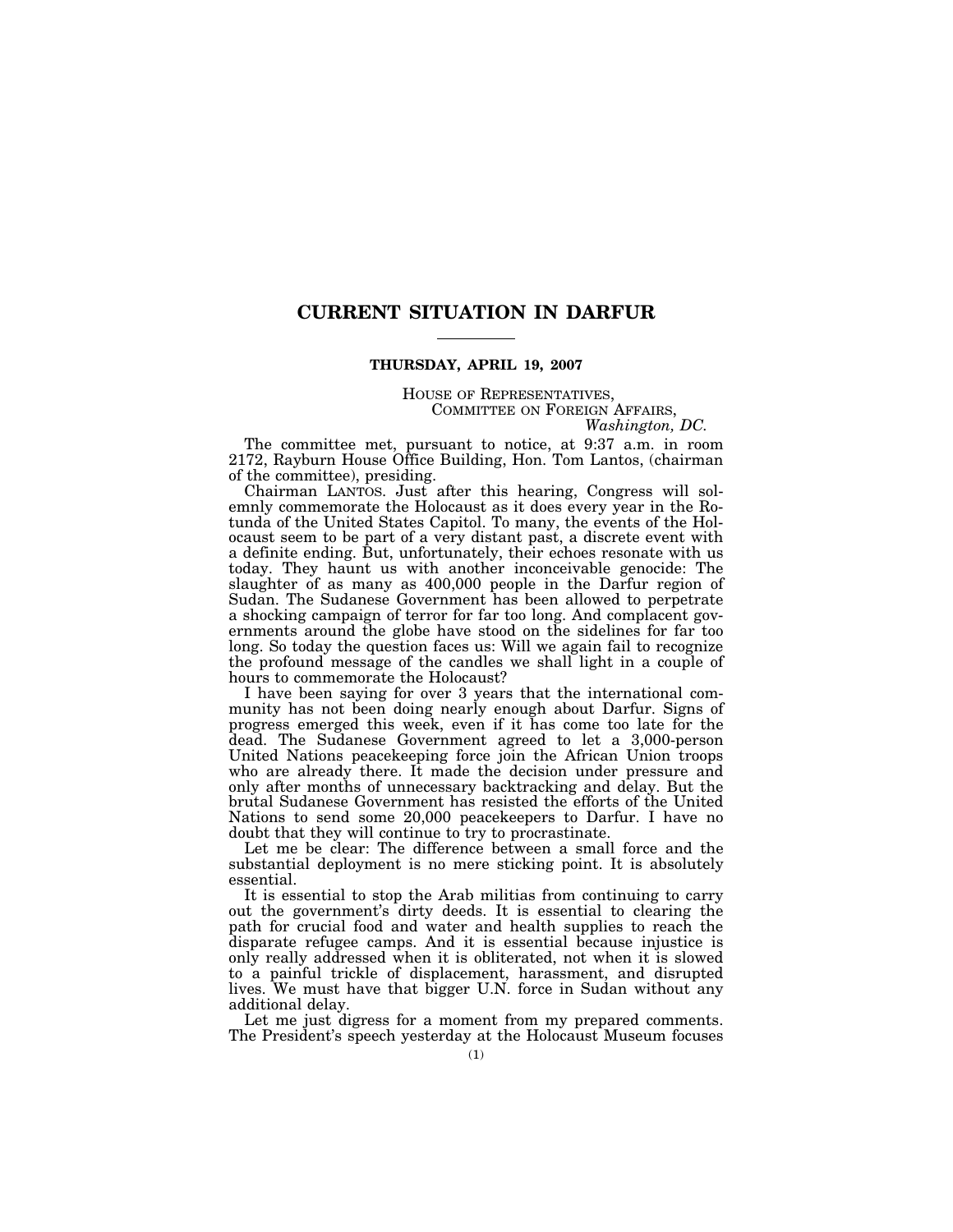# **CURRENT SITUATION IN DARFUR**

#### **THURSDAY, APRIL 19, 2007**

### HOUSE OF REPRESENTATIVES, COMMITTEE ON FOREIGN AFFAIRS, *Washington, DC.*

The committee met, pursuant to notice, at 9:37 a.m. in room 2172, Rayburn House Office Building, Hon. Tom Lantos, (chairman of the committee), presiding.

Chairman LANTOS. Just after this hearing, Congress will solemnly commemorate the Holocaust as it does every year in the Rotunda of the United States Capitol. To many, the events of the Holocaust seem to be part of a very distant past, a discrete event with a definite ending. But, unfortunately, their echoes resonate with us today. They haunt us with another inconceivable genocide: The slaughter of as many as 400,000 people in the Darfur region of Sudan. The Sudanese Government has been allowed to perpetrate a shocking campaign of terror for far too long. And complacent governments around the globe have stood on the sidelines for far too long. So today the question faces us: Will we again fail to recognize the profound message of the candles we shall light in a couple of hours to commemorate the Holocaust?

I have been saying for over 3 years that the international community has not been doing nearly enough about Darfur. Signs of progress emerged this week, even if it has come too late for the dead. The Sudanese Government agreed to let a 3,000-person United Nations peacekeeping force join the African Union troops who are already there. It made the decision under pressure and only after months of unnecessary backtracking and delay. But the brutal Sudanese Government has resisted the efforts of the United Nations to send some 20,000 peacekeepers to Darfur. I have no doubt that they will continue to try to procrastinate.

Let me be clear: The difference between a small force and the substantial deployment is no mere sticking point. It is absolutely essential.

It is essential to stop the Arab militias from continuing to carry out the government's dirty deeds. It is essential to clearing the path for crucial food and water and health supplies to reach the disparate refugee camps. And it is essential because injustice is only really addressed when it is obliterated, not when it is slowed to a painful trickle of displacement, harassment, and disrupted lives. We must have that bigger U.N. force in Sudan without any additional delay.

Let me just digress for a moment from my prepared comments. The President's speech yesterday at the Holocaust Museum focuses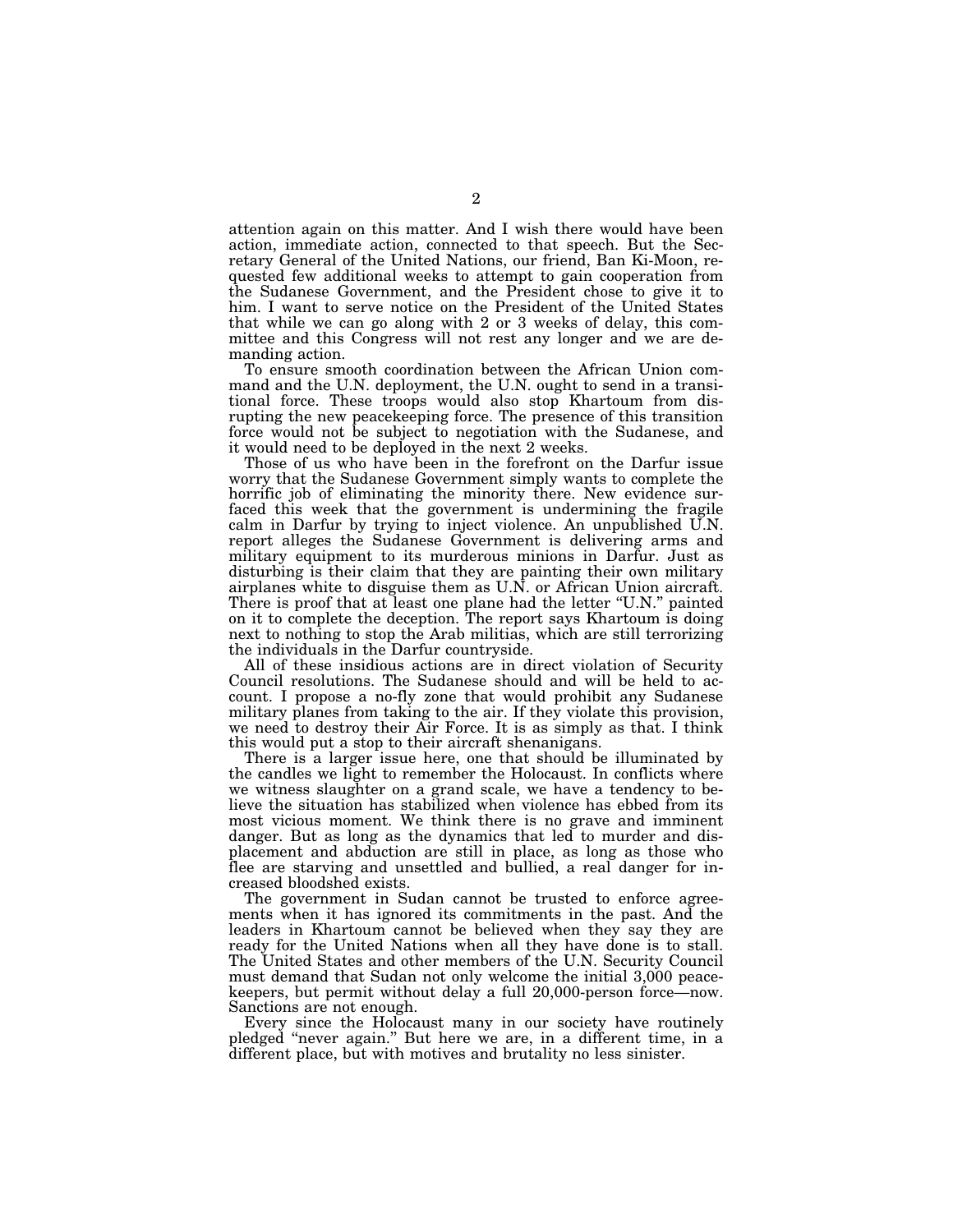attention again on this matter. And I wish there would have been action, immediate action, connected to that speech. But the Secretary General of the United Nations, our friend, Ban Ki-Moon, requested few additional weeks to attempt to gain cooperation from the Sudanese Government, and the President chose to give it to him. I want to serve notice on the President of the United States that while we can go along with 2 or 3 weeks of delay, this committee and this Congress will not rest any longer and we are demanding action.

To ensure smooth coordination between the African Union command and the U.N. deployment, the U.N. ought to send in a transitional force. These troops would also stop Khartoum from disrupting the new peacekeeping force. The presence of this transition force would not be subject to negotiation with the Sudanese, and it would need to be deployed in the next 2 weeks.

Those of us who have been in the forefront on the Darfur issue worry that the Sudanese Government simply wants to complete the horrific job of eliminating the minority there. New evidence surfaced this week that the government is undermining the fragile calm in Darfur by trying to inject violence. An unpublished U.N. report alleges the Sudanese Government is delivering arms and military equipment to its murderous minions in Darfur. Just as disturbing is their claim that they are painting their own military airplanes white to disguise them as U.N. or African Union aircraft. There is proof that at least one plane had the letter "U.N." painted on it to complete the deception. The report says Khartoum is doing next to nothing to stop the Arab militias, which are still terrorizing the individuals in the Darfur countryside.

All of these insidious actions are in direct violation of Security Council resolutions. The Sudanese should and will be held to account. I propose a no-fly zone that would prohibit any Sudanese military planes from taking to the air. If they violate this provision, we need to destroy their Air Force. It is as simply as that. I think this would put a stop to their aircraft shenanigans.

There is a larger issue here, one that should be illuminated by the candles we light to remember the Holocaust. In conflicts where we witness slaughter on a grand scale, we have a tendency to believe the situation has stabilized when violence has ebbed from its most vicious moment. We think there is no grave and imminent danger. But as long as the dynamics that led to murder and displacement and abduction are still in place, as long as those who flee are starving and unsettled and bullied, a real danger for increased bloodshed exists.

The government in Sudan cannot be trusted to enforce agreements when it has ignored its commitments in the past. And the leaders in Khartoum cannot be believed when they say they are ready for the United Nations when all they have done is to stall. The United States and other members of the U.N. Security Council must demand that Sudan not only welcome the initial 3,000 peacekeepers, but permit without delay a full 20,000-person force—now. Sanctions are not enough.

Every since the Holocaust many in our society have routinely pledged ''never again.'' But here we are, in a different time, in a different place, but with motives and brutality no less sinister.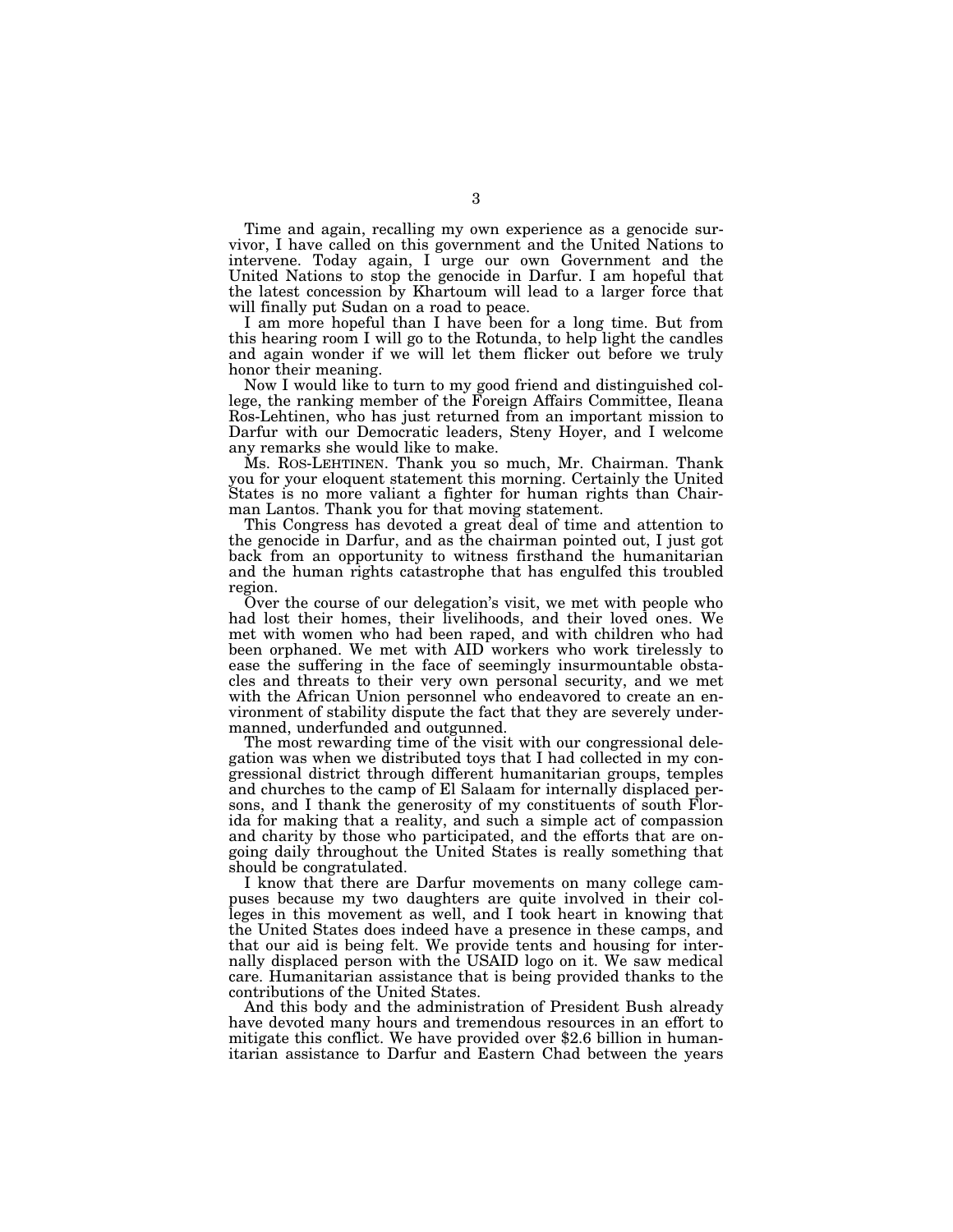Time and again, recalling my own experience as a genocide survivor, I have called on this government and the United Nations to intervene. Today again, I urge our own Government and the United Nations to stop the genocide in Darfur. I am hopeful that the latest concession by Khartoum will lead to a larger force that will finally put Sudan on a road to peace.

I am more hopeful than I have been for a long time. But from this hearing room I will go to the Rotunda, to help light the candles and again wonder if we will let them flicker out before we truly honor their meaning.

Now I would like to turn to my good friend and distinguished college, the ranking member of the Foreign Affairs Committee, Ileana Ros-Lehtinen, who has just returned from an important mission to Darfur with our Democratic leaders, Steny Hoyer, and I welcome any remarks she would like to make.

Ms. ROS-LEHTINEN. Thank you so much, Mr. Chairman. Thank you for your eloquent statement this morning. Certainly the United States is no more valiant a fighter for human rights than Chairman Lantos. Thank you for that moving statement.

This Congress has devoted a great deal of time and attention to the genocide in Darfur, and as the chairman pointed out, I just got back from an opportunity to witness firsthand the humanitarian and the human rights catastrophe that has engulfed this troubled region.

Over the course of our delegation's visit, we met with people who had lost their homes, their livelihoods, and their loved ones. We met with women who had been raped, and with children who had been orphaned. We met with AID workers who work tirelessly to ease the suffering in the face of seemingly insurmountable obstacles and threats to their very own personal security, and we met with the African Union personnel who endeavored to create an environment of stability dispute the fact that they are severely undermanned, underfunded and outgunned.

The most rewarding time of the visit with our congressional delegation was when we distributed toys that I had collected in my congressional district through different humanitarian groups, temples and churches to the camp of El Salaam for internally displaced persons, and I thank the generosity of my constituents of south Florida for making that a reality, and such a simple act of compassion and charity by those who participated, and the efforts that are ongoing daily throughout the United States is really something that should be congratulated.

I know that there are Darfur movements on many college campuses because my two daughters are quite involved in their colleges in this movement as well, and I took heart in knowing that the United States does indeed have a presence in these camps, and that our aid is being felt. We provide tents and housing for internally displaced person with the USAID logo on it. We saw medical care. Humanitarian assistance that is being provided thanks to the contributions of the United States.

And this body and the administration of President Bush already have devoted many hours and tremendous resources in an effort to mitigate this conflict. We have provided over \$2.6 billion in humanitarian assistance to Darfur and Eastern Chad between the years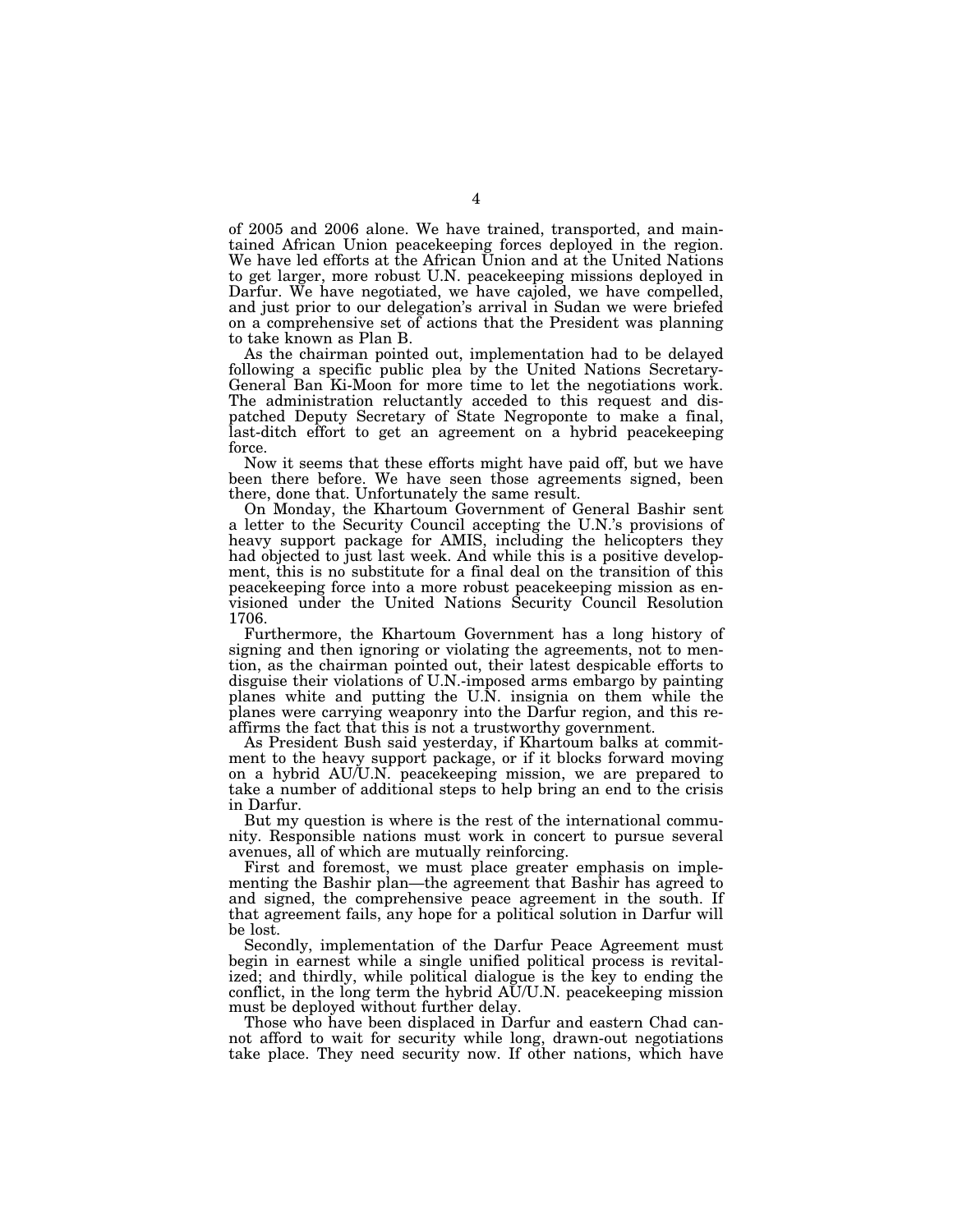of 2005 and 2006 alone. We have trained, transported, and maintained African Union peacekeeping forces deployed in the region. We have led efforts at the African Union and at the United Nations to get larger, more robust U.N. peacekeeping missions deployed in Darfur. We have negotiated, we have cajoled, we have compelled, and just prior to our delegation's arrival in Sudan we were briefed on a comprehensive set of actions that the President was planning to take known as Plan B.

As the chairman pointed out, implementation had to be delayed following a specific public plea by the United Nations Secretary-General Ban Ki-Moon for more time to let the negotiations work. The administration reluctantly acceded to this request and dispatched Deputy Secretary of State Negroponte to make a final, last-ditch effort to get an agreement on a hybrid peacekeeping force.

Now it seems that these efforts might have paid off, but we have been there before. We have seen those agreements signed, been there, done that. Unfortunately the same result.

On Monday, the Khartoum Government of General Bashir sent a letter to the Security Council accepting the U.N.'s provisions of heavy support package for AMIS, including the helicopters they had objected to just last week. And while this is a positive development, this is no substitute for a final deal on the transition of this peacekeeping force into a more robust peacekeeping mission as envisioned under the United Nations Security Council Resolution 1706.

Furthermore, the Khartoum Government has a long history of signing and then ignoring or violating the agreements, not to mention, as the chairman pointed out, their latest despicable efforts to disguise their violations of U.N.-imposed arms embargo by painting planes white and putting the U.N. insignia on them while the planes were carrying weaponry into the Darfur region, and this reaffirms the fact that this is not a trustworthy government.

As President Bush said yesterday, if Khartoum balks at commitment to the heavy support package, or if it blocks forward moving on a hybrid AU/U.N. peacekeeping mission, we are prepared to take a number of additional steps to help bring an end to the crisis in Darfur.

But my question is where is the rest of the international community. Responsible nations must work in concert to pursue several avenues, all of which are mutually reinforcing.

First and foremost, we must place greater emphasis on implementing the Bashir plan—the agreement that Bashir has agreed to and signed, the comprehensive peace agreement in the south. If that agreement fails, any hope for a political solution in Darfur will be lost.

Secondly, implementation of the Darfur Peace Agreement must begin in earnest while a single unified political process is revitalized; and thirdly, while political dialogue is the key to ending the conflict, in the long term the hybrid AU/U.N. peacekeeping mission must be deployed without further delay.

Those who have been displaced in Darfur and eastern Chad cannot afford to wait for security while long, drawn-out negotiations take place. They need security now. If other nations, which have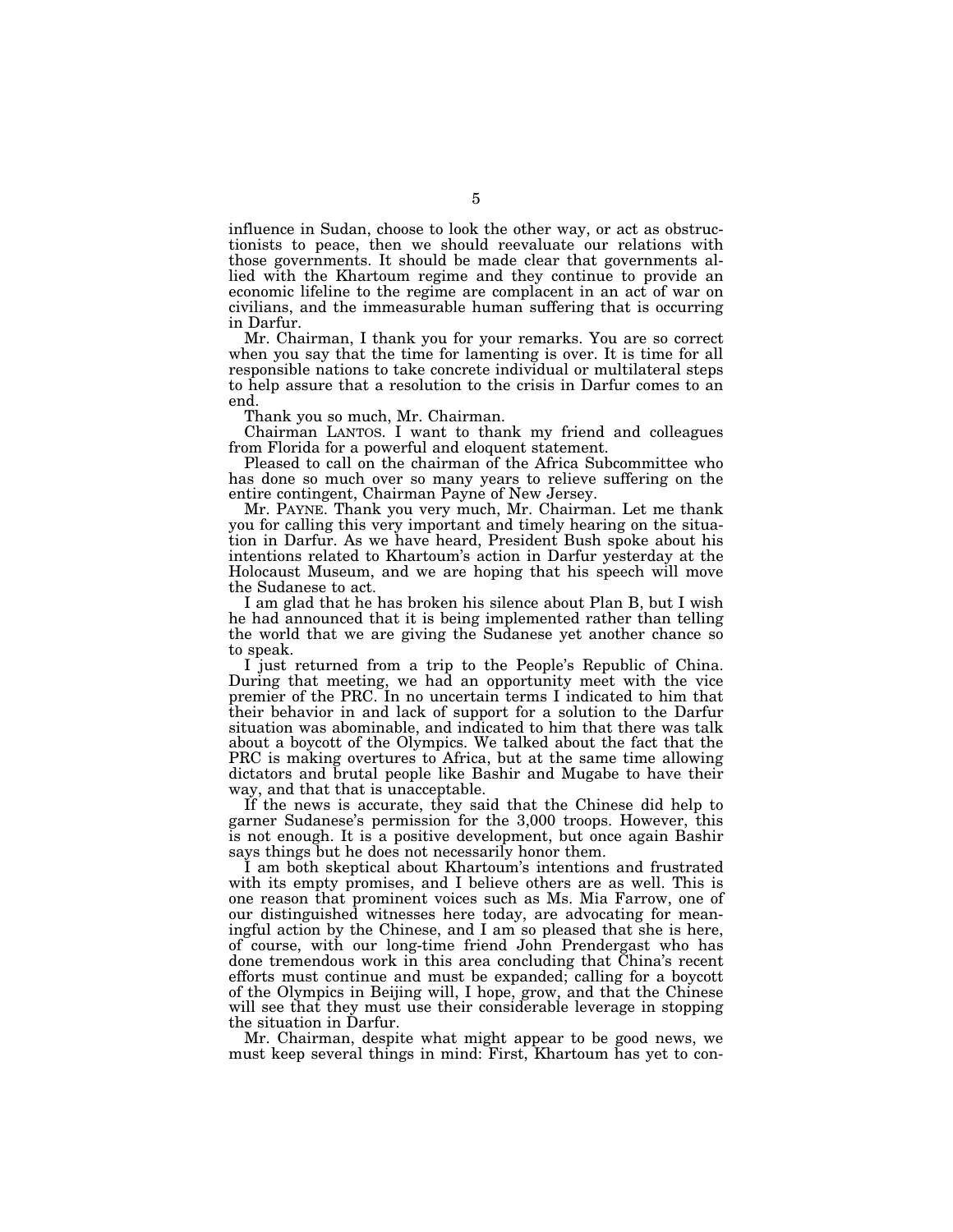influence in Sudan, choose to look the other way, or act as obstructionists to peace, then we should reevaluate our relations with those governments. It should be made clear that governments allied with the Khartoum regime and they continue to provide an economic lifeline to the regime are complacent in an act of war on civilians, and the immeasurable human suffering that is occurring in Darfur.

Mr. Chairman, I thank you for your remarks. You are so correct when you say that the time for lamenting is over. It is time for all responsible nations to take concrete individual or multilateral steps to help assure that a resolution to the crisis in Darfur comes to an end.

Thank you so much, Mr. Chairman.

Chairman LANTOS. I want to thank my friend and colleagues from Florida for a powerful and eloquent statement.

Pleased to call on the chairman of the Africa Subcommittee who has done so much over so many years to relieve suffering on the entire contingent, Chairman Payne of New Jersey.

Mr. PAYNE. Thank you very much, Mr. Chairman. Let me thank you for calling this very important and timely hearing on the situation in Darfur. As we have heard, President Bush spoke about his intentions related to Khartoum's action in Darfur yesterday at the Holocaust Museum, and we are hoping that his speech will move the Sudanese to act.

I am glad that he has broken his silence about Plan B, but I wish he had announced that it is being implemented rather than telling the world that we are giving the Sudanese yet another chance so to speak.

I just returned from a trip to the People's Republic of China. During that meeting, we had an opportunity meet with the vice premier of the PRC. In no uncertain terms I indicated to him that their behavior in and lack of support for a solution to the Darfur situation was abominable, and indicated to him that there was talk about a boycott of the Olympics. We talked about the fact that the PRC is making overtures to Africa, but at the same time allowing dictators and brutal people like Bashir and Mugabe to have their way, and that that is unacceptable.

If the news is accurate, they said that the Chinese did help to garner Sudanese's permission for the 3,000 troops. However, this is not enough. It is a positive development, but once again Bashir says things but he does not necessarily honor them.

I am both skeptical about Khartoum's intentions and frustrated with its empty promises, and I believe others are as well. This is one reason that prominent voices such as Ms. Mia Farrow, one of our distinguished witnesses here today, are advocating for meaningful action by the Chinese, and I am so pleased that she is here, of course, with our long-time friend John Prendergast who has done tremendous work in this area concluding that China's recent efforts must continue and must be expanded; calling for a boycott of the Olympics in Beijing will, I hope, grow, and that the Chinese will see that they must use their considerable leverage in stopping the situation in Darfur.

Mr. Chairman, despite what might appear to be good news, we must keep several things in mind: First, Khartoum has yet to con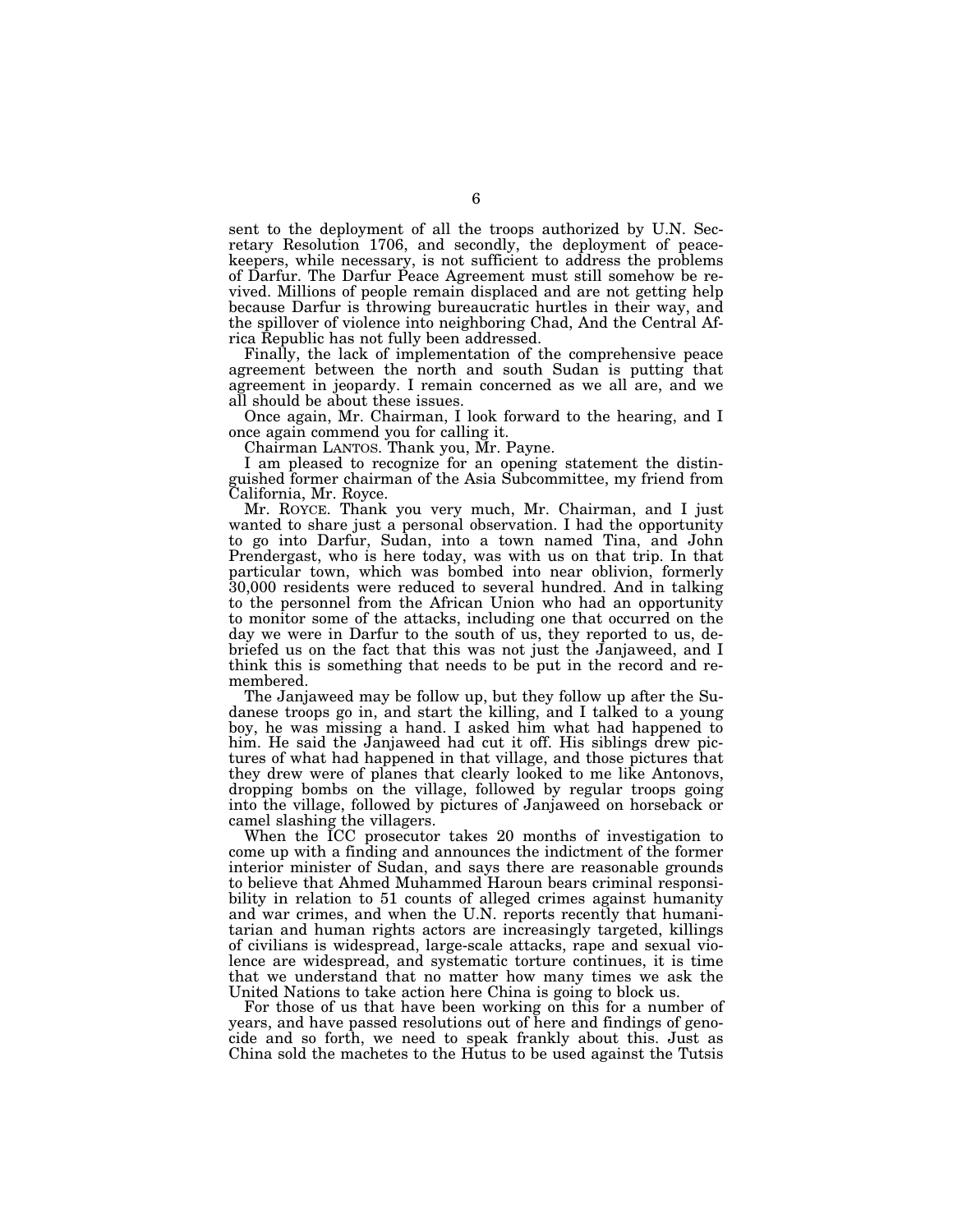sent to the deployment of all the troops authorized by U.N. Secretary Resolution 1706, and secondly, the deployment of peacekeepers, while necessary, is not sufficient to address the problems of Darfur. The Darfur Peace Agreement must still somehow be revived. Millions of people remain displaced and are not getting help because Darfur is throwing bureaucratic hurtles in their way, and the spillover of violence into neighboring Chad, And the Central Africa Republic has not fully been addressed.

Finally, the lack of implementation of the comprehensive peace agreement between the north and south Sudan is putting that agreement in jeopardy. I remain concerned as we all are, and we all should be about these issues.

Once again, Mr. Chairman, I look forward to the hearing, and I once again commend you for calling it.

Chairman LANTOS. Thank you, Mr. Payne.

I am pleased to recognize for an opening statement the distinguished former chairman of the Asia Subcommittee, my friend from California, Mr. Royce.

Mr. ROYCE. Thank you very much, Mr. Chairman, and I just wanted to share just a personal observation. I had the opportunity to go into Darfur, Sudan, into a town named Tina, and John Prendergast, who is here today, was with us on that trip. In that particular town, which was bombed into near oblivion, formerly 30,000 residents were reduced to several hundred. And in talking to the personnel from the African Union who had an opportunity to monitor some of the attacks, including one that occurred on the day we were in Darfur to the south of us, they reported to us, debriefed us on the fact that this was not just the Janjaweed, and I think this is something that needs to be put in the record and remembered.

The Janjaweed may be follow up, but they follow up after the Sudanese troops go in, and start the killing, and I talked to a young boy, he was missing a hand. I asked him what had happened to him. He said the Janjaweed had cut it off. His siblings drew pictures of what had happened in that village, and those pictures that they drew were of planes that clearly looked to me like Antonovs, dropping bombs on the village, followed by regular troops going into the village, followed by pictures of Janjaweed on horseback or camel slashing the villagers.

When the ICC prosecutor takes 20 months of investigation to come up with a finding and announces the indictment of the former interior minister of Sudan, and says there are reasonable grounds to believe that Ahmed Muhammed Haroun bears criminal responsibility in relation to 51 counts of alleged crimes against humanity and war crimes, and when the U.N. reports recently that humanitarian and human rights actors are increasingly targeted, killings of civilians is widespread, large-scale attacks, rape and sexual violence are widespread, and systematic torture continues, it is time that we understand that no matter how many times we ask the United Nations to take action here China is going to block us.

For those of us that have been working on this for a number of years, and have passed resolutions out of here and findings of genocide and so forth, we need to speak frankly about this. Just as China sold the machetes to the Hutus to be used against the Tutsis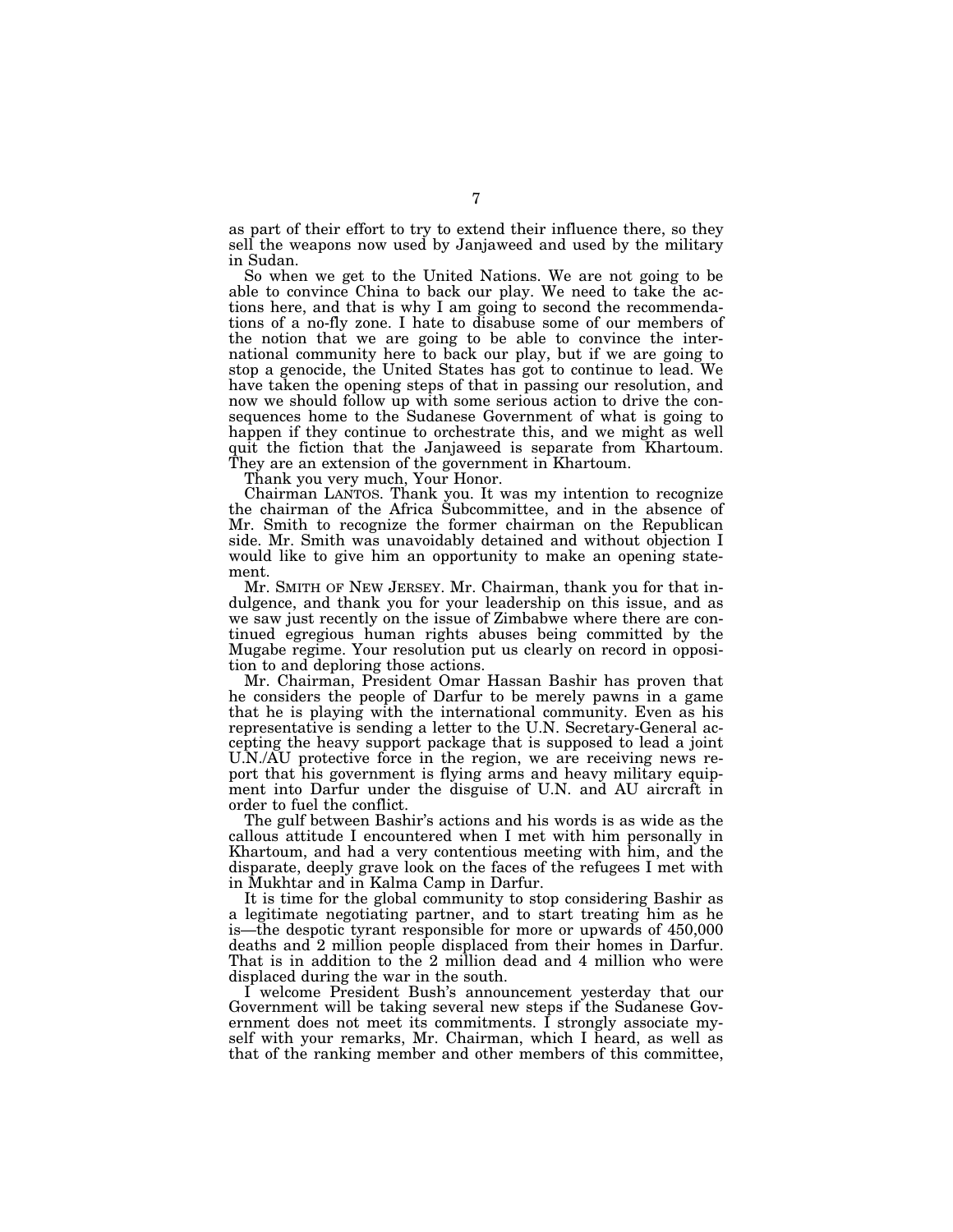as part of their effort to try to extend their influence there, so they sell the weapons now used by Janjaweed and used by the military in Sudan.

So when we get to the United Nations. We are not going to be able to convince China to back our play. We need to take the actions here, and that is why I am going to second the recommendations of a no-fly zone. I hate to disabuse some of our members of the notion that we are going to be able to convince the international community here to back our play, but if we are going to stop a genocide, the United States has got to continue to lead. We have taken the opening steps of that in passing our resolution, and now we should follow up with some serious action to drive the consequences home to the Sudanese Government of what is going to happen if they continue to orchestrate this, and we might as well quit the fiction that the Janjaweed is separate from Khartoum. They are an extension of the government in Khartoum.

Thank you very much, Your Honor.

Chairman LANTOS. Thank you. It was my intention to recognize the chairman of the Africa Subcommittee, and in the absence of Mr. Smith to recognize the former chairman on the Republican side. Mr. Smith was unavoidably detained and without objection I would like to give him an opportunity to make an opening statement.

Mr. SMITH OF NEW JERSEY. Mr. Chairman, thank you for that indulgence, and thank you for your leadership on this issue, and as we saw just recently on the issue of Zimbabwe where there are continued egregious human rights abuses being committed by the Mugabe regime. Your resolution put us clearly on record in opposition to and deploring those actions.

Mr. Chairman, President Omar Hassan Bashir has proven that he considers the people of Darfur to be merely pawns in a game that he is playing with the international community. Even as his representative is sending a letter to the U.N. Secretary-General accepting the heavy support package that is supposed to lead a joint U.N./AU protective force in the region, we are receiving news report that his government is flying arms and heavy military equipment into Darfur under the disguise of U.N. and AU aircraft in order to fuel the conflict.

The gulf between Bashir's actions and his words is as wide as the callous attitude I encountered when I met with him personally in Khartoum, and had a very contentious meeting with him, and the disparate, deeply grave look on the faces of the refugees I met with in Mukhtar and in Kalma Camp in Darfur.

It is time for the global community to stop considering Bashir as a legitimate negotiating partner, and to start treating him as he is—the despotic tyrant responsible for more or upwards of 450,000 deaths and 2 million people displaced from their homes in Darfur. That is in addition to the 2 million dead and 4 million who were displaced during the war in the south.

I welcome President Bush's announcement yesterday that our Government will be taking several new steps if the Sudanese Government does not meet its commitments. I strongly associate myself with your remarks, Mr. Chairman, which I heard, as well as that of the ranking member and other members of this committee,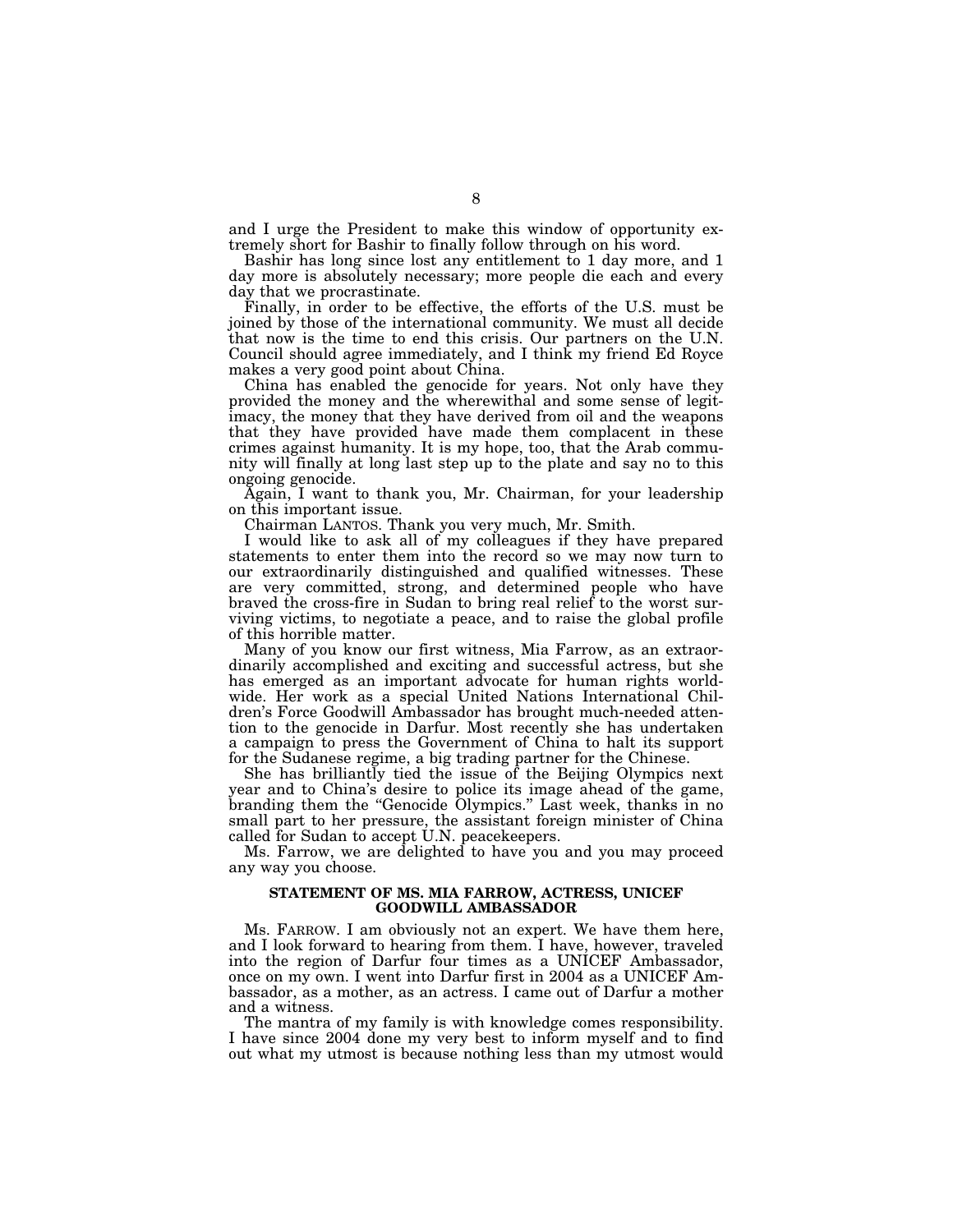and I urge the President to make this window of opportunity extremely short for Bashir to finally follow through on his word.

Bashir has long since lost any entitlement to 1 day more, and 1 day more is absolutely necessary; more people die each and every day that we procrastinate.

Finally, in order to be effective, the efforts of the U.S. must be joined by those of the international community. We must all decide that now is the time to end this crisis. Our partners on the U.N. Council should agree immediately, and I think my friend Ed Royce makes a very good point about China.

China has enabled the genocide for years. Not only have they provided the money and the wherewithal and some sense of legitimacy, the money that they have derived from oil and the weapons that they have provided have made them complacent in these crimes against humanity. It is my hope, too, that the Arab community will finally at long last step up to the plate and say no to this ongoing genocide.

Again, I want to thank you, Mr. Chairman, for your leadership on this important issue.

Chairman LANTOS. Thank you very much, Mr. Smith.

I would like to ask all of my colleagues if they have prepared statements to enter them into the record so we may now turn to our extraordinarily distinguished and qualified witnesses. These are very committed, strong, and determined people who have braved the cross-fire in Sudan to bring real relief to the worst surviving victims, to negotiate a peace, and to raise the global profile of this horrible matter.

Many of you know our first witness, Mia Farrow, as an extraordinarily accomplished and exciting and successful actress, but she has emerged as an important advocate for human rights worldwide. Her work as a special United Nations International Children's Force Goodwill Ambassador has brought much-needed attention to the genocide in Darfur. Most recently she has undertaken a campaign to press the Government of China to halt its support for the Sudanese regime, a big trading partner for the Chinese.

She has brilliantly tied the issue of the Beijing Olympics next year and to China's desire to police its image ahead of the game, branding them the ''Genocide Olympics.'' Last week, thanks in no small part to her pressure, the assistant foreign minister of China called for Sudan to accept U.N. peacekeepers.

Ms. Farrow, we are delighted to have you and you may proceed any way you choose.

## **STATEMENT OF MS. MIA FARROW, ACTRESS, UNICEF GOODWILL AMBASSADOR**

Ms. FARROW. I am obviously not an expert. We have them here, and I look forward to hearing from them. I have, however, traveled into the region of Darfur four times as a UNICEF Ambassador, once on my own. I went into Darfur first in 2004 as a UNICEF Ambassador, as a mother, as an actress. I came out of Darfur a mother and a witness.

The mantra of my family is with knowledge comes responsibility. I have since 2004 done my very best to inform myself and to find out what my utmost is because nothing less than my utmost would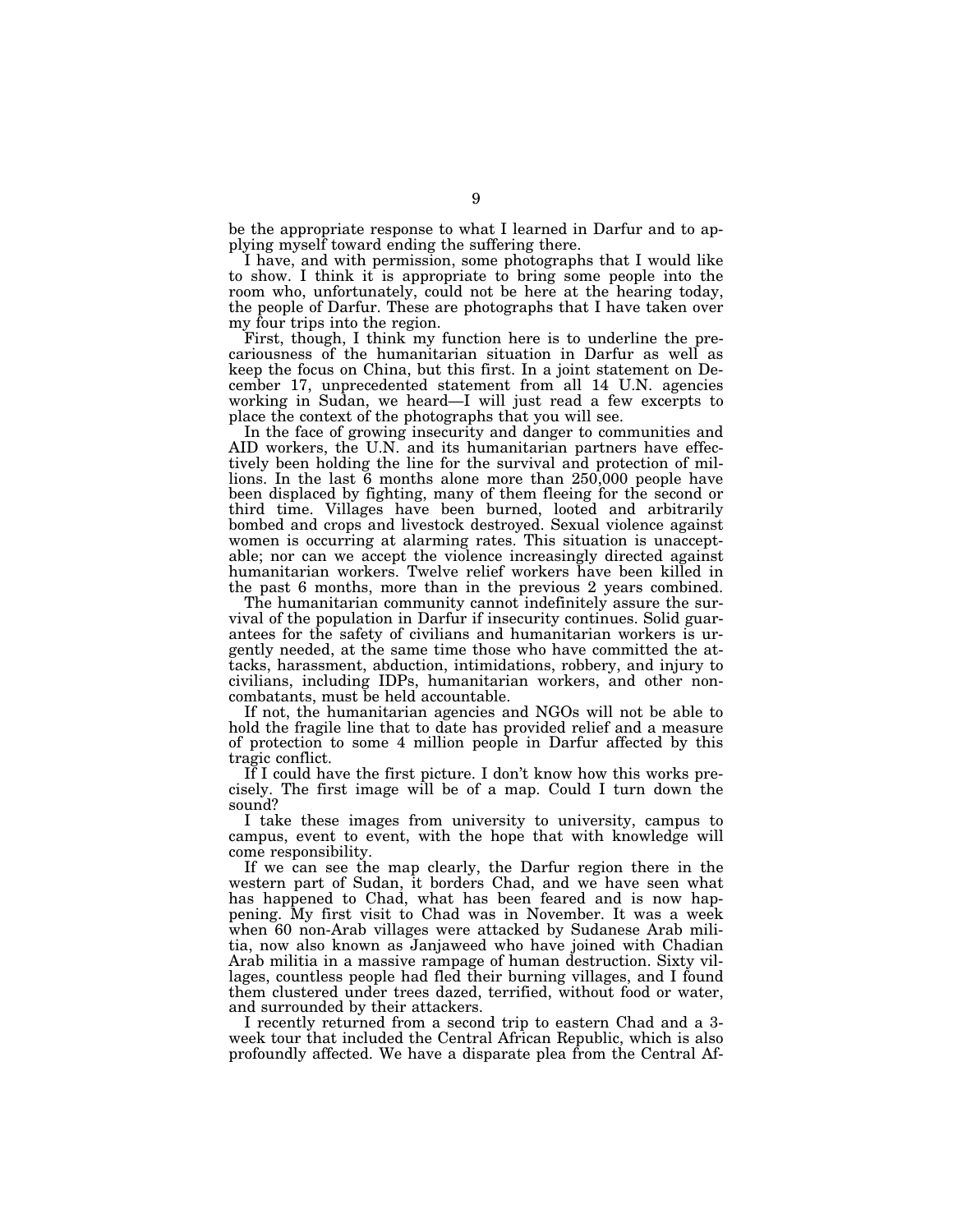be the appropriate response to what I learned in Darfur and to applying myself toward ending the suffering there.

I have, and with permission, some photographs that I would like to show. I think it is appropriate to bring some people into the room who, unfortunately, could not be here at the hearing today, the people of Darfur. These are photographs that I have taken over my four trips into the region.

First, though, I think my function here is to underline the precariousness of the humanitarian situation in Darfur as well as keep the focus on China, but this first. In a joint statement on December 17, unprecedented statement from all 14 U.N. agencies working in Sudan, we heard—I will just read a few excerpts to place the context of the photographs that you will see.

In the face of growing insecurity and danger to communities and AID workers, the U.N. and its humanitarian partners have effectively been holding the line for the survival and protection of millions. In the last 6 months alone more than 250,000 people have been displaced by fighting, many of them fleeing for the second or third time. Villages have been burned, looted and arbitrarily bombed and crops and livestock destroyed. Sexual violence against women is occurring at alarming rates. This situation is unacceptable; nor can we accept the violence increasingly directed against humanitarian workers. Twelve relief workers have been killed in the past 6 months, more than in the previous 2 years combined.

The humanitarian community cannot indefinitely assure the survival of the population in Darfur if insecurity continues. Solid guarantees for the safety of civilians and humanitarian workers is urgently needed, at the same time those who have committed the attacks, harassment, abduction, intimidations, robbery, and injury to civilians, including IDPs, humanitarian workers, and other noncombatants, must be held accountable.

If not, the humanitarian agencies and NGOs will not be able to hold the fragile line that to date has provided relief and a measure of protection to some 4 million people in Darfur affected by this tragic conflict.

If I could have the first picture. I don't know how this works precisely. The first image will be of a map. Could I turn down the sound?

I take these images from university to university, campus to campus, event to event, with the hope that with knowledge will come responsibility.

If we can see the map clearly, the Darfur region there in the western part of Sudan, it borders Chad, and we have seen what has happened to Chad, what has been feared and is now happening. My first visit to Chad was in November. It was a week when 60 non-Arab villages were attacked by Sudanese Arab militia, now also known as Janjaweed who have joined with Chadian Arab militia in a massive rampage of human destruction. Sixty villages, countless people had fled their burning villages, and I found them clustered under trees dazed, terrified, without food or water, and surrounded by their attackers.

I recently returned from a second trip to eastern Chad and a 3 week tour that included the Central African Republic, which is also profoundly affected. We have a disparate plea from the Central Af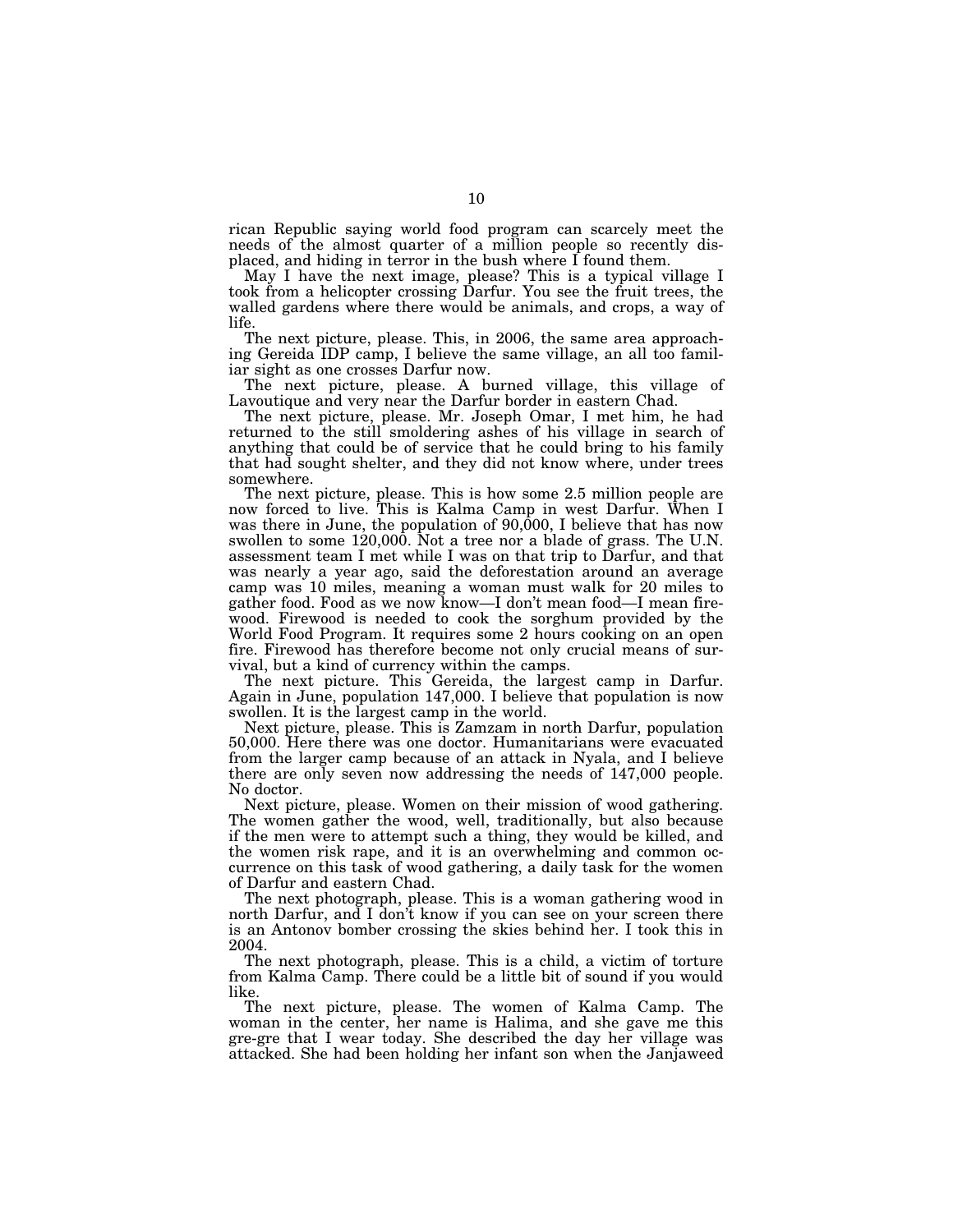rican Republic saying world food program can scarcely meet the needs of the almost quarter of a million people so recently displaced, and hiding in terror in the bush where I found them.

May I have the next image, please? This is a typical village I took from a helicopter crossing Darfur. You see the fruit trees, the walled gardens where there would be animals, and crops, a way of life.

The next picture, please. This, in 2006, the same area approaching Gereida IDP camp, I believe the same village, an all too familiar sight as one crosses Darfur now.

The next picture, please. A burned village, this village of Lavoutique and very near the Darfur border in eastern Chad.

The next picture, please. Mr. Joseph Omar, I met him, he had returned to the still smoldering ashes of his village in search of anything that could be of service that he could bring to his family that had sought shelter, and they did not know where, under trees somewhere.

The next picture, please. This is how some 2.5 million people are now forced to live. This is Kalma Camp in west Darfur. When I was there in June, the population of 90,000, I believe that has now swollen to some 120,000. Not a tree nor a blade of grass. The U.N. assessment team I met while I was on that trip to Darfur, and that was nearly a year ago, said the deforestation around an average camp was 10 miles, meaning a woman must walk for 20 miles to gather food. Food as we now know—I don't mean food—I mean firewood. Firewood is needed to cook the sorghum provided by the World Food Program. It requires some 2 hours cooking on an open fire. Firewood has therefore become not only crucial means of survival, but a kind of currency within the camps.

The next picture. This Gereida, the largest camp in Darfur. Again in June, population 147,000. I believe that population is now swollen. It is the largest camp in the world.

Next picture, please. This is Zamzam in north Darfur, population 50,000. Here there was one doctor. Humanitarians were evacuated from the larger camp because of an attack in Nyala, and I believe there are only seven now addressing the needs of 147,000 people. No doctor.

Next picture, please. Women on their mission of wood gathering. The women gather the wood, well, traditionally, but also because if the men were to attempt such a thing, they would be killed, and the women risk rape, and it is an overwhelming and common occurrence on this task of wood gathering, a daily task for the women of Darfur and eastern Chad.

The next photograph, please. This is a woman gathering wood in north Darfur, and I don't know if you can see on your screen there is an Antonov bomber crossing the skies behind her. I took this in 2004.

The next photograph, please. This is a child, a victim of torture from Kalma Camp. There could be a little bit of sound if you would like.

The next picture, please. The women of Kalma Camp. The woman in the center, her name is Halima, and she gave me this gre-gre that I wear today. She described the day her village was attacked. She had been holding her infant son when the Janjaweed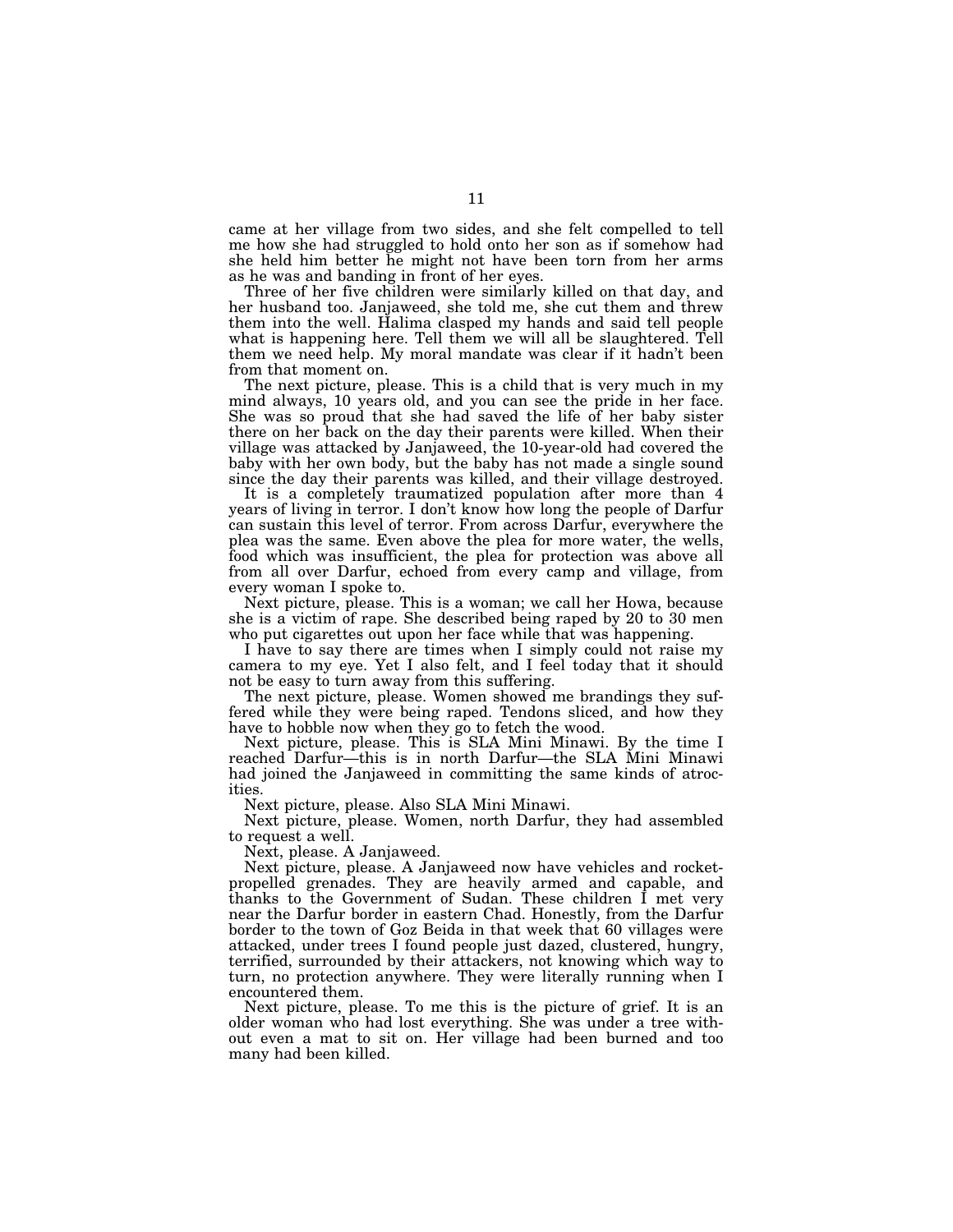came at her village from two sides, and she felt compelled to tell me how she had struggled to hold onto her son as if somehow had she held him better he might not have been torn from her arms as he was and banding in front of her eyes.

Three of her five children were similarly killed on that day, and her husband too. Janjaweed, she told me, she cut them and threw them into the well. Halima clasped my hands and said tell people what is happening here. Tell them we will all be slaughtered. Tell them we need help. My moral mandate was clear if it hadn't been from that moment on.

The next picture, please. This is a child that is very much in my mind always, 10 years old, and you can see the pride in her face. She was so proud that she had saved the life of her baby sister there on her back on the day their parents were killed. When their village was attacked by Janjaweed, the 10-year-old had covered the baby with her own body, but the baby has not made a single sound since the day their parents was killed, and their village destroyed.

It is a completely traumatized population after more than 4 years of living in terror. I don't know how long the people of Darfur can sustain this level of terror. From across Darfur, everywhere the plea was the same. Even above the plea for more water, the wells, food which was insufficient, the plea for protection was above all from all over Darfur, echoed from every camp and village, from every woman I spoke to.

Next picture, please. This is a woman; we call her Howa, because she is a victim of rape. She described being raped by 20 to 30 men who put cigarettes out upon her face while that was happening.

I have to say there are times when I simply could not raise my camera to my eye. Yet I also felt, and I feel today that it should not be easy to turn away from this suffering.

The next picture, please. Women showed me brandings they suffered while they were being raped. Tendons sliced, and how they have to hobble now when they go to fetch the wood.

Next picture, please. This is SLA Mini Minawi. By the time I reached Darfur—this is in north Darfur—the SLA Mini Minawi had joined the Janjaweed in committing the same kinds of atrocities.

Next picture, please. Also SLA Mini Minawi.

Next picture, please. Women, north Darfur, they had assembled to request a well.

Next, please. A Janjaweed.

Next picture, please. A Janjaweed now have vehicles and rocketpropelled grenades. They are heavily armed and capable, and thanks to the Government of Sudan. These children I met very near the Darfur border in eastern Chad. Honestly, from the Darfur border to the town of Goz Beida in that week that 60 villages were attacked, under trees I found people just dazed, clustered, hungry, terrified, surrounded by their attackers, not knowing which way to turn, no protection anywhere. They were literally running when I encountered them.

Next picture, please. To me this is the picture of grief. It is an older woman who had lost everything. She was under a tree without even a mat to sit on. Her village had been burned and too many had been killed.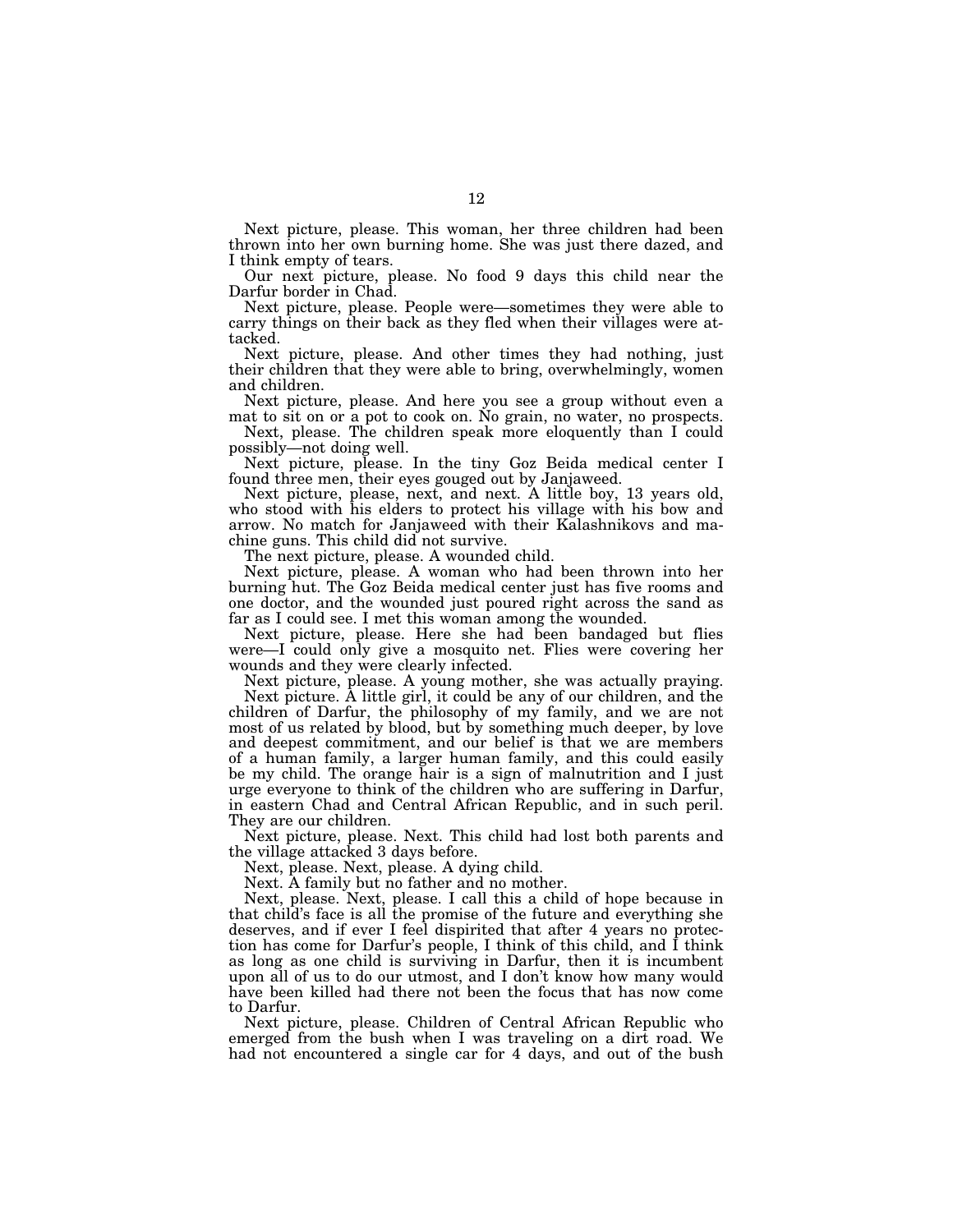Next picture, please. This woman, her three children had been thrown into her own burning home. She was just there dazed, and I think empty of tears.

Our next picture, please. No food 9 days this child near the Darfur border in Chad.

Next picture, please. People were—sometimes they were able to carry things on their back as they fled when their villages were attacked.

Next picture, please. And other times they had nothing, just their children that they were able to bring, overwhelmingly, women and children.

Next picture, please. And here you see a group without even a mat to sit on or a pot to cook on. No grain, no water, no prospects.

Next, please. The children speak more eloquently than I could possibly—not doing well.

Next picture, please. In the tiny Goz Beida medical center I found three men, their eyes gouged out by Janjaweed.

Next picture, please, next, and next. A little boy, 13 years old, who stood with his elders to protect his village with his bow and arrow. No match for Janjaweed with their Kalashnikovs and machine guns. This child did not survive.

The next picture, please. A wounded child.

Next picture, please. A woman who had been thrown into her burning hut. The Goz Beida medical center just has five rooms and one doctor, and the wounded just poured right across the sand as far as I could see. I met this woman among the wounded.

Next picture, please. Here she had been bandaged but flies were—I could only give a mosquito net. Flies were covering her wounds and they were clearly infected.

Next picture, please. A young mother, she was actually praying. Next picture. A little girl, it could be any of our children, and the children of Darfur, the philosophy of my family, and we are not most of us related by blood, but by something much deeper, by love and deepest commitment, and our belief is that we are members of a human family, a larger human family, and this could easily be my child. The orange hair is a sign of malnutrition and I just urge everyone to think of the children who are suffering in Darfur, in eastern Chad and Central African Republic, and in such peril. They are our children.

Next picture, please. Next. This child had lost both parents and the village attacked 3 days before.

Next, please. Next, please. A dying child.

Next. A family but no father and no mother.

Next, please. Next, please. I call this a child of hope because in that child's face is all the promise of the future and everything she deserves, and if ever I feel dispirited that after 4 years no protection has come for Darfur's people, I think of this child, and I think as long as one child is surviving in Darfur, then it is incumbent upon all of us to do our utmost, and I don't know how many would have been killed had there not been the focus that has now come to Darfur.

Next picture, please. Children of Central African Republic who emerged from the bush when I was traveling on a dirt road. We had not encountered a single car for 4 days, and out of the bush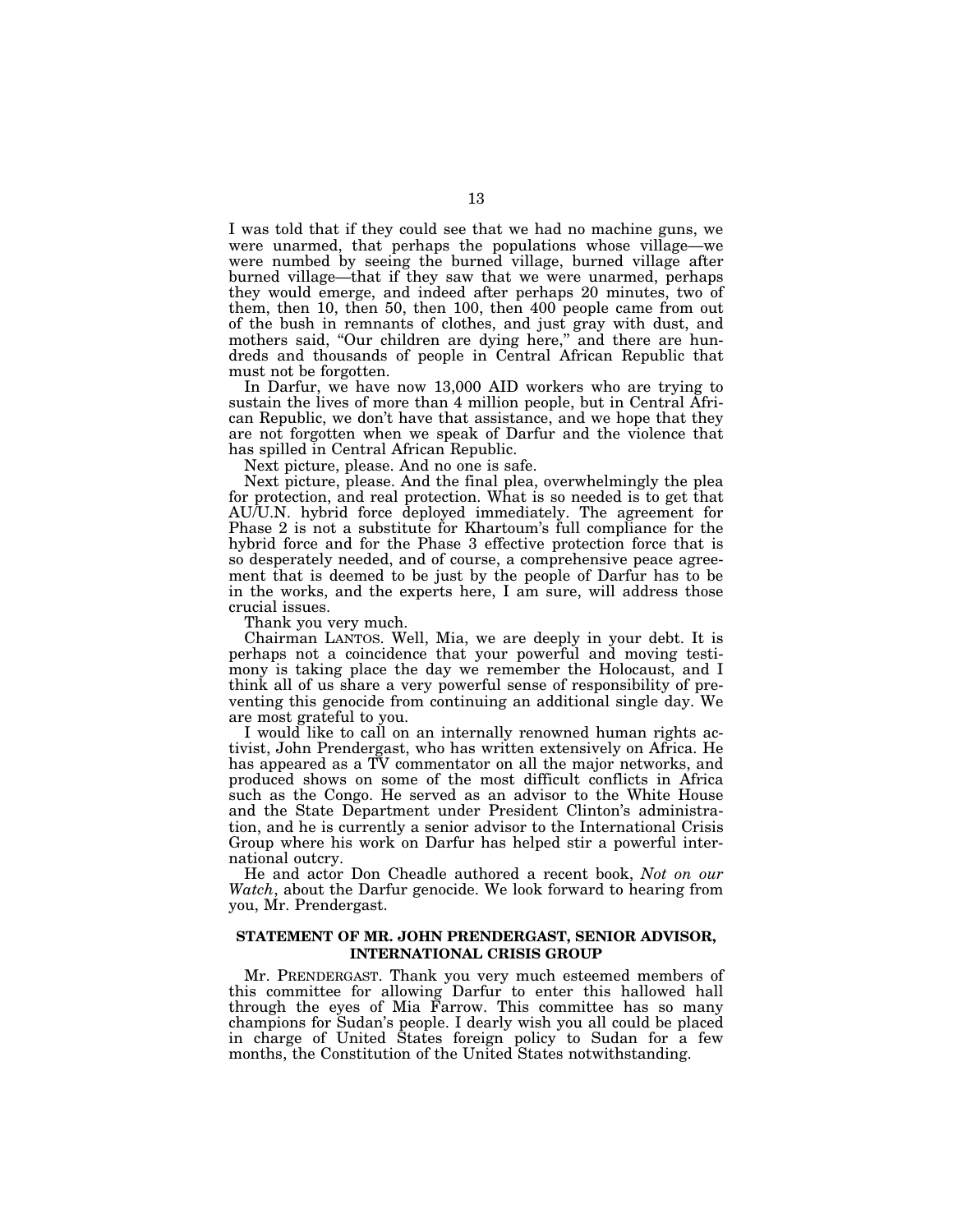I was told that if they could see that we had no machine guns, we were unarmed, that perhaps the populations whose village—we were numbed by seeing the burned village, burned village after burned village—that if they saw that we were unarmed, perhaps they would emerge, and indeed after perhaps 20 minutes, two of them, then 10, then 50, then 100, then 400 people came from out of the bush in remnants of clothes, and just gray with dust, and mothers said, "Our children are dying here," and there are hundreds and thousands of people in Central African Republic that must not be forgotten.

In Darfur, we have now 13,000 AID workers who are trying to sustain the lives of more than 4 million people, but in Central African Republic, we don't have that assistance, and we hope that they are not forgotten when we speak of Darfur and the violence that has spilled in Central African Republic.

Next picture, please. And no one is safe.

Next picture, please. And the final plea, overwhelmingly the plea for protection, and real protection. What is so needed is to get that AU/U.N. hybrid force deployed immediately. The agreement for Phase 2 is not a substitute for Khartoum's full compliance for the hybrid force and for the Phase 3 effective protection force that is so desperately needed, and of course, a comprehensive peace agreement that is deemed to be just by the people of Darfur has to be in the works, and the experts here, I am sure, will address those crucial issues.

Thank you very much.

Chairman LANTOS. Well, Mia, we are deeply in your debt. It is perhaps not a coincidence that your powerful and moving testimony is taking place the day we remember the Holocaust, and I think all of us share a very powerful sense of responsibility of preventing this genocide from continuing an additional single day. We are most grateful to you.

I would like to call on an internally renowned human rights activist, John Prendergast, who has written extensively on Africa. He has appeared as a TV commentator on all the major networks, and produced shows on some of the most difficult conflicts in Africa such as the Congo. He served as an advisor to the White House and the State Department under President Clinton's administration, and he is currently a senior advisor to the International Crisis Group where his work on Darfur has helped stir a powerful international outcry.

He and actor Don Cheadle authored a recent book, *Not on our Watch*, about the Darfur genocide. We look forward to hearing from you, Mr. Prendergast.

# **STATEMENT OF MR. JOHN PRENDERGAST, SENIOR ADVISOR, INTERNATIONAL CRISIS GROUP**

Mr. PRENDERGAST. Thank you very much esteemed members of this committee for allowing Darfur to enter this hallowed hall through the eyes of Mia Farrow. This committee has so many champions for Sudan's people. I dearly wish you all could be placed in charge of United States foreign policy to Sudan for a few months, the Constitution of the United States notwithstanding.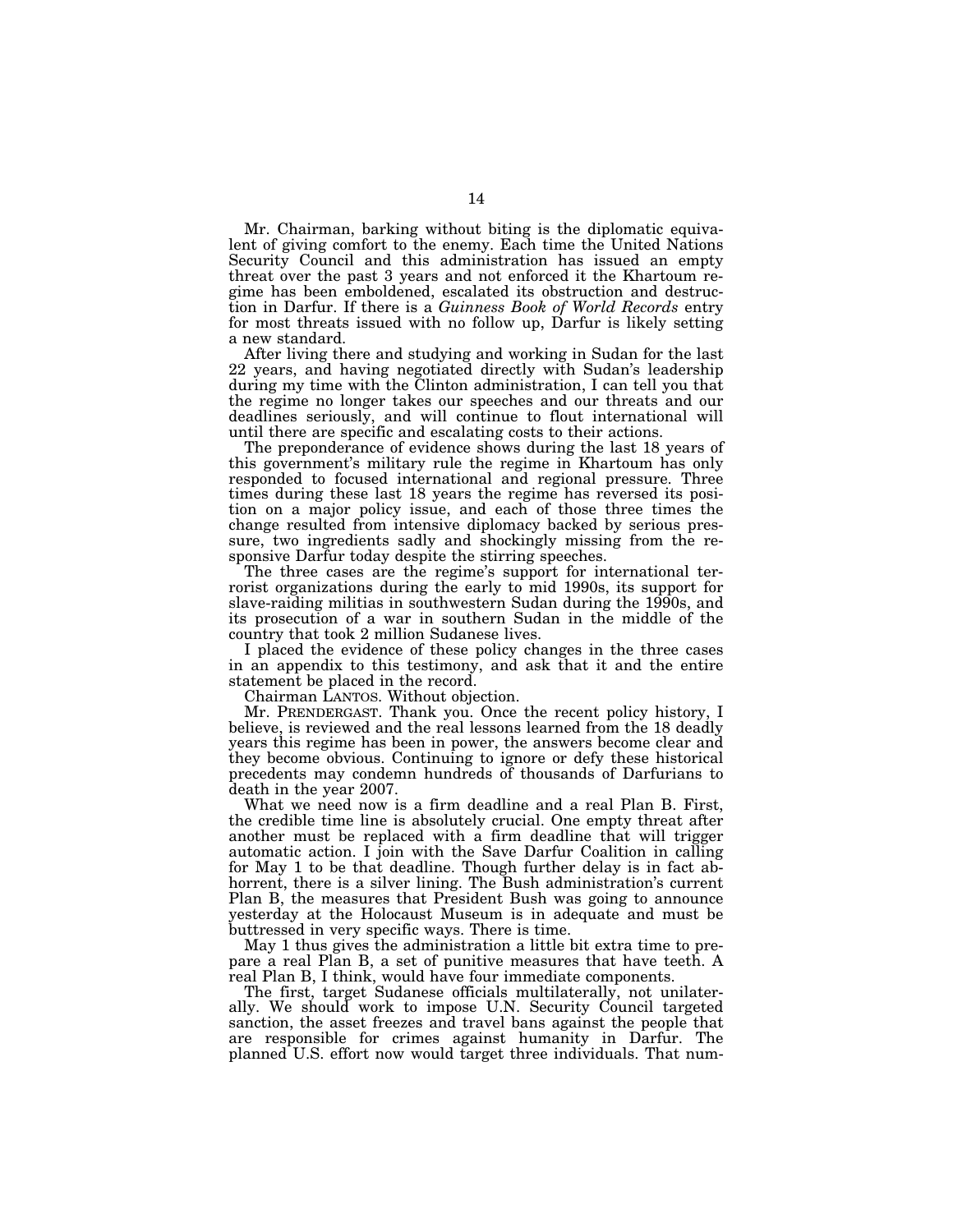Mr. Chairman, barking without biting is the diplomatic equivalent of giving comfort to the enemy. Each time the United Nations Security Council and this administration has issued an empty threat over the past 3 years and not enforced it the Khartoum regime has been emboldened, escalated its obstruction and destruction in Darfur. If there is a *Guinness Book of World Records* entry for most threats issued with no follow up, Darfur is likely setting a new standard.

After living there and studying and working in Sudan for the last 22 years, and having negotiated directly with Sudan's leadership during my time with the Clinton administration, I can tell you that the regime no longer takes our speeches and our threats and our deadlines seriously, and will continue to flout international will until there are specific and escalating costs to their actions.

The preponderance of evidence shows during the last 18 years of this government's military rule the regime in Khartoum has only responded to focused international and regional pressure. Three times during these last 18 years the regime has reversed its position on a major policy issue, and each of those three times the change resulted from intensive diplomacy backed by serious pressure, two ingredients sadly and shockingly missing from the responsive Darfur today despite the stirring speeches.

The three cases are the regime's support for international terrorist organizations during the early to mid 1990s, its support for slave-raiding militias in southwestern Sudan during the 1990s, and its prosecution of a war in southern Sudan in the middle of the country that took 2 million Sudanese lives.

I placed the evidence of these policy changes in the three cases in an appendix to this testimony, and ask that it and the entire statement be placed in the record.

Chairman LANTOS. Without objection.

Mr. PRENDERGAST. Thank you. Once the recent policy history, I believe, is reviewed and the real lessons learned from the 18 deadly years this regime has been in power, the answers become clear and they become obvious. Continuing to ignore or defy these historical precedents may condemn hundreds of thousands of Darfurians to death in the year 2007.

What we need now is a firm deadline and a real Plan B. First, the credible time line is absolutely crucial. One empty threat after another must be replaced with a firm deadline that will trigger automatic action. I join with the Save Darfur Coalition in calling for May 1 to be that deadline. Though further delay is in fact abhorrent, there is a silver lining. The Bush administration's current Plan B, the measures that President Bush was going to announce yesterday at the Holocaust Museum is in adequate and must be buttressed in very specific ways. There is time.

May 1 thus gives the administration a little bit extra time to prepare a real Plan B, a set of punitive measures that have teeth. A real Plan B, I think, would have four immediate components.

The first, target Sudanese officials multilaterally, not unilaterally. We should work to impose U.N. Security Council targeted sanction, the asset freezes and travel bans against the people that are responsible for crimes against humanity in Darfur. The planned U.S. effort now would target three individuals. That num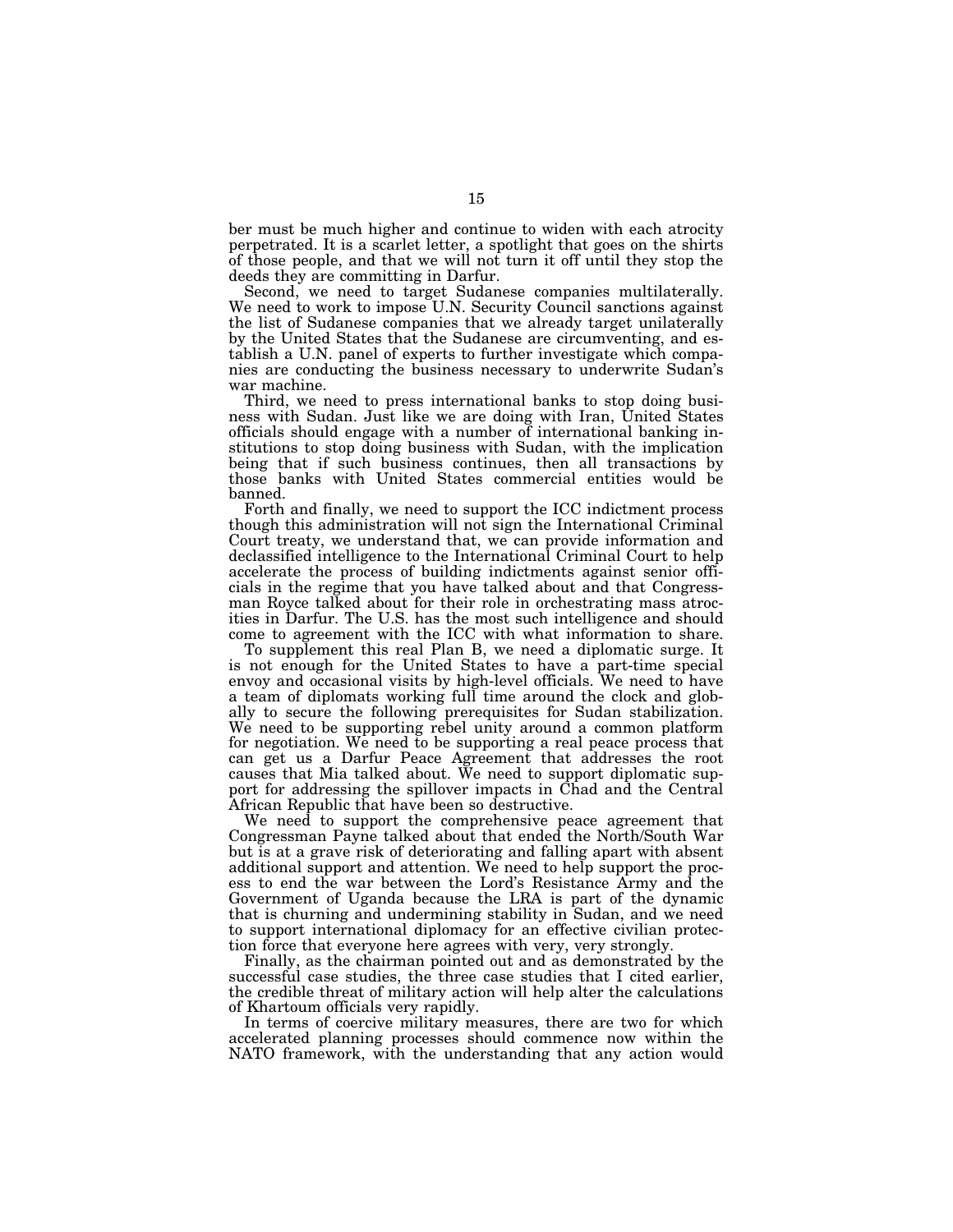ber must be much higher and continue to widen with each atrocity perpetrated. It is a scarlet letter, a spotlight that goes on the shirts of those people, and that we will not turn it off until they stop the deeds they are committing in Darfur.

Second, we need to target Sudanese companies multilaterally. We need to work to impose U.N. Security Council sanctions against the list of Sudanese companies that we already target unilaterally by the United States that the Sudanese are circumventing, and establish a U.N. panel of experts to further investigate which companies are conducting the business necessary to underwrite Sudan's war machine.

Third, we need to press international banks to stop doing business with Sudan. Just like we are doing with Iran, United States officials should engage with a number of international banking institutions to stop doing business with Sudan, with the implication being that if such business continues, then all transactions by those banks with United States commercial entities would be banned.

Forth and finally, we need to support the ICC indictment process though this administration will not sign the International Criminal Court treaty, we understand that, we can provide information and declassified intelligence to the International Criminal Court to help accelerate the process of building indictments against senior officials in the regime that you have talked about and that Congressman Royce talked about for their role in orchestrating mass atrocities in Darfur. The U.S. has the most such intelligence and should come to agreement with the ICC with what information to share.

To supplement this real Plan B, we need a diplomatic surge. It is not enough for the United States to have a part-time special envoy and occasional visits by high-level officials. We need to have a team of diplomats working full time around the clock and globally to secure the following prerequisites for Sudan stabilization. We need to be supporting rebel unity around a common platform for negotiation. We need to be supporting a real peace process that can get us a Darfur Peace Agreement that addresses the root causes that Mia talked about. We need to support diplomatic support for addressing the spillover impacts in Chad and the Central African Republic that have been so destructive.

We need to support the comprehensive peace agreement that Congressman Payne talked about that ended the North/South War but is at a grave risk of deteriorating and falling apart with absent additional support and attention. We need to help support the process to end the war between the Lord's Resistance Army and the Government of Uganda because the LRA is part of the dynamic that is churning and undermining stability in Sudan, and we need to support international diplomacy for an effective civilian protection force that everyone here agrees with very, very strongly.

Finally, as the chairman pointed out and as demonstrated by the successful case studies, the three case studies that I cited earlier, the credible threat of military action will help alter the calculations of Khartoum officials very rapidly.

In terms of coercive military measures, there are two for which accelerated planning processes should commence now within the NATO framework, with the understanding that any action would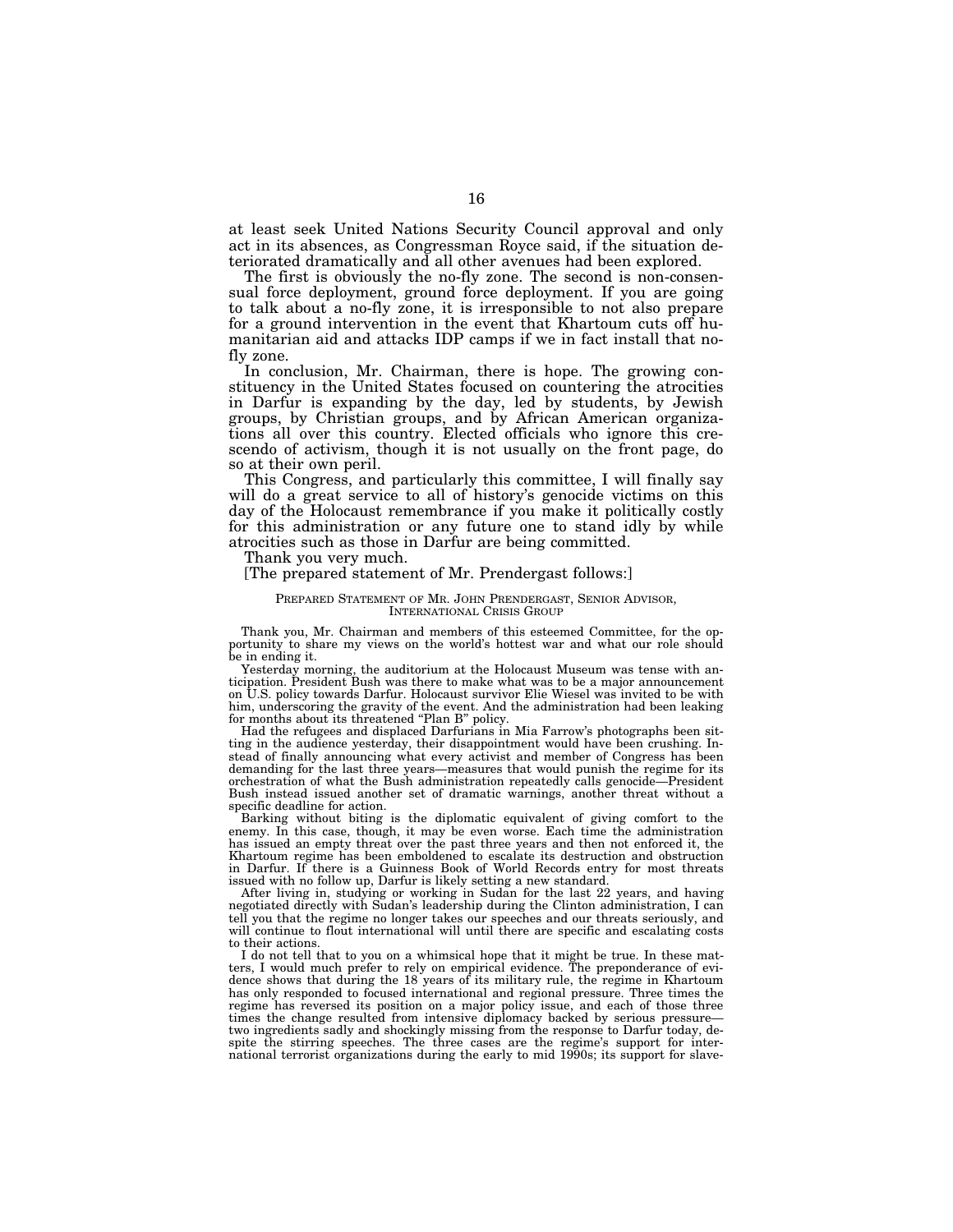at least seek United Nations Security Council approval and only act in its absences, as Congressman Royce said, if the situation deteriorated dramatically and all other avenues had been explored.

The first is obviously the no-fly zone. The second is non-consensual force deployment, ground force deployment. If you are going to talk about a no-fly zone, it is irresponsible to not also prepare for a ground intervention in the event that Khartoum cuts off humanitarian aid and attacks IDP camps if we in fact install that nofly zone.

In conclusion, Mr. Chairman, there is hope. The growing constituency in the United States focused on countering the atrocities in Darfur is expanding by the day, led by students, by Jewish groups, by Christian groups, and by African American organizations all over this country. Elected officials who ignore this crescendo of activism, though it is not usually on the front page, do so at their own peril.

This Congress, and particularly this committee, I will finally say will do a great service to all of history's genocide victims on this day of the Holocaust remembrance if you make it politically costly for this administration or any future one to stand idly by while atrocities such as those in Darfur are being committed.

Thank you very much.

## [The prepared statement of Mr. Prendergast follows:]

#### PREPARED STATEMENT OF MR. JOHN PRENDERGAST, SENIOR ADVISOR, INTERNATIONAL CRISIS GROUP

Thank you, Mr. Chairman and members of this esteemed Committee, for the opportunity to share my views on the world's hottest war and what our role should be in ending it.

Yesterday morning, the auditorium at the Holocaust Museum was tense with anticipation. President Bush was there to make what was to be a major announcement on U.S. policy towards Darfur. Holocaust survivor Elie Wiesel was invited to be with him, underscoring the gravity of the event. And the administration had been leaking for months about its threatened "Plan B" policy.

Had the refugees and displaced Darfurians in Mia Farrow's photographs been sitting in the audience yesterday, their disappointment would have been crushing. Instead of finally announcing what every activist and member of Congress has been demanding for the last three years—measures that would punish the regime for its orchestration of what the Bush administration repeatedly calls genocide—President Bush instead issued another set of dramatic warnings, another threat without a specific deadline for action.

Barking without biting is the diplomatic equivalent of giving comfort to the enemy. In this case, though, it may be even worse. Each time the administration has issued an empty threat over the past three years and then not enforced it, the Khartoum regime has been emboldened to escalate its destruction and obstruction in Darfur. If there is a Guinness Book of World Records entry for most threats issued with no follow up, Darfur is likely setting a new standard.

After living in, studying or working in Sudan for the last 22 years, and having negotiated directly with Sudan's leadership during the Clinton administration, I can tell you that the regime no longer takes our speeches and our threats seriously, and will continue to flout international will until there are specific and escalating costs to their actions.

I do not tell that to you on a whimsical hope that it might be true. In these matters, I would much prefer to rely on empirical evidence. The preponderance of evidence shows that during the 18 years of its military rule, the regime in Khartoum has only responded to focused international and regional pressure. Three times the regime has reversed its position on a major policy issue, and each of those three times the change resulted from intensive diplomacy backed by serious pressuretwo ingredients sadly and shockingly missing from the response to Darfur today, de-spite the stirring speeches. The three cases are the regime's support for international terrorist organizations during the early to mid 1990s; its support for slave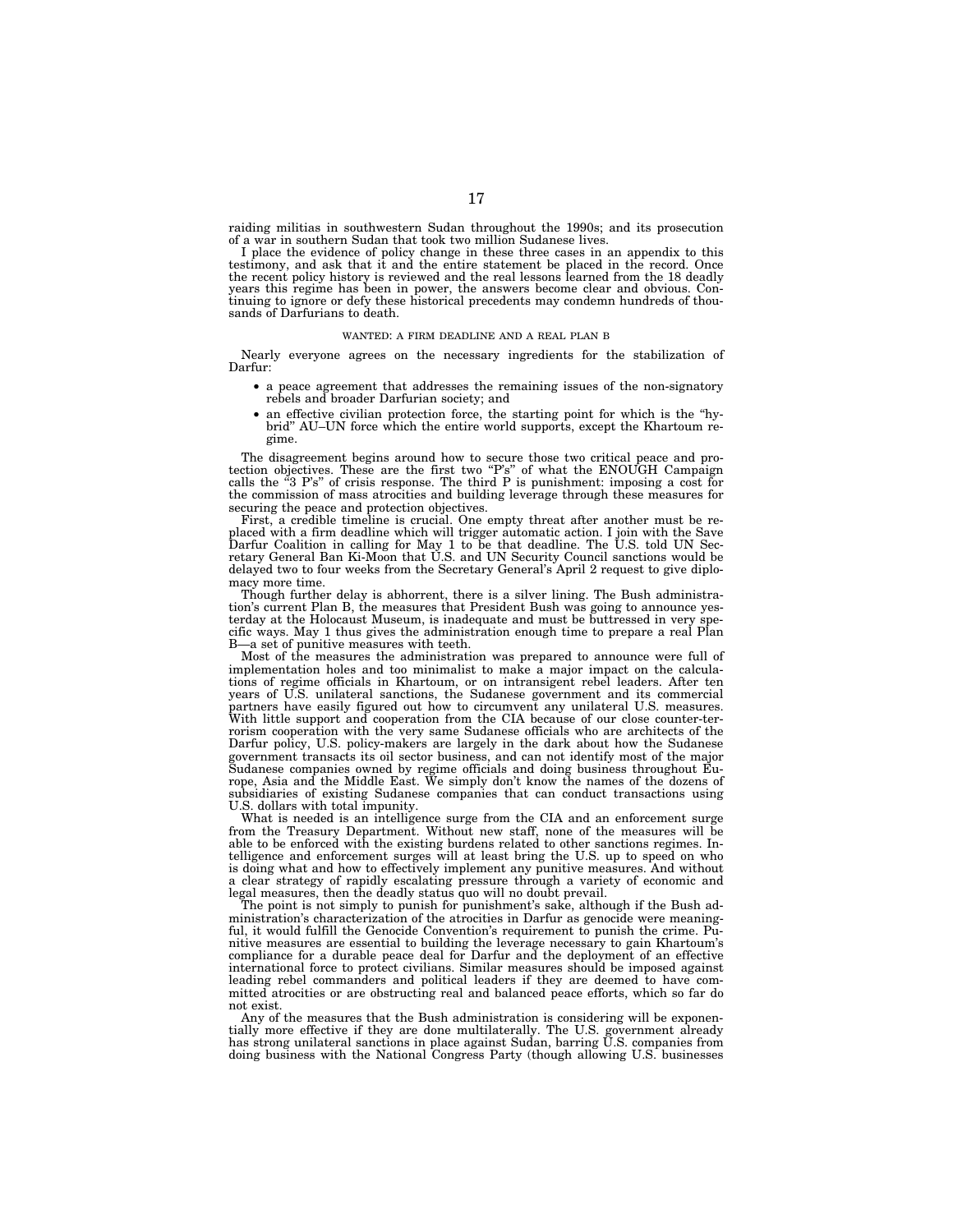raiding militias in southwestern Sudan throughout the 1990s; and its prosecution of a war in southern Sudan that took two million Sudanese lives.

I place the evidence of policy change in these three cases in an appendix to this testimony, and ask that it and the entire statement be placed in the record. Once the recent policy history is reviewed and the real lessons learned from the 18 deadly years this regime has been in power, the answers become clear and obvious. Continuing to ignore or defy these historical precedents may condemn hundreds of thousands of Darfurians to death.

#### WANTED: A FIRM DEADLINE AND A REAL PLAN B

Nearly everyone agrees on the necessary ingredients for the stabilization of Darfur:

- a peace agreement that addresses the remaining issues of the non-signatory rebels and broader Darfurian society; and
- an effective civilian protection force, the starting point for which is the ''hybrid'' AU–UN force which the entire world supports, except the Khartoum regime.

The disagreement begins around how to secure those two critical peace and protection objectives. These are the first two "P's" of what the ENOUGH Campaign calls the "3 P's" of crisis response. The third  $P$  is punishment: imposing a cost for the commission of mass atrocities and building leverage through these measures for securing the peace and protection objectives.

First, a credible timeline is crucial. One empty threat after another must be replaced with a firm deadline which will trigger automatic action. I join with the Save Darfur Coalition in calling for May 1 to be that deadline. The U.S. told UN Secretary General Ban Ki-Moon that U.S. and UN Security Council sanctions would be delayed two to four weeks from the Secretary General's April 2 request to give diplomacy more time.

Though further delay is abhorrent, there is a silver lining. The Bush administration's current Plan B, the measures that President Bush was going to announce yesterday at the Holocaust Museum, is inadequate and must be buttressed in very specific ways. May 1 thus gives the administration enough time to prepare a real Plan B—a set of punitive measures with teeth.

Most of the measures the administration was prepared to announce were full of implementation holes and too minimalist to make a major impact on the calculations of regime officials in Khartoum, or on intransigent rebel leaders. After ten years of U.S. unilateral sanctions, the Sudanese government and its commercial partners have easily figured out how to circumvent any unilateral U.S. measures. With little support and cooperation from the CIA because of our close counter-terrorism cooperation with the very same Sudanese officials who are architects of the Darfur policy, U.S. policy-makers are largely in the dark about how the Sudanese government transacts its oil sector business, and can not identify most of the major Sudanese companies owned by regime officials and doing business throughout Europe, Asia and the Middle East. We simply don't know the names of the dozens of subsidiaries of existing Sudanese companies that can conduct transactions using U.S. dollars with total impunity.

What is needed is an intelligence surge from the CIA and an enforcement surge from the Treasury Department. Without new staff, none of the measures will be able to be enforced with the existing burdens related to other sanctions regimes. Intelligence and enforcement surges will at least bring the U.S. up to speed on who is doing what and how to effectively implement any punitive measures. And without a clear strategy of rapidly escalating pressure through a variety of economic and legal measures, then the deadly status quo will no doubt prevail.

The point is not simply to punish for punishment's sake, although if the Bush administration's characterization of the atrocities in Darfur as genocide were meaningful, it would fulfill the Genocide Convention's requirement to punish the crime. Punitive measures are essential to building the leverage necessary to gain Khartoum's compliance for a durable peace deal for Darfur and the deployment of an effective international force to protect civilians. Similar measures should be imposed against leading rebel commanders and political leaders if they are deemed to have committed atrocities or are obstructing real and balanced peace efforts, which so far do not exist.

Any of the measures that the Bush administration is considering will be exponentially more effective if they are done multilaterally. The U.S. government already has strong unilateral sanctions in place against Sudan, barring U.S. companies from doing business with the National Congress Party (though allowing U.S. businesses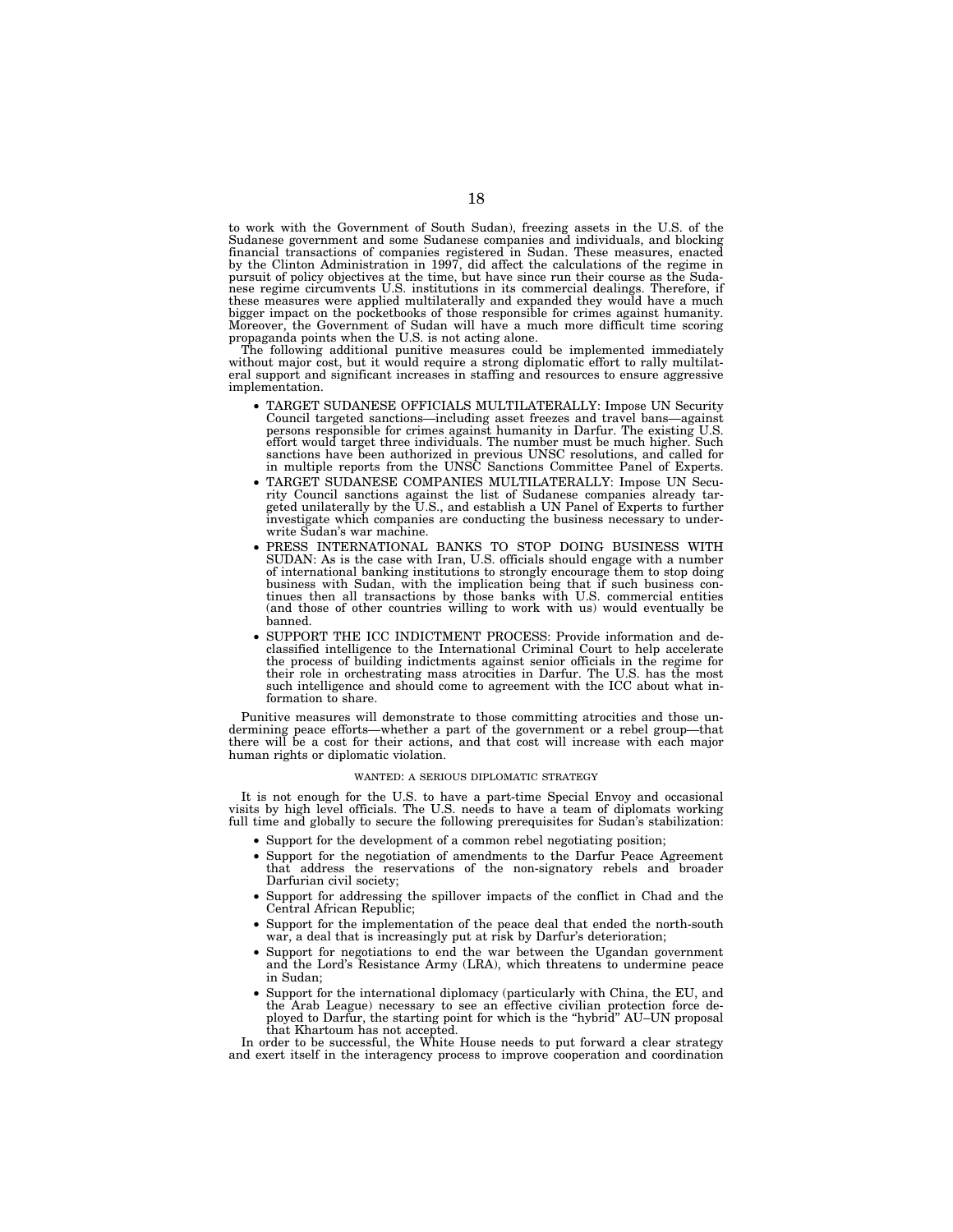to work with the Government of South Sudan), freezing assets in the U.S. of the Sudanese government and some Sudanese companies and individuals, and blocking financial transactions of companies registered in Sudan. These measures, enacted by the Clinton Administration in 1997, did affect the calculations of the regime in pursuit of policy objectives at the time, but have since run their course as the Sudanese regime circumvents U.S. institutions in its commercial dealings. Therefore, if these measures were applied multilaterally and expanded they would have a much bigger impact on the pocketbooks of those responsible for crimes against humanity. Moreover, the Government of Sudan will have a much more difficult time scoring propaganda points when the U.S. is not acting alone.

The following additional punitive measures could be implemented immediately without major cost, but it would require a strong diplomatic effort to rally multilateral support and significant increases in staffing and resources to ensure aggressive implementation.

- TARGET SUDANESE OFFICIALS MULTILATERALLY: Impose UN Security Council targeted sanctions—including asset freezes and travel bans—against persons responsible for crimes against humanity in Darfur. The existing U.S. effort would target three individuals. The number must be much higher. Such sanctions have been authorized in previous UNSC resolutions, and called for in multiple reports from the UNSC Sanctions Committee Panel of Experts.
- TARGET SUDANESE COMPANIES MULTILATERALLY: Impose UN Security Council sanctions against the list of Sudanese companies already tar-geted unilaterally by the U.S., and establish a UN Panel of Experts to further investigate which companies are conducting the business necessary to underwrite Sudan's war machine.
- PRESS INTERNATIONAL BANKS TO STOP DOING BUSINESS WITH SUDAN: As is the case with Iran, U.S. officials should engage with a number of international banking institutions to strongly encourage them to stop doing business with Sudan, with the implication being that if such business continues then all transactions by those banks with U.S. commercial entities (and those of other countries willing to work with us) would eventually be banned.
- SUPPORT THE ICC INDICTMENT PROCESS: Provide information and declassified intelligence to the International Criminal Court to help accelerate the process of building indictments against senior officials in the regime for their role in orchestrating mass atrocities in Darfur. The U.S. has the most such intelligence and should come to agreement with the ICC about what information to share.

Punitive measures will demonstrate to those committing atrocities and those undermining peace efforts—whether a part of the government or a rebel group—that there will be a cost for their actions, and that cost will increase with each major human rights or diplomatic violation.

#### WANTED: A SERIOUS DIPLOMATIC STRATEGY

It is not enough for the U.S. to have a part-time Special Envoy and occasional visits by high level officials. The U.S. needs to have a team of diplomats working full time and globally to secure the following prerequisites for Sudan's stabilization:

- Support for the development of a common rebel negotiating position;
- Support for the negotiation of amendments to the Darfur Peace Agreement that address the reservations of the non-signatory rebels and broader Darfurian civil society;
- Support for addressing the spillover impacts of the conflict in Chad and the Central African Republic;
- Support for the implementation of the peace deal that ended the north-south war, a deal that is increasingly put at risk by Darfur's deterioration;
- Support for negotiations to end the war between the Ugandan government and the Lord's Resistance Army (LRA), which threatens to undermine peace in Sudan;
- Support for the international diplomacy (particularly with China, the EU, and the Arab League) necessary to see an effective civilian protection force deployed to Darfur, the starting point for which is the ''hybrid'' AU–UN proposal that Khartoum has not accepted.

In order to be successful, the White House needs to put forward a clear strategy and exert itself in the interagency process to improve cooperation and coordination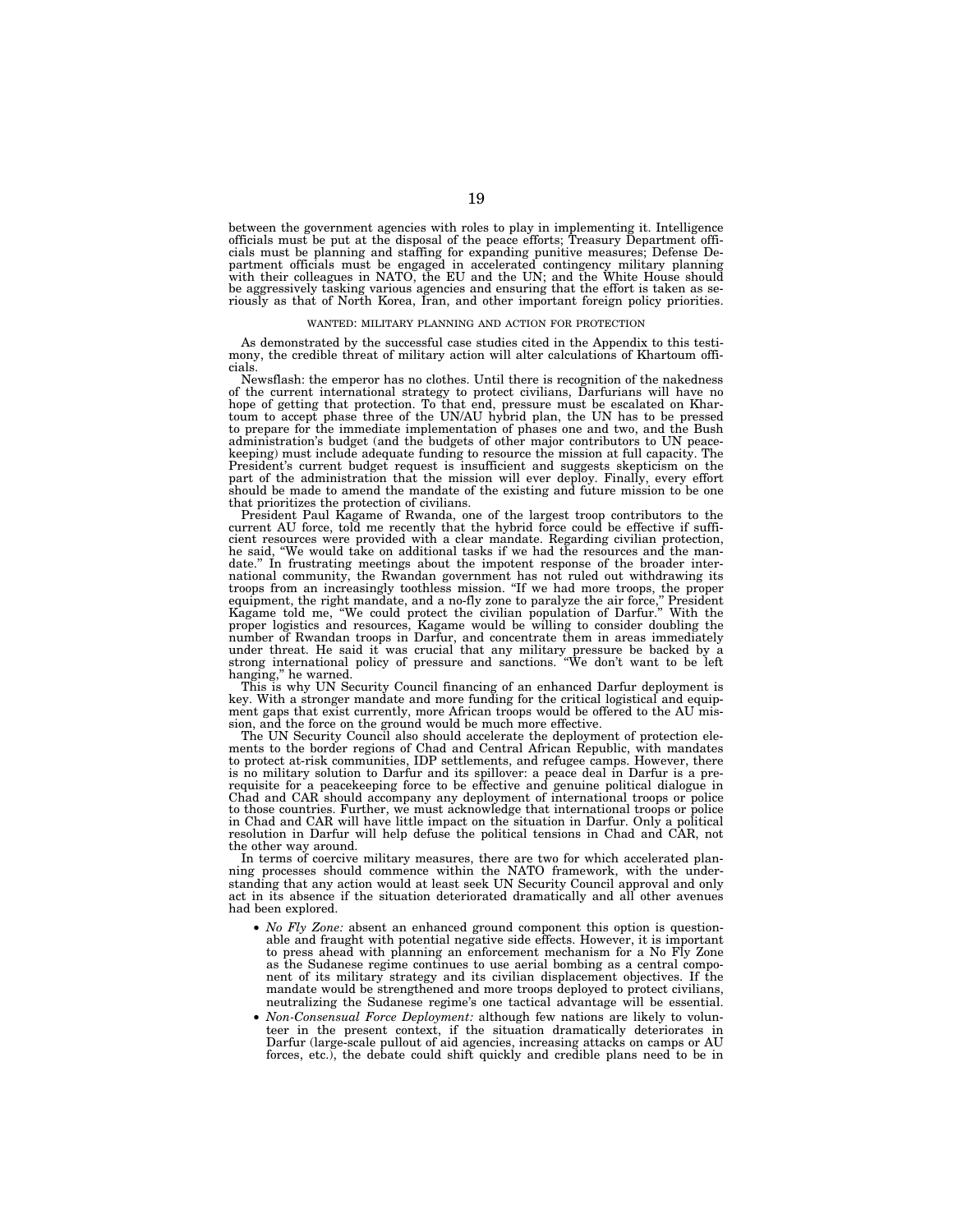between the government agencies with roles to play in implementing it. Intelligence officials must be put at the disposal of the peace efforts; Treasury Department officials must be planning and staffing for expanding punitive measures; Defense Department officials must be engaged in accelerated contingency military planning with their colleagues in NATO, the EU and the UN; and the White House should be aggressively tasking various agencies and ensuring that the effort is taken as seriously as that of North Korea, Iran, and other important foreign policy priorities.

#### WANTED: MILITARY PLANNING AND ACTION FOR PROTECTION

As demonstrated by the successful case studies cited in the Appendix to this testimony, the credible threat of military action will alter calculations of Khartoum officials.

Newsflash: the emperor has no clothes. Until there is recognition of the nakedness of the current international strategy to protect civilians, Darfurians will have no hope of getting that protection. To that end, pressure must be escalated on Khar-toum to accept phase three of the UN/AU hybrid plan, the UN has to be pressed to prepare for the immediate implementation of phases one and two, and the Bush administration's budget (and the budgets of other major contributors to UN peacekeeping) must include adequate funding to resource the mission at full capacity. The President's current budget request is insufficient and suggests skepticism on the part of the administration that the mission will ever deploy. Finally, every effort should be made to amend the mandate of the existing and future mission to be one that prioritizes the protection of civilians.

President Paul Kagame of Rwanda, one of the largest troop contributors to the current AU force, told me recently that the hybrid force could be effective if suffi-cient resources were provided with a clear mandate. Regarding civilian protection, he said, ''We would take on additional tasks if we had the resources and the man-date.'' In frustrating meetings about the impotent response of the broader international community, the Rwandan government has not ruled out withdrawing its troops from an increasingly toothless mission. ''If we had more troops, the proper equipment, the right mandate, and a no-fly zone to paralyze the air force,'' President Kagame told me, ''We could protect the civilian population of Darfur.'' With the proper logistics and resources, Kagame would be willing to consider doubling the number of Rwandan troops in Darfur, and concentrate them in areas immediately under threat. He said it was crucial that any military pressure be backed by a strong international policy of pressure and sanctions. ''We don't want to be left

hanging,'' he warned. This is why UN Security Council financing of an enhanced Darfur deployment is key. With a stronger mandate and more funding for the critical logistical and equip-ment gaps that exist currently, more African troops would be offered to the AU mis-

sion, and the force on the ground would be much more effective. The UN Security Council also should accelerate the deployment of protection elements to the border regions of Chad and Central African Republic, with mandates to protect at-risk communities, IDP settlements, and refugee camps. However, there is no military solution to Darfur and its spillover: a peace deal in Darfur is a pre-<br>requisite for a peacekeeping force to be effective and genuine political dialogue in<br>Chad and CAR should accompany any deployment of int to those countries. Further, we must acknowledge that international troops or police in Chad and CAR will have little impact on the situation in Darfur. Only a political resolution in Darfur will help defuse the political tensions in Chad and CAR, not the other way around.

In terms of coercive military measures, there are two for which accelerated planning processes should commence within the NATO framework, with the understanding that any action would at least seek UN Security Council approval and only act in its absence if the situation deteriorated dramatically and all other avenues had been explored.

- *No Fly Zone:* absent an enhanced ground component this option is questionable and fraught with potential negative side effects. However, it is important to press ahead with planning an enforcement mechanism for a No Fly Zone as the Sudanese regime continues to use aerial bombing as a central component of its military strategy and its civilian displacement objectives. If the mandate would be strengthened and more troops deployed to protect civilians, neutralizing the Sudanese regime's one tactical advantage will be essential.
- *Non-Consensual Force Deployment:* although few nations are likely to volunteer in the present context, if the situation dramatically deteriorates in Darfur (large-scale pullout of aid agencies, increasing attacks on camps or AU forces, etc.), the debate could shift quickly and credible plans need to be in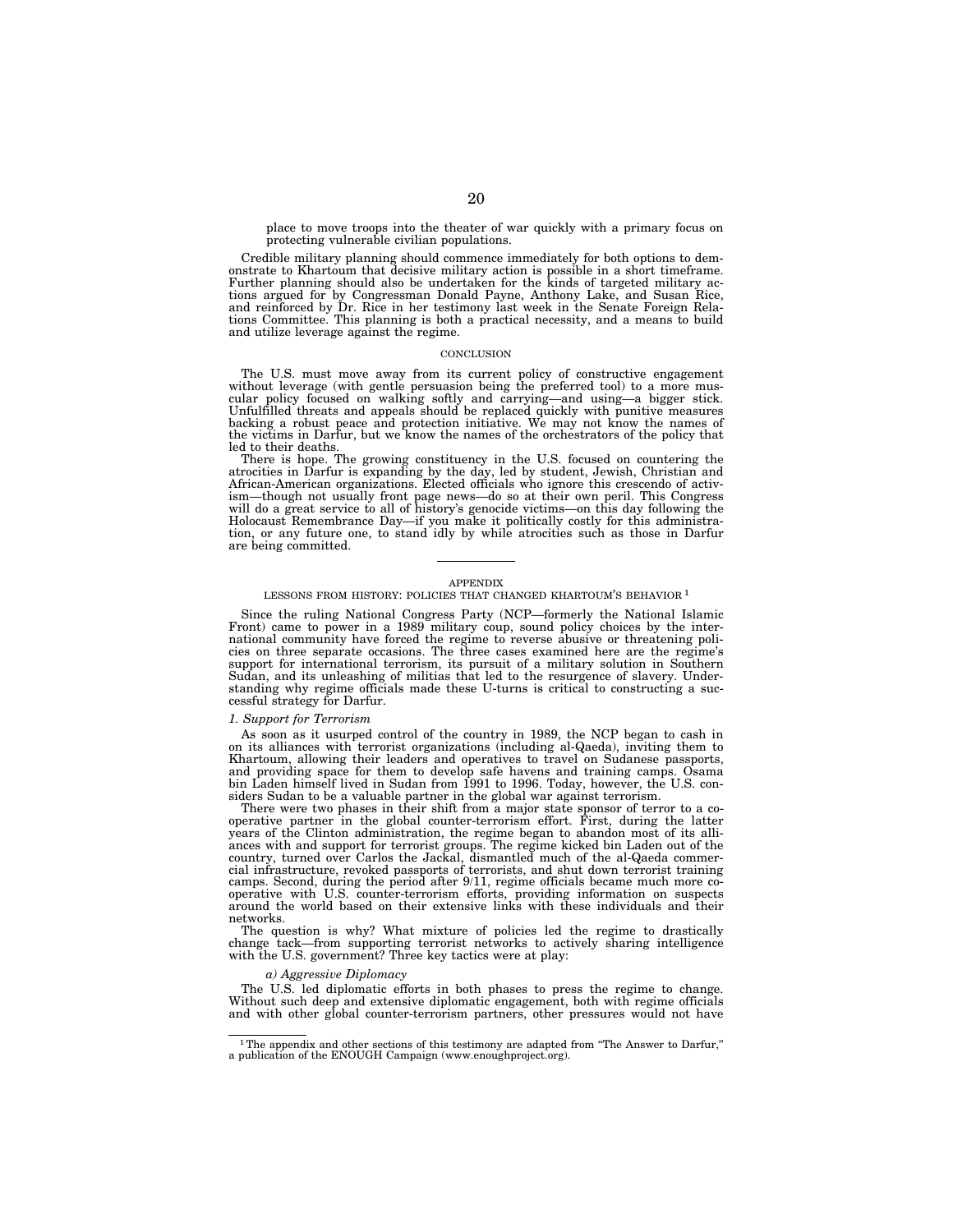place to move troops into the theater of war quickly with a primary focus on protecting vulnerable civilian populations.

Credible military planning should commence immediately for both options to demonstrate to Khartoum that decisive military action is possible in a short timeframe. Further planning should also be undertaken for the kinds of targeted military actions argued for by Congressman Donald Payne, Anthony Lake, and Susan Rice, and reinforced by Dr. Rice in her testimony last week in the Senate Foreign Relations Committee. This planning is both a practical necessity, and a means to build and utilize leverage against the regime.

#### **CONCLUSION**

The U.S. must move away from its current policy of constructive engagement without leverage (with gentle persuasion being the preferred tool) to a more mus-cular policy focused on walking softly and carrying—and using—a bigger stick. Unfulfilled threats and appeals should be replaced quickly with punitive measures backing a robust peace and protection initiative. We may not know the names of the victims in Darfur, but we know the names of the orchestrators of the policy that led to their deaths.

There is hope. The growing constituency in the U.S. focused on countering the atrocities in Darfur is expanding by the day, led by student, Jewish, Christian and African-American organizations. Elected officials who ignore this crescendo of activism—though not usually front page news—do so at their own peril. This Congress will do a great service to all of history's genocide victims—on this day following the Holocaust Remembrance Day—if you make it politically costly for this administration, or any future one, to stand idly by while atrocities such as those in Darfur are being committed.

#### APPENDIX

#### LESSONS FROM HISTORY: POLICIES THAT CHANGED KHARTOUM'S BEHAVIOR 1

Since the ruling National Congress Party (NCP—formerly the National Islamic Front) came to power in a 1989 military coup, sound policy choices by the international community have forced the regime to reverse abusive or threatening policies on three separate occasions. The three cases examined here are the regime's support for international terrorism, its pursuit of a military solution in Southern Sudan, and its unleashing of militias that led to the resurgence of slavery. Understanding why regime officials made these U-turns is critical to constructing a successful strategy for Darfur.

#### *1. Support for Terrorism*

As soon as it usurped control of the country in 1989, the NCP began to cash in on its alliances with terrorist organizations (including al-Qaeda), inviting them to Khartoum, allowing their leaders and operatives to travel on Sudanese passports, and providing space for them to develop safe havens and training camps. Osama bin Laden himself lived in Sudan from 1991 to 1996. Today, however, the U.S. considers Sudan to be a valuable partner in the global war against terrorism.

There were two phases in their shift from a major state sponsor of terror to a cooperative partner in the global counter-terrorism effort. First, during the latter years of the Clinton administration, the regime began to abandon most of its alliances with and support for terrorist groups. The regime kicked bin Laden out of the country, turned over Carlos the Jackal, dismantled much o cial infrastructure, revoked passports of terrorists, and shut down terrorist training camps. Second, during the period after 9/11, regime officials became much more co-<br>operative with U.S. counter-terrorism efforts, providing information on suspects<br>around the world based on their extensive links with these networks.

The question is why? What mixture of policies led the regime to drastically change tack—from supporting terrorist networks to actively sharing intelligence with the U.S. government? Three key tactics were at play:

#### *a) Aggressive Diplomacy*

The U.S. led diplomatic efforts in both phases to press the regime to change. Without such deep and extensive diplomatic engagement, both with regime officials and with other global counter-terrorism partners, other pressures would not have

<sup>&</sup>lt;sup>1</sup>The appendix and other sections of this testimony are adapted from "The Answer to Darfur," a publication of the ENOUGH Campaign (www.enoughproject.org).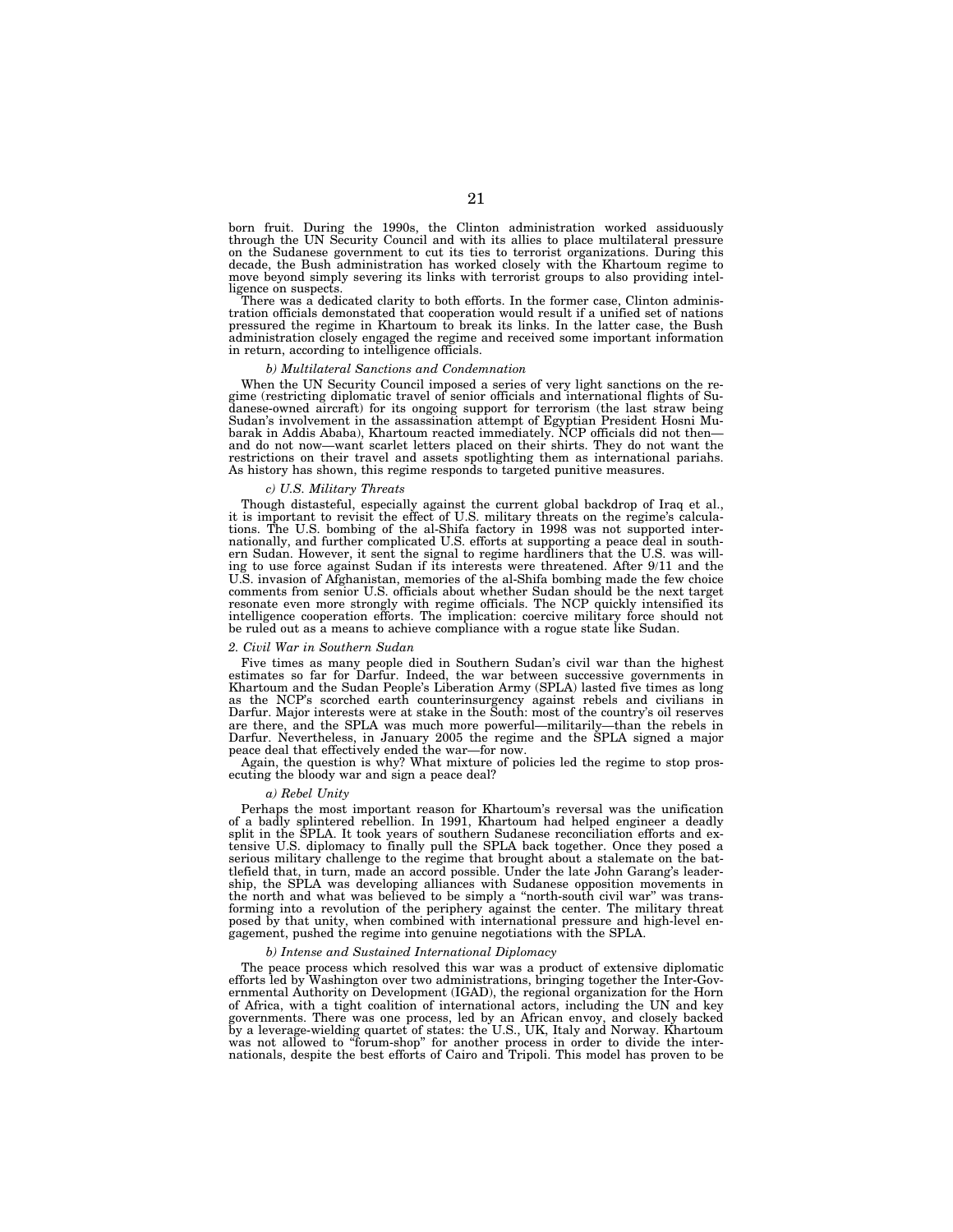born fruit. During the 1990s, the Clinton administration worked assiduously through the UN Security Council and with its allies to place multilateral pressure on the Sudanese government to cut its ties to terrorist organizations. During this decade, the Bush administration has worked closely with the Khartoum regime to move beyond simply severing its links with terrorist groups to also providing intelligence on suspects.

There was a dedicated clarity to both efforts. In the former case, Clinton administration officials demonstated that cooperation would result if a unified set of nations pressured the regime in Khartoum to break its links. In the latter case, the Bush administration closely engaged the regime and received some important information in return, according to intelligence officials.

#### *b) Multilateral Sanctions and Condemnation*

When the UN Security Council imposed a series of very light sanctions on the regime (restricting diplomatic travel of senior officials and international flights of Su-danese-owned aircraft) for its ongoing support for terrorism (the last straw being Sudan's involvement in the assassination attempt of Egyptian President Hosni Mu-barak in Addis Ababa), Khartoum reacted immediately. NCP officials did not then and do not now—want scarlet letters placed on their shirts. They do not want the restrictions on their travel and assets spotlighting them as international pariahs. As history has shown, this regime responds to targeted punitive measures.

#### *c) U.S. Military Threats*

Though distasteful, especially against the current global backdrop of Iraq et al., it is important to revisit the effect of U.S. military threats on the regime's calculations. The U.S. bombing of the al-Shifa factory in 1998 was not supported internationally, and further complicated U.S. efforts at supporting a peace deal in southern Sudan. However, it sent the signal to regime hardliners that the U.S. was willing to use force against Sudan if its interests were threatened. After 9/11 and the U.S. invasion of Afghanistan, memories of the al-Shifa bombing made the few choice comments from senior U.S. officials about whether Sudan should be the next target resonate even more strongly with regime officials. The NCP quickly intensified its intelligence cooperation efforts. The implication: coercive military force should not be ruled out as a means to achieve compliance with a rogue state like Sudan.

#### *2. Civil War in Southern Sudan*

Five times as many people died in Southern Sudan's civil war than the highest estimates so far for Darfur. Indeed, the war between successive governments in Khartoum and the Sudan People's Liberation Army (SPLA) lasted five times as long as the NCP's scorched earth counterinsurgency against rebels and civilians in Darfur. Major interests were at stake in the South: most of the country's oil reserves are there, and the SPLA was much more powerful—militarily—than the rebels in Darfur. Nevertheless, in January 2005 the regime and the SPLA signed a major peace deal that effectively ended the war—for now.

Again, the question is why? What mixture of policies led the regime to stop prosecuting the bloody war and sign a peace deal?

#### *a) Rebel Unity*

Perhaps the most important reason for Khartoum's reversal was the unification of a badly splintered rebellion. In 1991, Khartoum had helped engineer a deadly split in the SPLA. It took years of southern Sudanese reconciliation efforts and extensive U.S. diplomacy to finally pull the SPLA back together. Once they posed a serious military challenge to the regime that brought about a stalemate on the battlefield that, in turn, made an accord possible. Under the late John Garang's leadership, the SPLA was developing alliances with Sudanese opposition movements in the north and what was believed to be simply a "north-south civil war" was transforming into a revolution of the periphery against the center. The military threat posed by that unity, when combined with international pressure and high-level engagement, pushed the regime into genuine negotiations with the SPLA.

#### *b) Intense and Sustained International Diplomacy*

The peace process which resolved this war was a product of extensive diplomatic efforts led by Washington over two administrations, bringing together the Inter-Governmental Authority on Development (IGAD), the regional organization for the Horn of Africa, with a tight coalition of international actors, including the UN and key governments. There was one process, led by an African envoy, and closely backed by a leverage-wielding quartet of states: the U.S., UK, Italy and Norway. Khartoum was not allowed to ''forum-shop'' for another process in order to divide the internationals, despite the best efforts of Cairo and Tripoli. This model has proven to be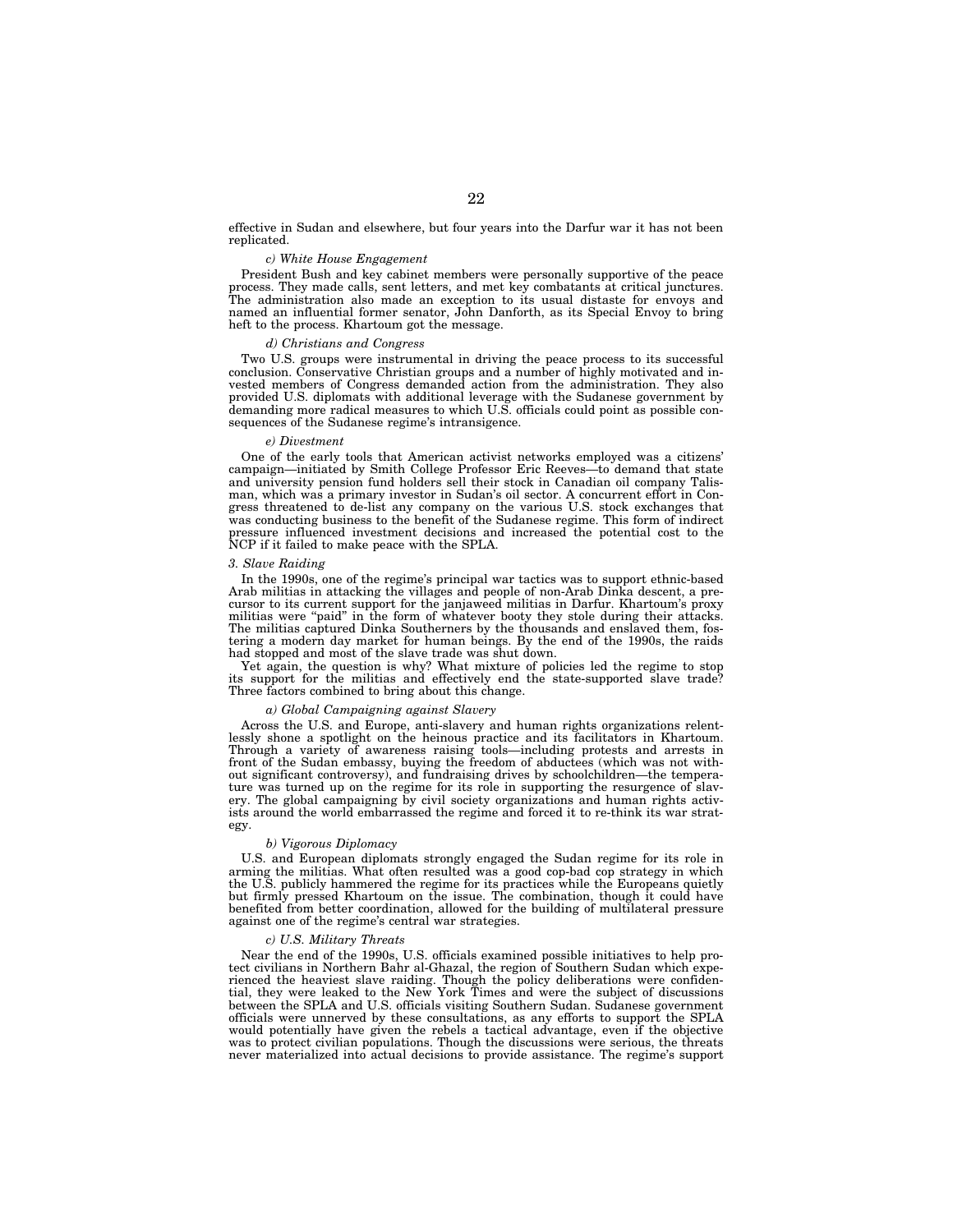effective in Sudan and elsewhere, but four years into the Darfur war it has not been replicated.

#### *c) White House Engagement*

President Bush and key cabinet members were personally supportive of the peace process. They made calls, sent letters, and met key combatants at critical junctures. The administration also made an exception to its usual distaste for envoys and named an influential former senator, John Danforth, as its Special Envoy to bring heft to the process. Khartoum got the message.

#### *d) Christians and Congress*

Two U.S. groups were instrumental in driving the peace process to its successful conclusion. Conservative Christian groups and a number of highly motivated and invested members of Congress demanded action from the administration. They also provided U.S. diplomats with additional leverage with the Sudanese government by demanding more radical measures to which U.S. officials could point as possible consequences of the Sudanese regime's intransigence.

#### *e) Divestment*

One of the early tools that American activist networks employed was a citizens' campaign—initiated by Smith College Professor Eric Reeves—to demand that state and university pension fund holders sell their stock in Canadian oil company Talisman, which was a primary investor in Sudan's oil sector. A concurrent effort in Congress threatened to de-list any company on the various U.S. stock exchanges that was conducting business to the benefit of the Sudanese regime. This form of indirect pressure influenced investment decisions and increased the potential cost to the NCP if it failed to make peace with the SPLA.

#### *3. Slave Raiding*

In the 1990s, one of the regime's principal war tactics was to support ethnic-based Arab militias in attacking the villages and people of non-Arab Dinka descent, a precursor to its current support for the janjaweed militias in Darfur. Khartoum's proxy militias were "paid" in the form of whatever booty they stole during their attacks. The militias captured Dinka Southerners by the thousands and enslaved them, fostering a modern day market for human beings. By the end of the 1990s, the raids had stopped and most of the slave trade was shut down.

Yet again, the question is why? What mixture of policies led the regime to stop its support for the militias and effectively end the state-supported slave trade? Three factors combined to bring about this change.

#### *a) Global Campaigning against Slavery*

Across the U.S. and Europe, anti-slavery and human rights organizations relentlessly shone a spotlight on the heinous practice and its facilitators in Khartoum. Through a variety of awareness raising tools—including protests and arrests in front of the Sudan embassy, buying the freedom of abductees (which was not without significant controversy), and fundraising drives by schoolchildren—the temperature was turned up on the regime for its role in supporting the resurgence of slavery. The global campaigning by civil society organizations and human rights activists around the world embarrassed the regime and forced it to re-think its war strategy.

#### *b) Vigorous Diplomacy*

U.S. and European diplomats strongly engaged the Sudan regime for its role in arming the militias. What often resulted was a good cop-bad cop strategy in which the U.S. publicly hammered the regime for its practices while the Europeans quietly but firmly pressed Khartoum on the issue. The combination, though it could have benefited from better coordination, allowed for the building of multilateral pressure against one of the regime's central war strategies.

#### *c) U.S. Military Threats*

Near the end of the 1990s, U.S. officials examined possible initiatives to help protect civilians in Northern Bahr al-Ghazal, the region of Southern Sudan which experienced the heaviest slave raiding. Though the policy deliberations were confidential, they were leaked to the New York Times and were the subject of discussions between the SPLA and U.S. officials visiting Southern Sudan. Sudanese government officials were unnerved by these consultations, as any efforts to support the SPLA would potentially have given the rebels a tactical advantage, even if the objective was to protect civilian populations. Though the discussions were serious, the threats never materialized into actual decisions to provide assistance. The regime's support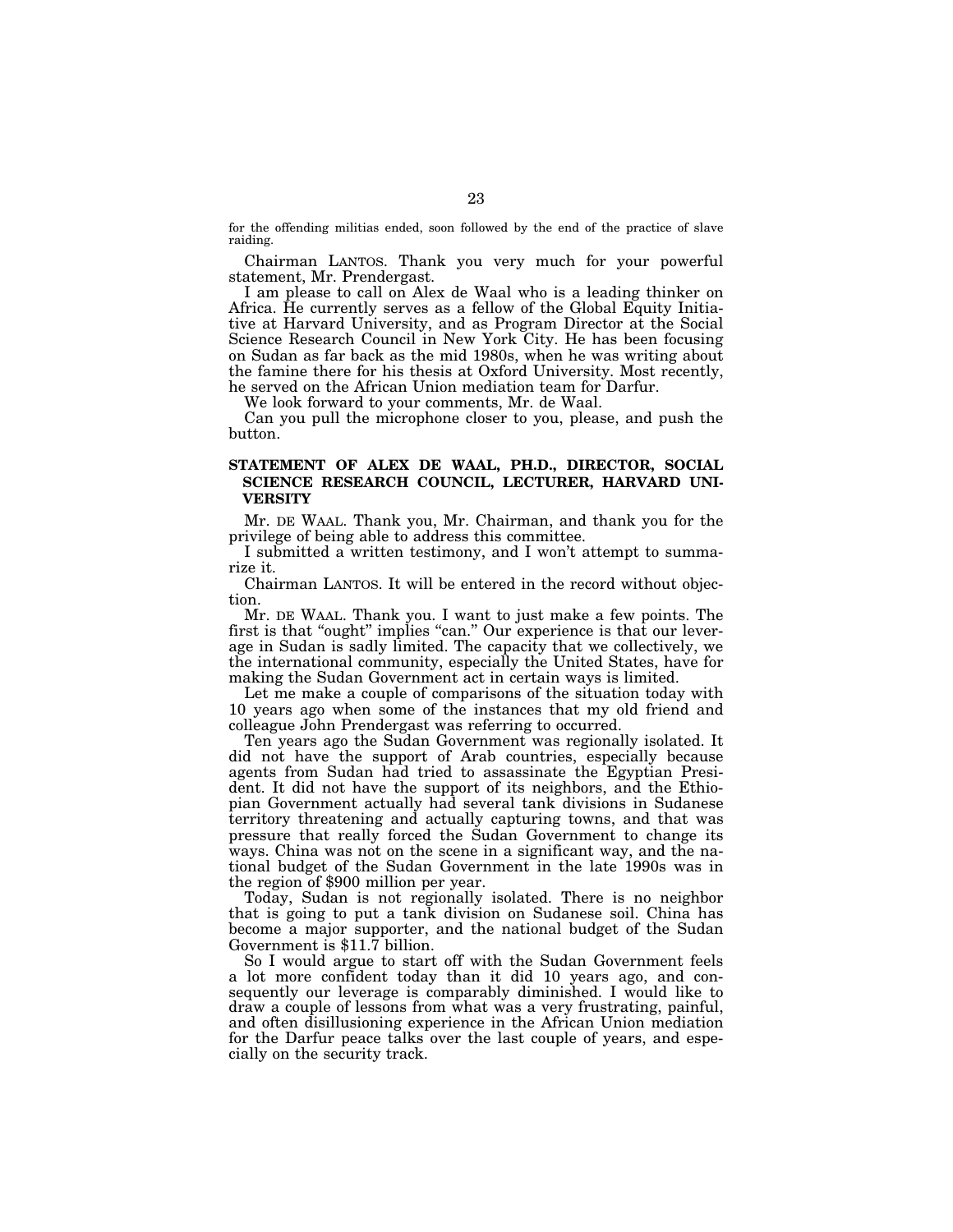for the offending militias ended, soon followed by the end of the practice of slave raiding.

Chairman LANTOS. Thank you very much for your powerful statement, Mr. Prendergast.

I am please to call on Alex de Waal who is a leading thinker on Africa. He currently serves as a fellow of the Global Equity Initiative at Harvard University, and as Program Director at the Social Science Research Council in New York City. He has been focusing on Sudan as far back as the mid 1980s, when he was writing about the famine there for his thesis at Oxford University. Most recently, he served on the African Union mediation team for Darfur.

We look forward to your comments, Mr. de Waal.

Can you pull the microphone closer to you, please, and push the button.

# **STATEMENT OF ALEX DE WAAL, PH.D., DIRECTOR, SOCIAL SCIENCE RESEARCH COUNCIL, LECTURER, HARVARD UNI-VERSITY**

Mr. DE WAAL. Thank you, Mr. Chairman, and thank you for the privilege of being able to address this committee.

I submitted a written testimony, and I won't attempt to summarize it.

Chairman LANTOS. It will be entered in the record without objection.

Mr. DE WAAL. Thank you. I want to just make a few points. The first is that "ought" implies "can." Our experience is that our leverage in Sudan is sadly limited. The capacity that we collectively, we the international community, especially the United States, have for making the Sudan Government act in certain ways is limited.

Let me make a couple of comparisons of the situation today with 10 years ago when some of the instances that my old friend and colleague John Prendergast was referring to occurred.

Ten years ago the Sudan Government was regionally isolated. It did not have the support of Arab countries, especially because agents from Sudan had tried to assassinate the Egyptian President. It did not have the support of its neighbors, and the Ethiopian Government actually had several tank divisions in Sudanese territory threatening and actually capturing towns, and that was pressure that really forced the Sudan Government to change its ways. China was not on the scene in a significant way, and the national budget of the Sudan Government in the late 1990s was in the region of \$900 million per year.

Today, Sudan is not regionally isolated. There is no neighbor that is going to put a tank division on Sudanese soil. China has become a major supporter, and the national budget of the Sudan Government is \$11.7 billion.

So I would argue to start off with the Sudan Government feels a lot more confident today than it did 10 years ago, and consequently our leverage is comparably diminished. I would like to draw a couple of lessons from what was a very frustrating, painful, and often disillusioning experience in the African Union mediation for the Darfur peace talks over the last couple of years, and especially on the security track.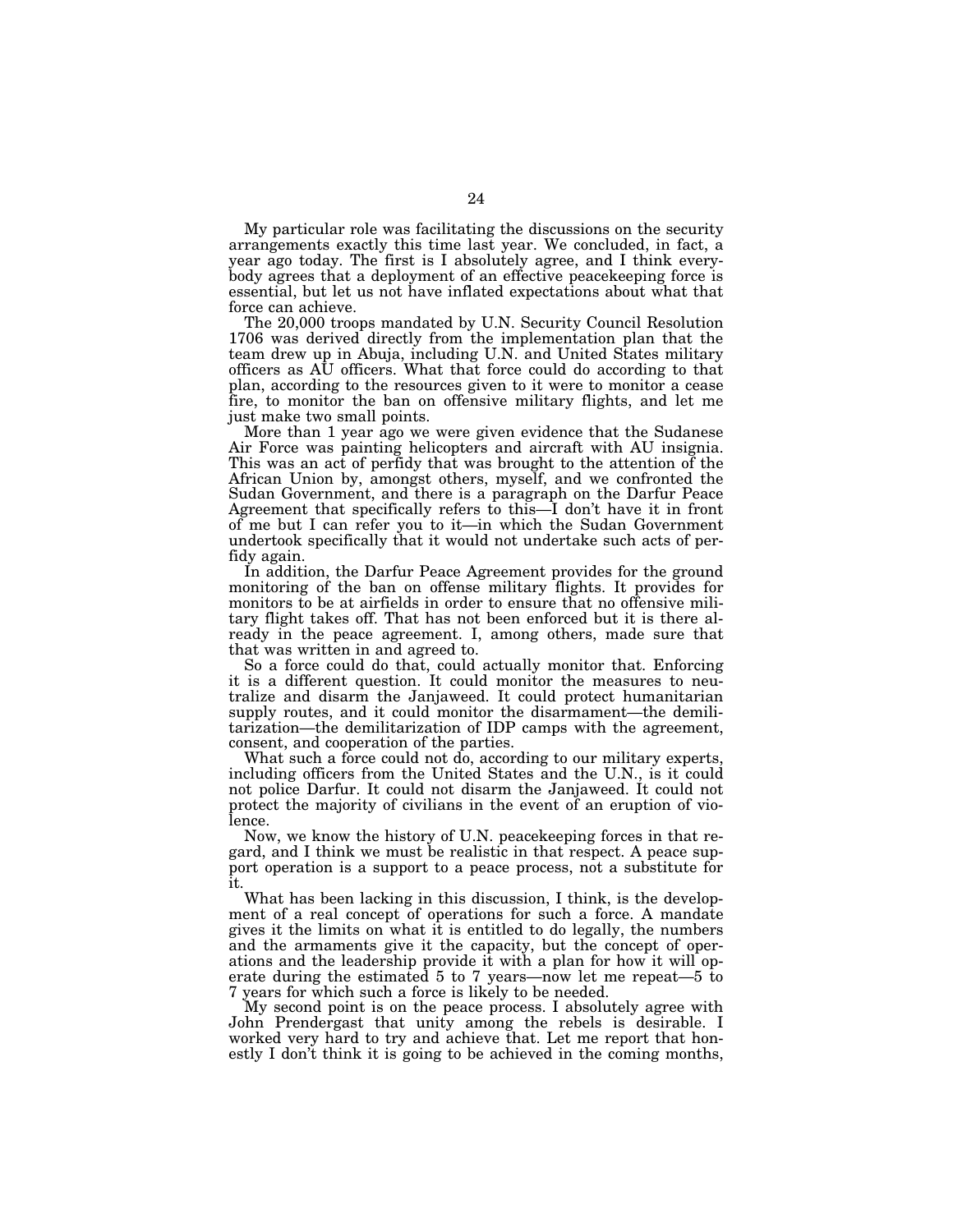My particular role was facilitating the discussions on the security arrangements exactly this time last year. We concluded, in fact, a year ago today. The first is I absolutely agree, and I think everybody agrees that a deployment of an effective peacekeeping force is essential, but let us not have inflated expectations about what that force can achieve.

The 20,000 troops mandated by U.N. Security Council Resolution 1706 was derived directly from the implementation plan that the team drew up in Abuja, including U.N. and United States military officers as AU officers. What that force could do according to that plan, according to the resources given to it were to monitor a cease fire, to monitor the ban on offensive military flights, and let me just make two small points.

More than 1 year ago we were given evidence that the Sudanese Air Force was painting helicopters and aircraft with AU insignia. This was an act of perfidy that was brought to the attention of the African Union by, amongst others, myself, and we confronted the Sudan Government, and there is a paragraph on the Darfur Peace Agreement that specifically refers to this—I don't have it in front of me but I can refer you to it—in which the Sudan Government undertook specifically that it would not undertake such acts of perfidy again.

In addition, the Darfur Peace Agreement provides for the ground monitoring of the ban on offense military flights. It provides for monitors to be at airfields in order to ensure that no offensive military flight takes off. That has not been enforced but it is there already in the peace agreement. I, among others, made sure that that was written in and agreed to.

So a force could do that, could actually monitor that. Enforcing it is a different question. It could monitor the measures to neutralize and disarm the Janjaweed. It could protect humanitarian supply routes, and it could monitor the disarmament—the demilitarization—the demilitarization of IDP camps with the agreement, consent, and cooperation of the parties.

What such a force could not do, according to our military experts, including officers from the United States and the U.N., is it could not police Darfur. It could not disarm the Janjaweed. It could not protect the majority of civilians in the event of an eruption of violence.

Now, we know the history of U.N. peacekeeping forces in that regard, and I think we must be realistic in that respect. A peace support operation is a support to a peace process, not a substitute for it.

What has been lacking in this discussion, I think, is the development of a real concept of operations for such a force. A mandate gives it the limits on what it is entitled to do legally, the numbers and the armaments give it the capacity, but the concept of operations and the leadership provide it with a plan for how it will operate during the estimated 5 to 7 years—now let me repeat—5 to 7 years for which such a force is likely to be needed.

My second point is on the peace process. I absolutely agree with John Prendergast that unity among the rebels is desirable. I worked very hard to try and achieve that. Let me report that honestly I don't think it is going to be achieved in the coming months,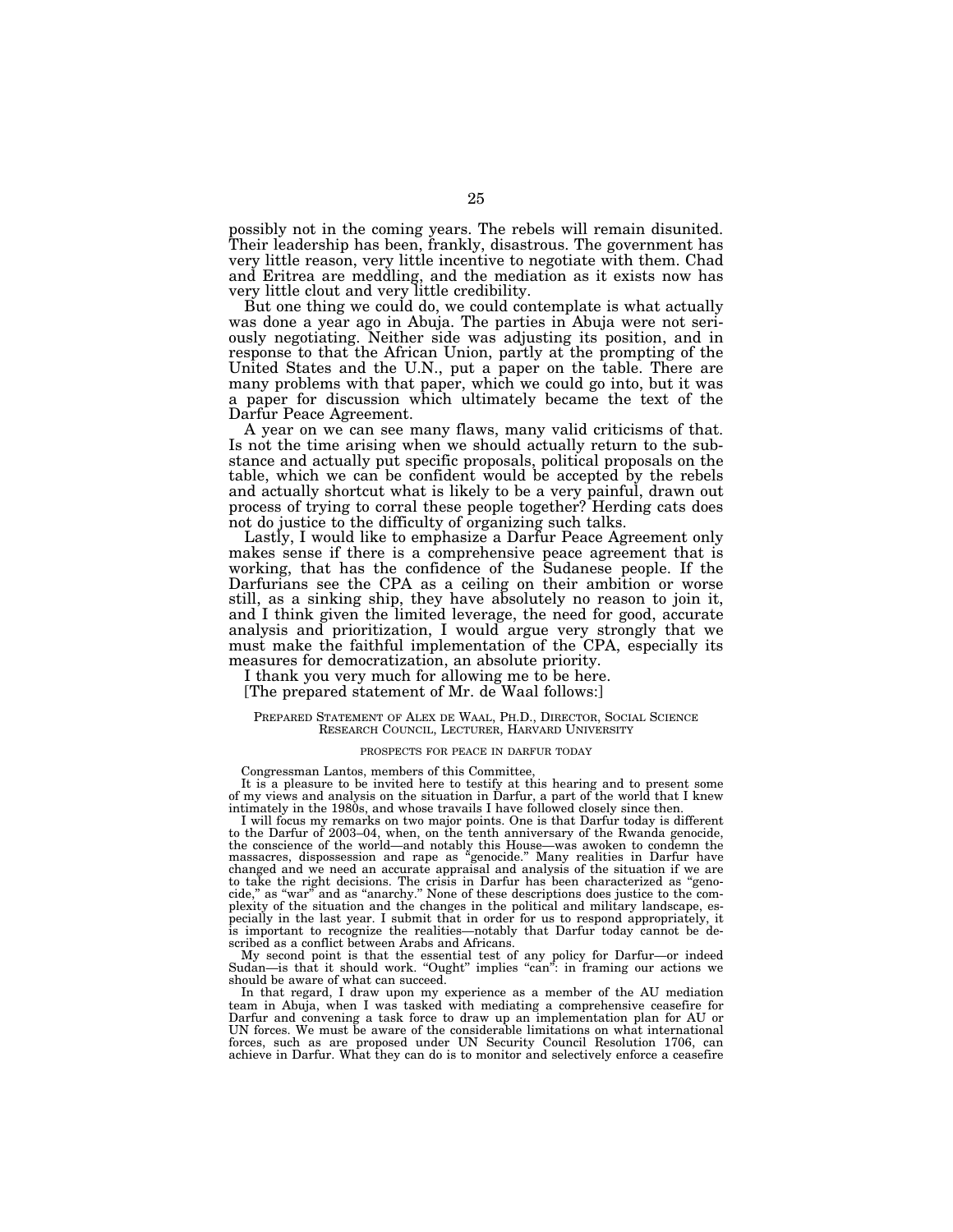possibly not in the coming years. The rebels will remain disunited. Their leadership has been, frankly, disastrous. The government has very little reason, very little incentive to negotiate with them. Chad and Eritrea are meddling, and the mediation as it exists now has very little clout and very little credibility.

But one thing we could do, we could contemplate is what actually was done a year ago in Abuja. The parties in Abuja were not seriously negotiating. Neither side was adjusting its position, and in response to that the African Union, partly at the prompting of the United States and the U.N., put a paper on the table. There are many problems with that paper, which we could go into, but it was a paper for discussion which ultimately became the text of the Darfur Peace Agreement.

A year on we can see many flaws, many valid criticisms of that. Is not the time arising when we should actually return to the substance and actually put specific proposals, political proposals on the table, which we can be confident would be accepted by the rebels and actually shortcut what is likely to be a very painful, drawn out process of trying to corral these people together? Herding cats does not do justice to the difficulty of organizing such talks.

Lastly, I would like to emphasize a Darfur Peace Agreement only makes sense if there is a comprehensive peace agreement that is working, that has the confidence of the Sudanese people. If the Darfurians see the CPA as a ceiling on their ambition or worse still, as a sinking ship, they have absolutely no reason to join it, and I think given the limited leverage, the need for good, accurate analysis and prioritization, I would argue very strongly that we must make the faithful implementation of the CPA, especially its measures for democratization, an absolute priority.

I thank you very much for allowing me to be here.

[The prepared statement of Mr. de Waal follows:]

#### PREPARED STATEMENT OF ALEX DE WAAL, PH.D., DIRECTOR, SOCIAL SCIENCE RESEARCH COUNCIL, LECTURER, HARVARD UNIVERSITY

#### PROSPECTS FOR PEACE IN DARFUR TODAY

Congressman Lantos, members of this Committee,

It is a pleasure to be invited here to testify at this hearing and to present some of my views and analysis on the situation in Darfur, a part of the world that I knew intimately in the 1980s, and whose travails I have followed closely since then.

I will focus my remarks on two major points. One is that Darfur today is different to the Darfur of 2003–04, when, on the tenth anniversary of the Rwanda genocide, the conscience of the world—and notably this House—was awoken to condemn the massacres, dispossession and rape as ''genocide.'' Many realities in Darfur have changed and we need an accurate appraisal and analysis of the situation if we are to take the right decisions. The crisis in Darfur has been characterized as ''geno-cide,'' as ''war'' and as ''anarchy.'' None of these descriptions does justice to the complexity of the situation and the changes in the political and military landscape, especially in the last year. I submit that in order for us to respond appropriately, it is important to recognize the realities—notably that Darfur today cannot be described as a conflict between Arabs and Africans.

My second point is that the essential test of any policy for Darfur—or indeed Sudan—is that it should work. "Ought" implies "can": in framing our actions we should be aware of what can succeed.

In that regard, I draw upon my experience as a member of the AU mediation team in Abuja, when I was tasked with mediating a comprehensive ceasefire for Darfur and convening a task force to draw up an implementation plan for AU or UN forces. We must be aware of the considerable limitations on what international forces, such as are proposed under UN Security Council Resolution 1706, can achieve in Darfur. What they can do is to monitor and selectively enforce a ceasefire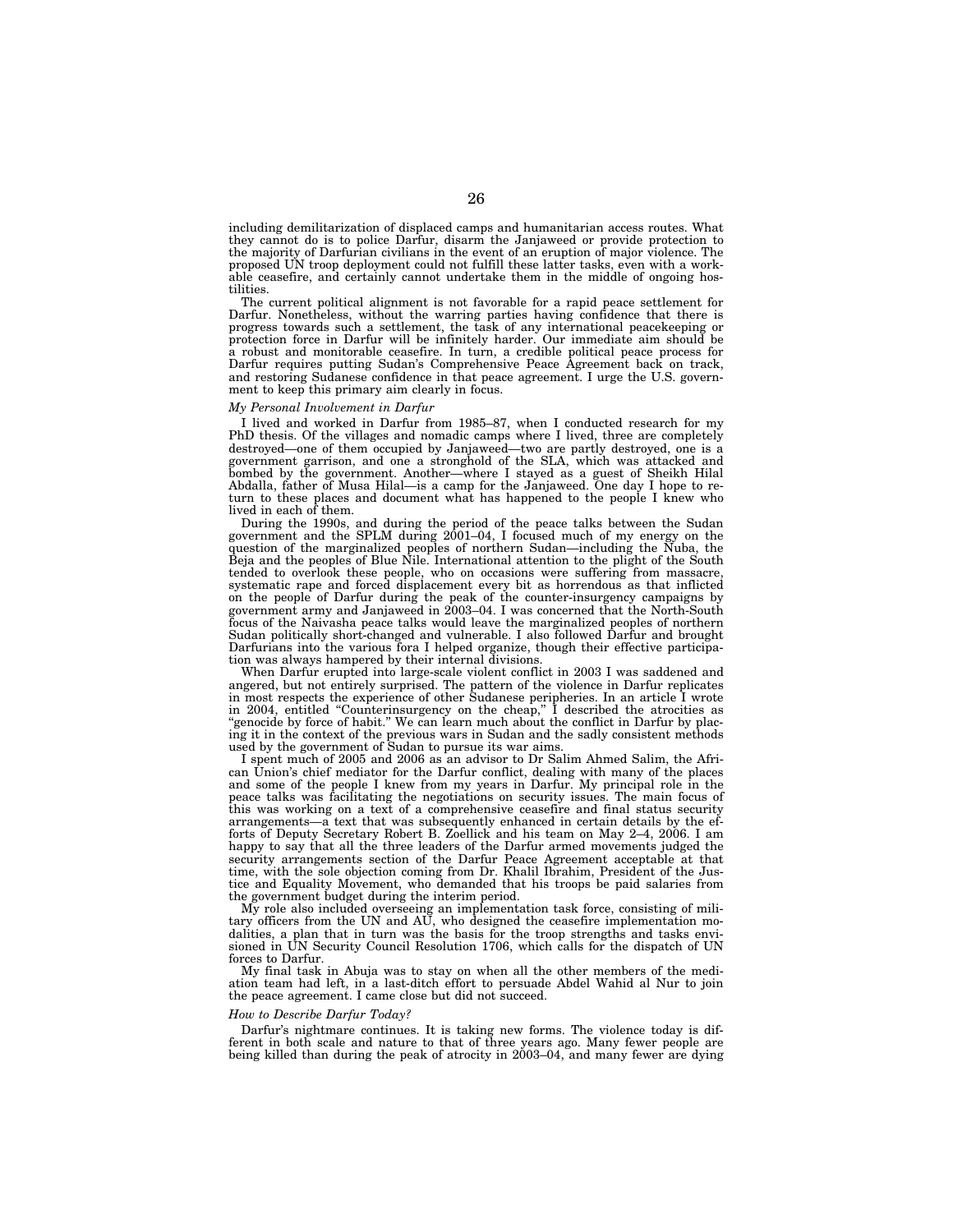including demilitarization of displaced camps and humanitarian access routes. What they cannot do is to police Darfur, disarm the Janjaweed or provide protection to the majority of Darfurian civilians in the event of an eruption of major violence. The proposed UN troop deployment could not fulfill these latter tasks, even with a workable ceasefire, and certainly cannot undertake them in the middle of ongoing hostilities.

The current political alignment is not favorable for a rapid peace settlement for Darfur. Nonetheless, without the warring parties having confidence that there is progress towards such a settlement, the task of any international peacekeeping or protection force in Darfur will be infinitely harder. Our immediate aim should be a robust and monitorable ceasefire. In turn, a credible political peace process for Darfur requires putting Sudan's Comprehensive Peace Agreement back on track, and restoring Sudanese confidence in that peace agreement. I urge the U.S. government to keep this primary aim clearly in focus.

#### *My Personal Involvement in Darfur*

I lived and worked in Darfur from 1985–87, when I conducted research for my PhD thesis. Of the villages and nomadic camps where I lived, three are completely destroyed—one of them occupied by Janjaweed—two are partly destroyed, one is a government garrison, and one a stronghold of the SLA, which was attacked and bombed by the government. Another—where I stayed as a guest of Sheikh Hilal Abdalla, father of Musa Hilal—is a camp for the Janjaweed. One day I hope to return to these places and document what has happened to the people I knew who lived in each of them.

During the 1990s, and during the period of the peace talks between the Sudan government and the SPLM during 2001–04, I focused much of my energy on the question of the marginalized peoples of northern Sudan—including the Nuba, the Beja and the peoples of Blue Nile. International attention to the plight of the South tended to overlook these people, who on occasions were suffering from massacre, systematic rape and forced displacement every bit as horrendous as that inflicted on the people of Darfur during the peak of the counter-insurgency campaigns by government army and Janjaweed in 2003–04. I was concerned that the North-South focus of the Naivasha peace talks would leave the marginalized peoples of northern Sudan politically short-changed and vulnerable. I also followed Darfur and brought Darfurians into the various fora I helped organize, though their effective participation was always hampered by their internal divisions.

When Darfur erupted into large-scale violent conflict in 2003 I was saddened and angered, but not entirely surprised. The pattern of the violence in Darfur replicates in most respects the experience of other Sudanese peripheries. In an article I wrote in 2004, entitled ''Counterinsurgency on the cheap,'' I described the atrocities as ''genocide by force of habit.'' We can learn much about the conflict in Darfur by placing it in the context of the previous wars in Sudan and the sadly consistent methods used by the government of Sudan to pursue its war aims.

I spent much of 2005 and 2006 as an advisor to Dr Salim Ahmed Salim, the African Union's chief mediator for the Darfur conflict, dealing with many of the places and some of the people I knew from my years in Darfur. My principal role in the peace talks was facilitating the negotiations on security issues. The main focus of this was working on a text of a comprehensive ceasefire and final status security arrangements—a text that was subsequently enhanced in certain details by the efforts of Deputy Secretary Robert B. Zoellick and his team on May 2–4, 2006. I am happy to say that all the three leaders of the Darfur armed movements judged the security arrangements section of the Darfur Peace Agreement acceptable at that time, with the sole objection coming from Dr. Khalil Ibrahim, President of the Justice and Equality Movement, who demanded that his troops be paid salaries from the government budget during the interim period.

My role also included overseeing an implementation task force, consisting of military officers from the UN and AU, who designed the ceasefire implementation modalities, a plan that in turn was the basis for the troop strengths and tasks envisioned in UN Security Council Resolution 1706, which calls for the dispatch of UN forces to Darfur.

My final task in Abuja was to stay on when all the other members of the mediation team had left, in a last-ditch effort to persuade Abdel Wahid al Nur to join the peace agreement. I came close but did not succeed.

#### *How to Describe Darfur Today?*

Darfur's nightmare continues. It is taking new forms. The violence today is dif-ferent in both scale and nature to that of three years ago. Many fewer people are being killed than during the peak of atrocity in 2003–04, and many fewer are dying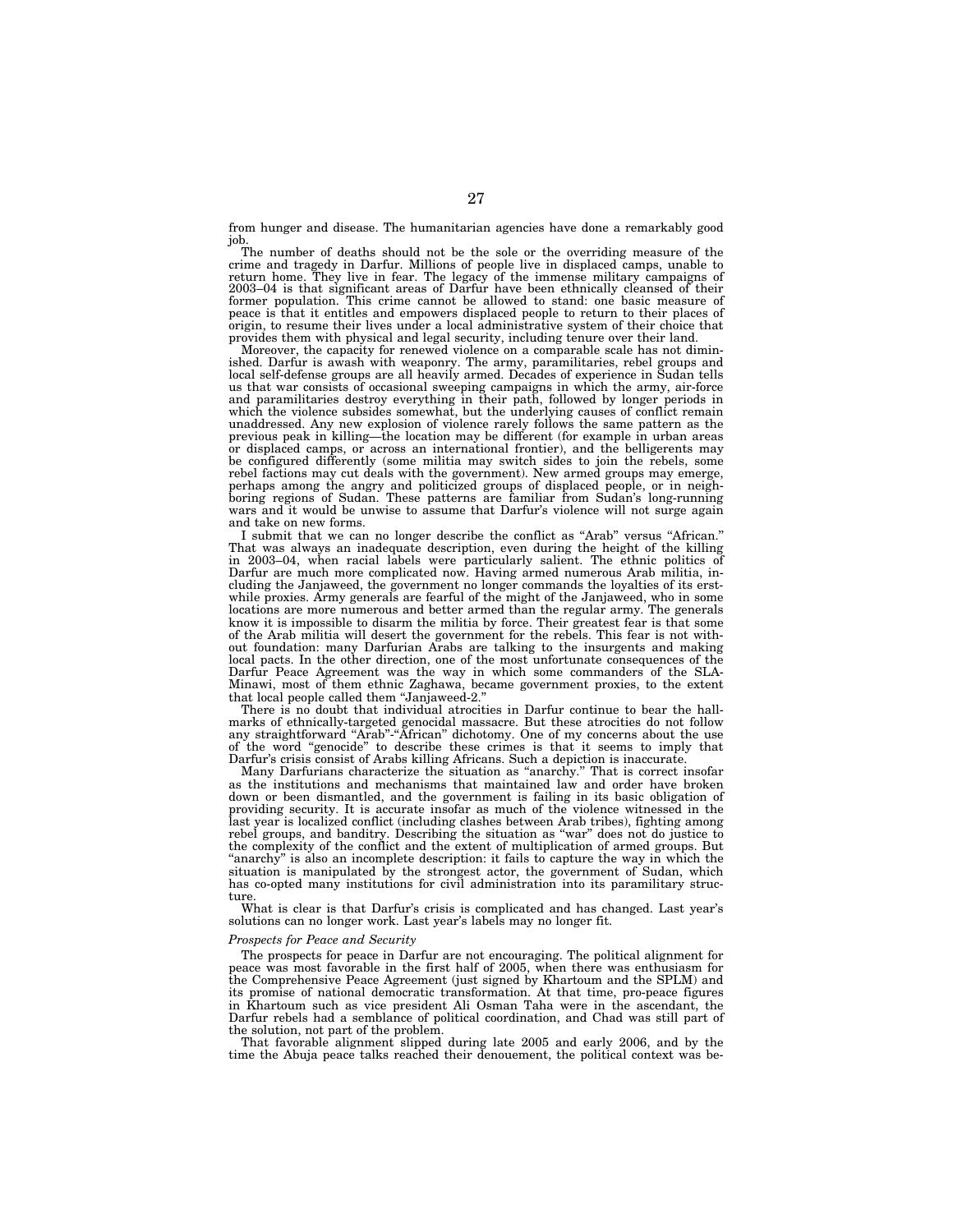from hunger and disease. The humanitarian agencies have done a remarkably good job.

The number of deaths should not be the sole or the overriding measure of the crime and tragedy in Darfur. Millions of people live in displaced camps, unable to return home. They live in fear. The legacy of the immense military campaigns of 2003–04 is that significant areas of Darfur have been ethnically cleansed of their former population. This crime cannot be allowed to stand: o peace is that it entitles and empowers displaced people to return to their places of origin, to resume their lives under a local administrative system of their choice that provides them with physical and legal security, including tenure over their land.

Moreover, the capacity for renewed violence on a comparable scale has not diminished. Darfur is awash with weaponry. The army, paramilitaries, rebel groups and local self-defense groups are all heavily armed. Decades of experience in Sudan tells us that war consists of occasional sweeping campaigns in which the army, air-force and paramilitaries destroy everything in their path, followed by longer periods in which the violence subsides somewhat, but the underlying causes of conflict remain unaddressed. Any new explosion of violence rarely follows the same pattern as the previous peak in killing—the location may be different (for example in urban areas or displaced camps, or across an international frontier), and the belligerents may be configured differently (some militia may switch sides to join the rebels, some rebel factions may cut deals with the government). New armed groups may emerge, perhaps among the angry and politicized groups of displaced people, or in neighboring regions of Sudan. These patterns are familiar from Sudan's long-running wars and it would be unwise to assume that Darfur's violence will not surge again and take on new forms.

I submit that we can no longer describe the conflict as "Arab" versus "African." That was always an inadequate description, even during the height of the killing in 2003–04, when racial labels were particularly salient. The ethnic politics of Darfur are much more complicated now. Having armed numerous Arab militia, including the Janjaweed, the government no longer commands the loyalties of its erstwhile proxies. Army generals are fearful of the might of the Janjaweed, who in some locations are more numerous and better armed than the regular army. The generals know it is impossible to disarm the militia by force. Their greatest fear is that some of the Arab militia will desert the government for the rebels. This fear is not without foundation: many Darfurian Arabs are talking to the insurgents and making local pacts. In the other direction, one of the most unfortunate consequences of the Darfur Peace Agreement was the way in which some commanders of the SLA-Minawi, most of them ethnic Zaghawa, became government proxies, to the extent that local people called them ''Janjaweed-2.''

There is no doubt that individual atrocities in Darfur continue to bear the hallmarks of ethnically-targeted genocidal massacre. But these atrocities do not follow any straightforward ''Arab''-''African'' dichotomy. One of my concerns about the use of the word ''genocide'' to describe these crimes is that it seems to imply that Darfur's crisis consist of Arabs killing Africans. Such a depiction is inaccurate.

Many Darfurians characterize the situation as ''anarchy.'' That is correct insofar as the institutions and mechanisms that maintained law and order have broken down or been dismantled, and the government is failing in its basic obligation of providing security. It is accurate insofar as much of the violence witnessed in the last year is localized conflict (including clashes between Arab tribes), fighting among rebel groups, and banditry. Describing the situation as ''war'' does not do justice to the complexity of the conflict and the extent of multiplication of armed groups. But "anarchy" is also an incomplete description: it fails to capture the way in which the situation is manipulated by the strongest actor, the government of Sudan, which has co-opted many institutions for civil administration into its paramilitary structure.

What is clear is that Darfur's crisis is complicated and has changed. Last year's solutions can no longer work. Last year's labels may no longer fit.

#### *Prospects for Peace and Security*

The prospects for peace in Darfur are not encouraging. The political alignment for peace was most favorable in the first half of 2005, when there was enthusiasm for the Comprehensive Peace Agreement (just signed by Khartoum and the SPLM) and its promise of national democratic transformation. At that time, pro-peace figures in Khartoum such as vice president Ali Osman Taha were in the ascendant, the Darfur rebels had a semblance of political coordination, and Chad was still part of the solution, not part of the problem.

That favorable alignment slipped during late 2005 and early 2006, and by the time the Abuja peace talks reached their denouement, the political context was be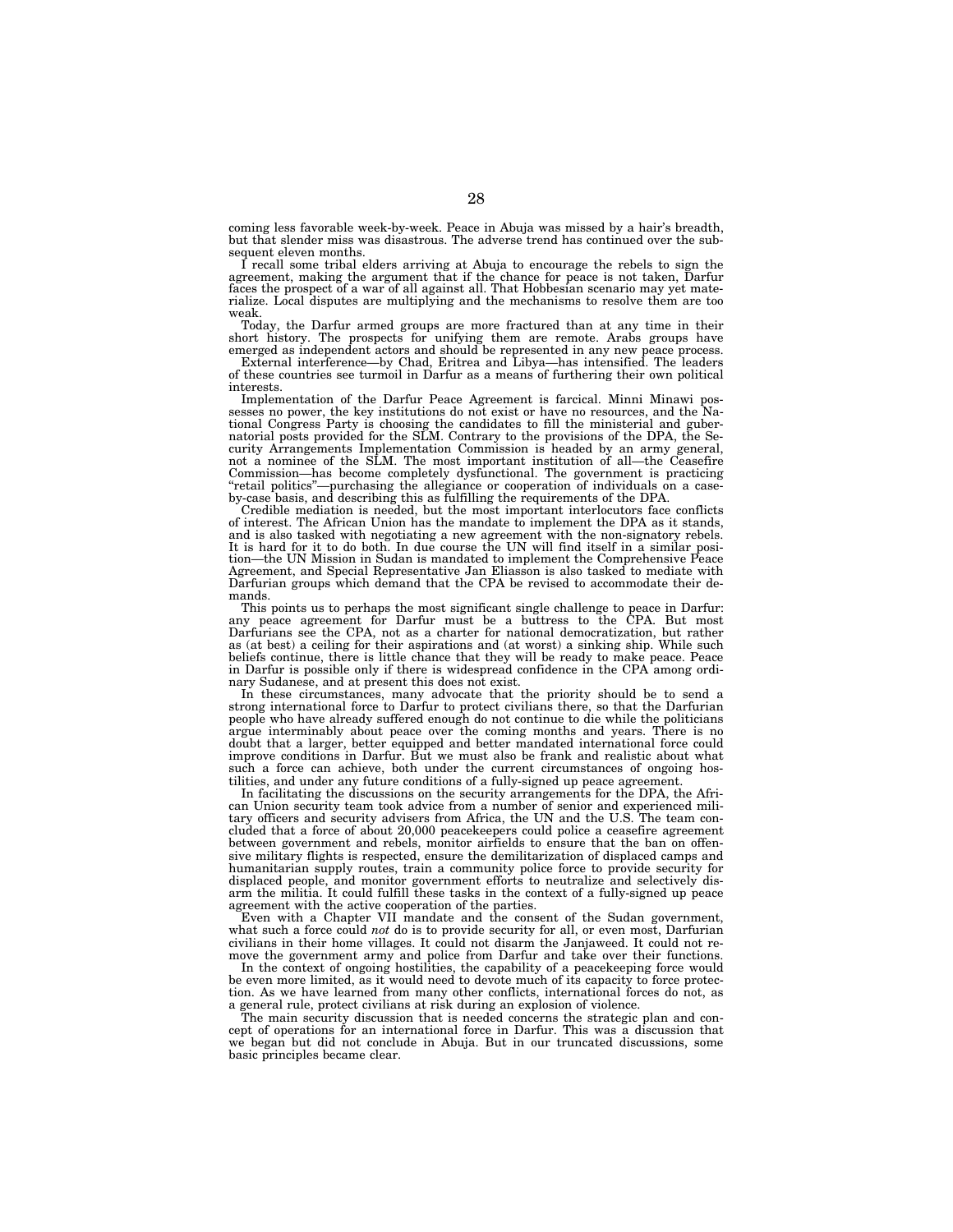coming less favorable week-by-week. Peace in Abuja was missed by a hair's breadth, but that slender miss was disastrous. The adverse trend has continued over the subsequent eleven months.

I recall some tribal elders arriving at Abuja to encourage the rebels to sign the agreement, making the argument that if the chance for peace is not taken, Darfur faces the prospect of a war of all against all. That Hobbesian scenario may yet materialize. Local disputes are multiplying and the mechanisms to resolve them are too weak.

Today, the Darfur armed groups are more fractured than at any time in their

short history. The prospects for unifying them are remote. Arabs groups have<br>emerged as independent actors and should be represented in any new peace process.<br>External interference—by Chad, Eritrea and Libya—has intensifie interests.

Implementation of the Darfur Peace Agreement is farcical. Minni Minawi possesses no power, the key institutions do not exist or have no resources, and the National Congress Party is choosing the candidates to fill the ministerial and gubernatorial posts provided for the SLM. Contrary to the provisions of the DPA, the Security Arrangements Implementation Commission is headed by an army general, not a nominee of the SLM. The most important institution of all—the Ceasefire Commission—has become completely dysfunctional. The government is practicing ''retail politics''—purchasing the allegiance or cooperation of individuals on a case-by-case basis, and describing this as fulfilling the requirements of the DPA.

Credible mediation is needed, but the most important interlocutors face conflicts of interest. The African Union has the mandate to implement the DPA as it stands, and is also tasked with negotiating a new agreement with the non-signatory rebels. It is hard for it to do both. In due course the UN will find itself in a similar position—the UN Mission in Sudan is mandated to implement the Comprehensive Peace Agreement, and Special Representative Jan Eliasson is also tasked to mediate with Darfurian groups which demand that the CPA be revised to accommodate their demands.

This points us to perhaps the most significant single challenge to peace in Darfur: any peace agreement for Darfur must be a buttress to the CPA. But most Darfurians see the CPA, not as a charter for national democratization, but rather as (at best) a ceiling for their aspirations and (at worst) a sinking ship. While such beliefs continue, there is little chance that they will be ready to make peace. Peace in Darfur is possible only if there is widespread confidence in the CPA among ordinary Sudanese, and at present this does not exist.

In these circumstances, many advocate that the priority should be to send a strong international force to Darfur to protect civilians there, so that the Darfurian people who have already suffered enough do not continue to die while the politicians argue interminably about peace over the coming months and years. There is no doubt that a larger, better equipped and better mandated international force could improve conditions in Darfur. But we must also be frank and realistic about what such a force can achieve, both under the current circumstances of ongoing hostilities, and under any future conditions of a fully-signed up peace agreement.

In facilitating the discussions on the security arrangements for the DPA, the African Union security team took advice from a number of senior and experienced military officers and security advisers from Africa, the UN and the U.S. The team concluded that a force of about 20,000 peacekeepers could police a ceasefire agreement between government and rebels, monitor airfields to ensure that the ban on offensive military flights is respected, ensure the demilitarization of displaced camps and humanitarian supply routes, train a community police force to provide security for displaced people, and monitor government efforts to neutralize and selectively disarm the militia. It could fulfill these tasks in the context of a fully-signed up peace agreement with the active cooperation of the parties.

Even with a Chapter VII mandate and the consent of the Sudan government, what such a force could *not* do is to provide security for all, or even most, Darfurian civilians in their home villages. It could not disarm the Janjaweed. It could not remove the government army and police from Darfur and take over their functions.

In the context of ongoing hostilities, the capability of a peacekeeping force would be even more limited, as it would need to devote much of its capacity to force protection. As we have learned from many other conflicts, international forces do not, as a general rule, protect civilians at risk during an explosion of violence.

The main security discussion that is needed concerns the strategic plan and concept of operations for an international force in Darfur. This was a discussion that we began but did not conclude in Abuja. But in our truncated discussions, some basic principles became clear.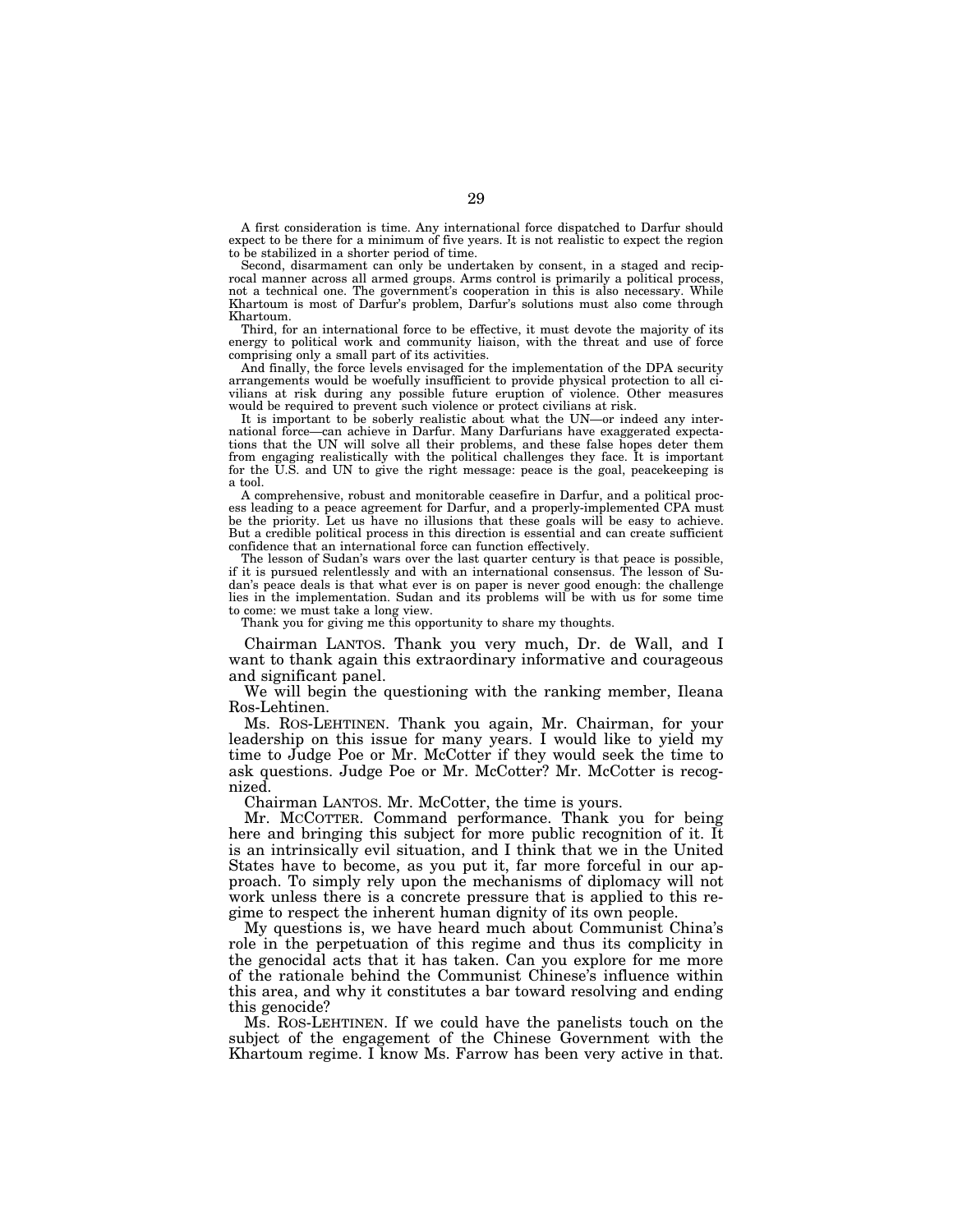A first consideration is time. Any international force dispatched to Darfur should expect to be there for a minimum of five years. It is not realistic to expect the region to be stabilized in a shorter period of time.

Second, disarmament can only be undertaken by consent, in a staged and reciprocal manner across all armed groups. Arms control is primarily a political process, not a technical one. The government's cooperation in this is also necessary. While Khartoum is most of Darfur's problem, Darfur's solutions must also come through Khartoum.

Third, for an international force to be effective, it must devote the majority of its energy to political work and community liaison, with the threat and use of force comprising only a small part of its activities.

And finally, the force levels envisaged for the implementation of the DPA security arrangements would be woefully insufficient to provide physical protection to all civilians at risk during any possible future eruption of violence. Other measures would be required to prevent such violence or protect civilians at risk.

It is important to be soberly realistic about what the UN—or indeed any international force—can achieve in Darfur. Many Darfurians have exaggerated expectations that the UN will solve all their problems, and these false hopes deter them from engaging realistically with the political challenges they face. It is important for the U.S. and UN to give the right message: peace is the goal, peacekeeping is a tool.

A comprehensive, robust and monitorable ceasefire in Darfur, and a political process leading to a peace agreement for Darfur, and a properly-implemented CPA must be the priority. Let us have no illusions that these goals will be easy to achieve. But a credible political process in this direction is essential and can create sufficient confidence that an international force can function effectively.

The lesson of Sudan's wars over the last quarter century is that peace is possible, if it is pursued relentlessly and with an international consensus. The lesson of Sudan's peace deals is that what ever is on paper is never good enough: the challenge lies in the implementation. Sudan and its problems will be with us for some time to come: we must take a long view.

Thank you for giving me this opportunity to share my thoughts.

Chairman LANTOS. Thank you very much, Dr. de Wall, and I want to thank again this extraordinary informative and courageous and significant panel.

We will begin the questioning with the ranking member, Ileana Ros-Lehtinen.

Ms. ROS-LEHTINEN. Thank you again, Mr. Chairman, for your leadership on this issue for many years. I would like to yield my time to Judge Poe or Mr. McCotter if they would seek the time to ask questions. Judge Poe or Mr. McCotter? Mr. McCotter is recognized.

Chairman LANTOS. Mr. McCotter, the time is yours.

Mr. MCCOTTER. Command performance. Thank you for being here and bringing this subject for more public recognition of it. It is an intrinsically evil situation, and I think that we in the United States have to become, as you put it, far more forceful in our approach. To simply rely upon the mechanisms of diplomacy will not work unless there is a concrete pressure that is applied to this regime to respect the inherent human dignity of its own people.

My questions is, we have heard much about Communist China's role in the perpetuation of this regime and thus its complicity in the genocidal acts that it has taken. Can you explore for me more of the rationale behind the Communist Chinese's influence within this area, and why it constitutes a bar toward resolving and ending this genocide?

Ms. ROS-LEHTINEN. If we could have the panelists touch on the subject of the engagement of the Chinese Government with the Khartoum regime. I know Ms. Farrow has been very active in that.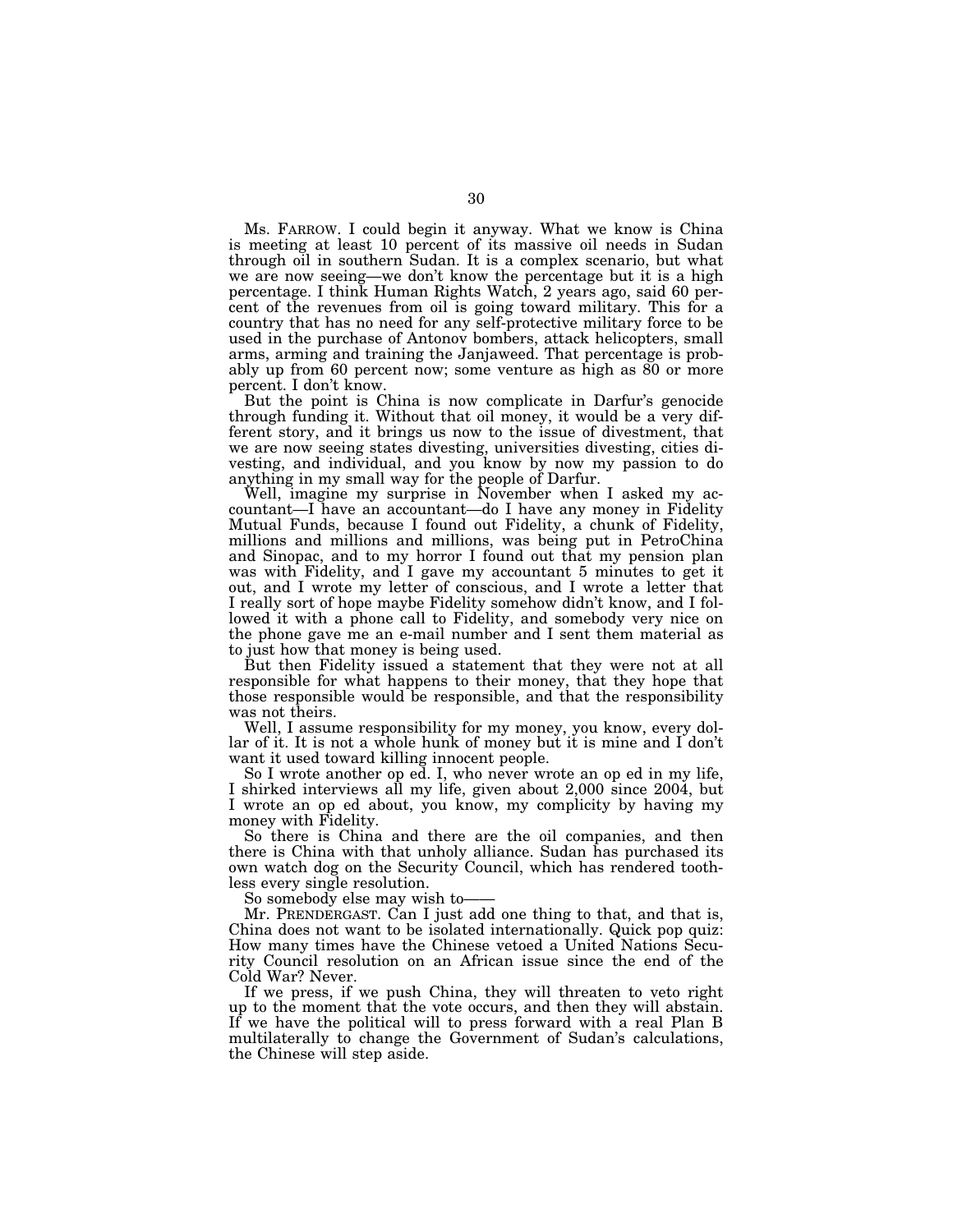Ms. FARROW. I could begin it anyway. What we know is China is meeting at least 10 percent of its massive oil needs in Sudan through oil in southern Sudan. It is a complex scenario, but what we are now seeing—we don't know the percentage but it is a high percentage. I think Human Rights Watch, 2 years ago, said 60 percent of the revenues from oil is going toward military. This for a country that has no need for any self-protective military force to be used in the purchase of Antonov bombers, attack helicopters, small arms, arming and training the Janjaweed. That percentage is probably up from 60 percent now; some venture as high as 80 or more percent. I don't know.

But the point is China is now complicate in Darfur's genocide through funding it. Without that oil money, it would be a very different story, and it brings us now to the issue of divestment, that we are now seeing states divesting, universities divesting, cities divesting, and individual, and you know by now my passion to do anything in my small way for the people of Darfur.

Well, imagine my surprise in November when I asked my accountant—I have an accountant—do I have any money in Fidelity Mutual Funds, because I found out Fidelity, a chunk of Fidelity, millions and millions and millions, was being put in PetroChina and Sinopac, and to my horror I found out that my pension plan was with Fidelity, and I gave my accountant 5 minutes to get it out, and I wrote my letter of conscious, and I wrote a letter that I really sort of hope maybe Fidelity somehow didn't know, and I followed it with a phone call to Fidelity, and somebody very nice on the phone gave me an e-mail number and I sent them material as to just how that money is being used.

But then Fidelity issued a statement that they were not at all responsible for what happens to their money, that they hope that those responsible would be responsible, and that the responsibility was not theirs.

Well, I assume responsibility for my money, you know, every dollar of it. It is not a whole hunk of money but it is mine and I don't want it used toward killing innocent people.

So I wrote another op ed. I, who never wrote an op ed in my life, I shirked interviews all my life, given about 2,000 since 2004, but I wrote an op ed about, you know, my complicity by having my money with Fidelity.

So there is China and there are the oil companies, and then there is China with that unholy alliance. Sudan has purchased its own watch dog on the Security Council, which has rendered toothless every single resolution.

So somebody else may wish to——

Mr. PRENDERGAST. Can I just add one thing to that, and that is, China does not want to be isolated internationally. Quick pop quiz: How many times have the Chinese vetoed a United Nations Security Council resolution on an African issue since the end of the Cold War? Never.

If we press, if we push China, they will threaten to veto right up to the moment that the vote occurs, and then they will abstain. If we have the political will to press forward with a real Plan B multilaterally to change the Government of Sudan's calculations, the Chinese will step aside.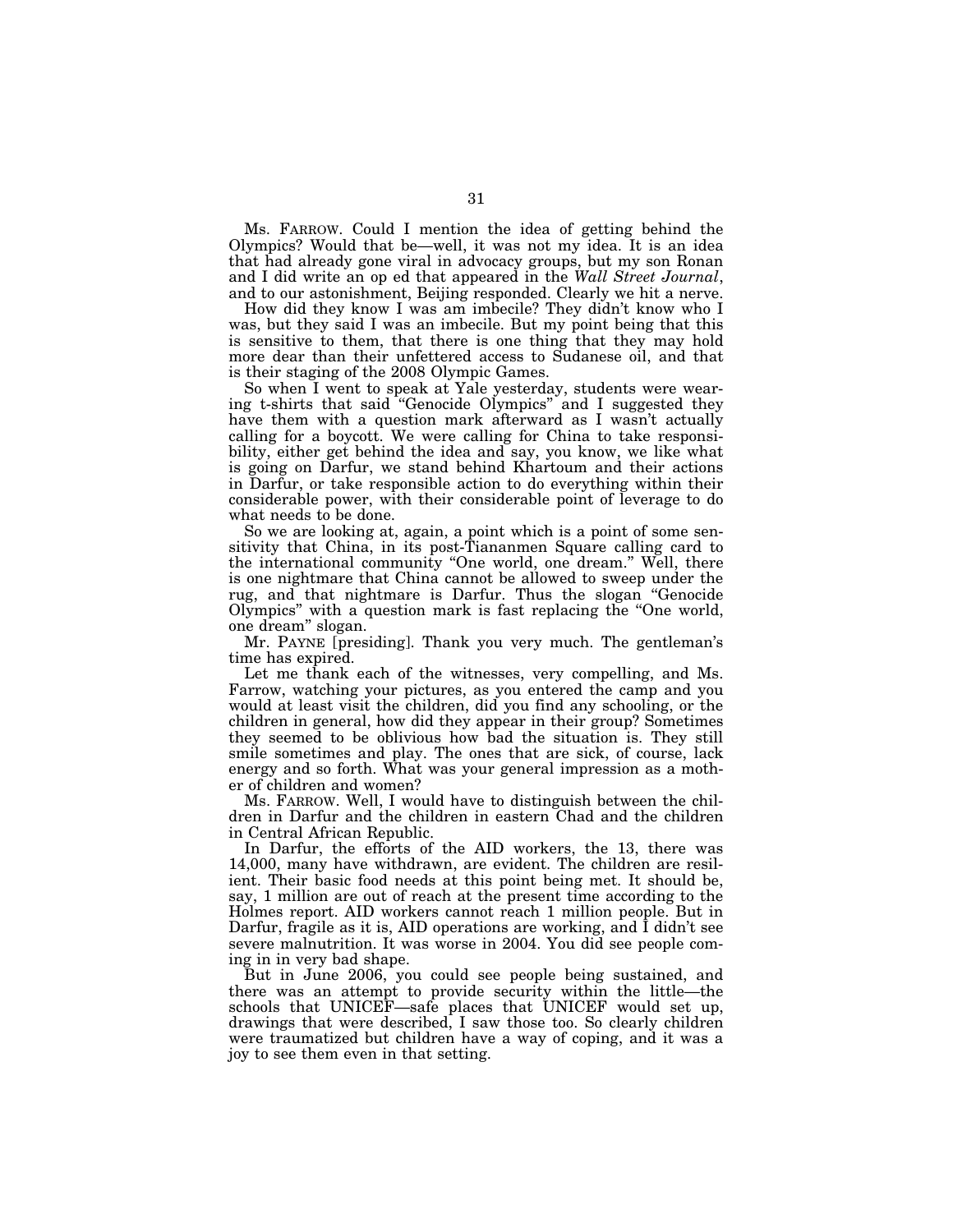Ms. FARROW. Could I mention the idea of getting behind the Olympics? Would that be—well, it was not my idea. It is an idea that had already gone viral in advocacy groups, but my son Ronan and I did write an op ed that appeared in the *Wall Street Journal*, and to our astonishment, Beijing responded. Clearly we hit a nerve.

How did they know I was am imbecile? They didn't know who I was, but they said I was an imbecile. But my point being that this is sensitive to them, that there is one thing that they may hold more dear than their unfettered access to Sudanese oil, and that is their staging of the 2008 Olympic Games.

So when I went to speak at Yale yesterday, students were wearing t-shirts that said ''Genocide Olympics'' and I suggested they have them with a question mark afterward as I wasn't actually calling for a boycott. We were calling for China to take responsibility, either get behind the idea and say, you know, we like what is going on Darfur, we stand behind Khartoum and their actions in Darfur, or take responsible action to do everything within their considerable power, with their considerable point of leverage to do what needs to be done.

So we are looking at, again, a point which is a point of some sensitivity that China, in its post-Tiananmen Square calling card to the international community ''One world, one dream.'' Well, there is one nightmare that China cannot be allowed to sweep under the rug, and that nightmare is Darfur. Thus the slogan ''Genocide Olympics" with a question mark is fast replacing the "One world, one dream'' slogan.

Mr. PAYNE [presiding]. Thank you very much. The gentleman's time has expired.

Let me thank each of the witnesses, very compelling, and Ms. Farrow, watching your pictures, as you entered the camp and you would at least visit the children, did you find any schooling, or the children in general, how did they appear in their group? Sometimes they seemed to be oblivious how bad the situation is. They still smile sometimes and play. The ones that are sick, of course, lack energy and so forth. What was your general impression as a mother of children and women?

Ms. FARROW. Well, I would have to distinguish between the children in Darfur and the children in eastern Chad and the children in Central African Republic.

In Darfur, the efforts of the AID workers, the 13, there was 14,000, many have withdrawn, are evident. The children are resilient. Their basic food needs at this point being met. It should be, say, 1 million are out of reach at the present time according to the Holmes report. AID workers cannot reach 1 million people. But in Darfur, fragile as it is, AID operations are working, and I didn't see severe malnutrition. It was worse in 2004. You did see people coming in in very bad shape.

But in June 2006, you could see people being sustained, and there was an attempt to provide security within the little—the schools that UNICEF—safe places that UNICEF would set up, drawings that were described, I saw those too. So clearly children were traumatized but children have a way of coping, and it was a joy to see them even in that setting.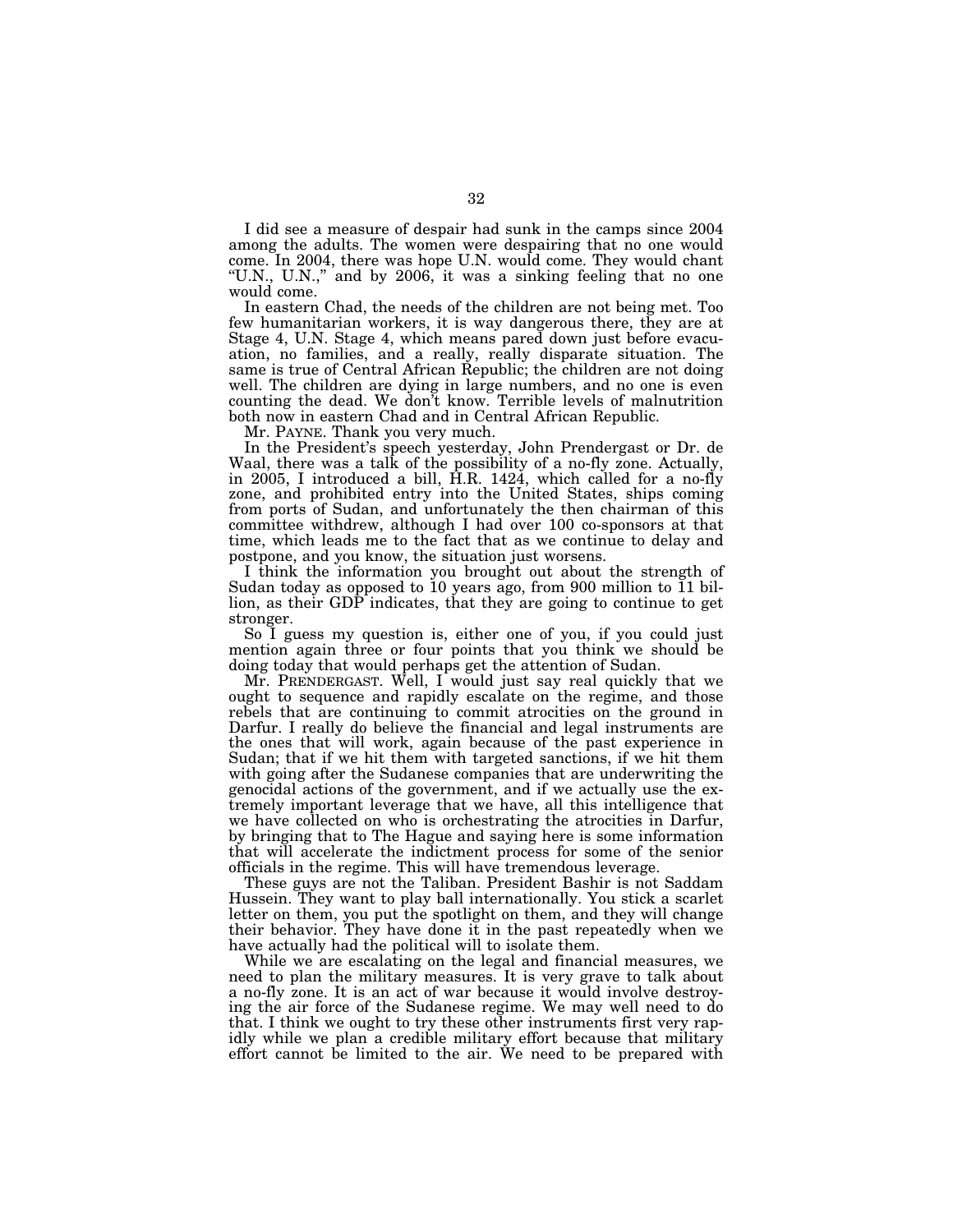I did see a measure of despair had sunk in the camps since 2004 among the adults. The women were despairing that no one would come. In 2004, there was hope U.N. would come. They would chant "U.N., U.N.," and by 2006, it was a sinking feeling that no one would come.

In eastern Chad, the needs of the children are not being met. Too few humanitarian workers, it is way dangerous there, they are at Stage 4, U.N. Stage 4, which means pared down just before evacuation, no families, and a really, really disparate situation. The same is true of Central African Republic; the children are not doing well. The children are dying in large numbers, and no one is even counting the dead. We don't know. Terrible levels of malnutrition both now in eastern Chad and in Central African Republic.

Mr. PAYNE. Thank you very much.

In the President's speech yesterday, John Prendergast or Dr. de Waal, there was a talk of the possibility of a no-fly zone. Actually, in 2005, I introduced a bill, H.R. 1424, which called for a no-fly zone, and prohibited entry into the United States, ships coming from ports of Sudan, and unfortunately the then chairman of this committee withdrew, although I had over 100 co-sponsors at that time, which leads me to the fact that as we continue to delay and postpone, and you know, the situation just worsens.

I think the information you brought out about the strength of Sudan today as opposed to 10 years ago, from 900 million to 11 billion, as their GDP indicates, that they are going to continue to get stronger.

So I guess my question is, either one of you, if you could just mention again three or four points that you think we should be doing today that would perhaps get the attention of Sudan.

Mr. PRENDERGAST. Well, I would just say real quickly that we ought to sequence and rapidly escalate on the regime, and those rebels that are continuing to commit atrocities on the ground in Darfur. I really do believe the financial and legal instruments are the ones that will work, again because of the past experience in Sudan; that if we hit them with targeted sanctions, if we hit them with going after the Sudanese companies that are underwriting the genocidal actions of the government, and if we actually use the extremely important leverage that we have, all this intelligence that we have collected on who is orchestrating the atrocities in Darfur, by bringing that to The Hague and saying here is some information that will accelerate the indictment process for some of the senior officials in the regime. This will have tremendous leverage.

These guys are not the Taliban. President Bashir is not Saddam Hussein. They want to play ball internationally. You stick a scarlet letter on them, you put the spotlight on them, and they will change their behavior. They have done it in the past repeatedly when we have actually had the political will to isolate them.

While we are escalating on the legal and financial measures, we need to plan the military measures. It is very grave to talk about a no-fly zone. It is an act of war because it would involve destroying the air force of the Sudanese regime. We may well need to do that. I think we ought to try these other instruments first very rapidly while we plan a credible military effort because that military effort cannot be limited to the air. We need to be prepared with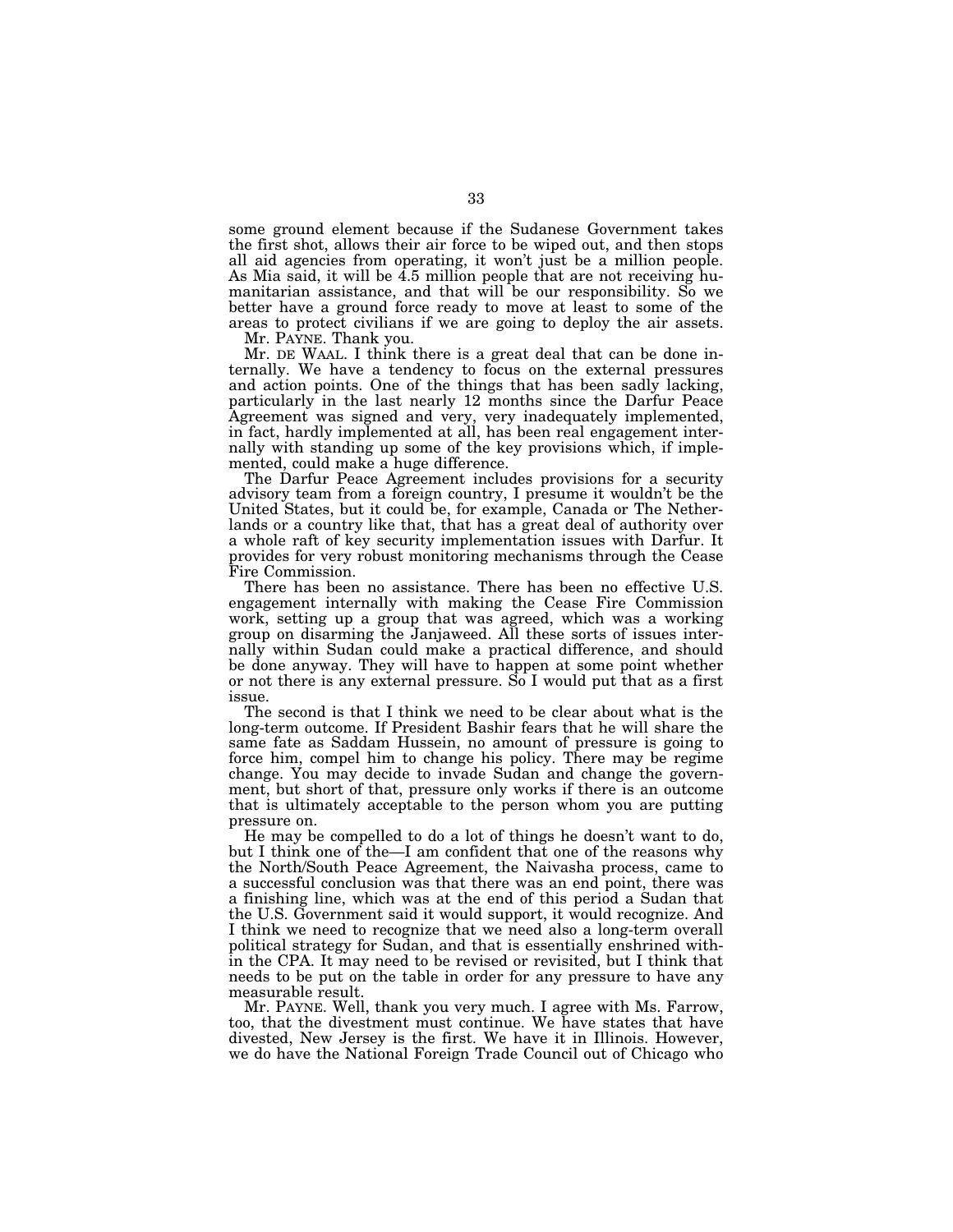some ground element because if the Sudanese Government takes the first shot, allows their air force to be wiped out, and then stops all aid agencies from operating, it won't just be a million people. As Mia said, it will be  $\overline{4.5}$  million people that are not receiving humanitarian assistance, and that will be our responsibility. So we better have a ground force ready to move at least to some of the areas to protect civilians if we are going to deploy the air assets.

Mr. PAYNE. Thank you.

Mr. DE WAAL. I think there is a great deal that can be done internally. We have a tendency to focus on the external pressures and action points. One of the things that has been sadly lacking, particularly in the last nearly 12 months since the Darfur Peace Agreement was signed and very, very inadequately implemented, in fact, hardly implemented at all, has been real engagement internally with standing up some of the key provisions which, if implemented, could make a huge difference.

The Darfur Peace Agreement includes provisions for a security advisory team from a foreign country, I presume it wouldn't be the United States, but it could be, for example, Canada or The Netherlands or a country like that, that has a great deal of authority over a whole raft of key security implementation issues with Darfur. It provides for very robust monitoring mechanisms through the Cease Fire Commission.

There has been no assistance. There has been no effective U.S. engagement internally with making the Cease Fire Commission work, setting up a group that was agreed, which was a working group on disarming the Janjaweed. All these sorts of issues internally within Sudan could make a practical difference, and should be done anyway. They will have to happen at some point whether or not there is any external pressure. So I would put that as a first issue.

The second is that I think we need to be clear about what is the long-term outcome. If President Bashir fears that he will share the same fate as Saddam Hussein, no amount of pressure is going to force him, compel him to change his policy. There may be regime change. You may decide to invade Sudan and change the government, but short of that, pressure only works if there is an outcome that is ultimately acceptable to the person whom you are putting pressure on.

He may be compelled to do a lot of things he doesn't want to do, but I think one of the—I am confident that one of the reasons why the North/South Peace Agreement, the Naivasha process, came to a successful conclusion was that there was an end point, there was a finishing line, which was at the end of this period a Sudan that the U.S. Government said it would support, it would recognize. And I think we need to recognize that we need also a long-term overall political strategy for Sudan, and that is essentially enshrined within the CPA. It may need to be revised or revisited, but I think that needs to be put on the table in order for any pressure to have any measurable result.

Mr. PAYNE. Well, thank you very much. I agree with Ms. Farrow, too, that the divestment must continue. We have states that have divested, New Jersey is the first. We have it in Illinois. However, we do have the National Foreign Trade Council out of Chicago who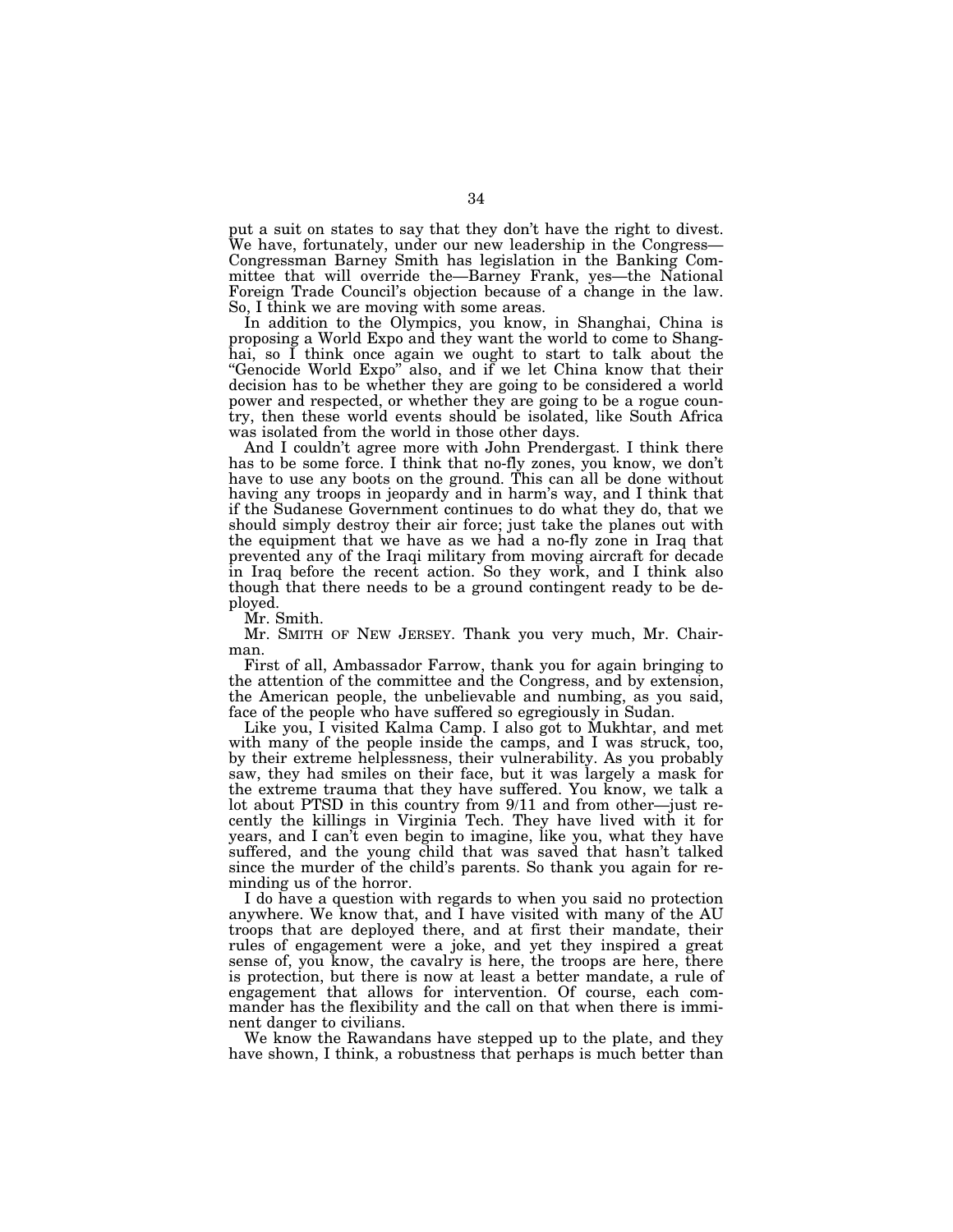put a suit on states to say that they don't have the right to divest. We have, fortunately, under our new leadership in the Congress— Congressman Barney Smith has legislation in the Banking Committee that will override the—Barney Frank, yes—the National Foreign Trade Council's objection because of a change in the law. So, I think we are moving with some areas.

In addition to the Olympics, you know, in Shanghai, China is proposing a World Expo and they want the world to come to Shanghai, so I think once again we ought to start to talk about the ''Genocide World Expo'' also, and if we let China know that their decision has to be whether they are going to be considered a world power and respected, or whether they are going to be a rogue country, then these world events should be isolated, like South Africa was isolated from the world in those other days.

And I couldn't agree more with John Prendergast. I think there has to be some force. I think that no-fly zones, you know, we don't have to use any boots on the ground. This can all be done without having any troops in jeopardy and in harm's way, and I think that if the Sudanese Government continues to do what they do, that we should simply destroy their air force; just take the planes out with the equipment that we have as we had a no-fly zone in Iraq that prevented any of the Iraqi military from moving aircraft for decade in Iraq before the recent action. So they work, and I think also though that there needs to be a ground contingent ready to be deployed.

Mr. Smith.

Mr. SMITH OF NEW JERSEY. Thank you very much, Mr. Chairman.

First of all, Ambassador Farrow, thank you for again bringing to the attention of the committee and the Congress, and by extension, the American people, the unbelievable and numbing, as you said, face of the people who have suffered so egregiously in Sudan.

Like you, I visited Kalma Camp. I also got to Mukhtar, and met with many of the people inside the camps, and I was struck, too, by their extreme helplessness, their vulnerability. As you probably saw, they had smiles on their face, but it was largely a mask for the extreme trauma that they have suffered. You know, we talk a lot about PTSD in this country from 9/11 and from other—just recently the killings in Virginia Tech. They have lived with it for years, and I can't even begin to imagine, like you, what they have suffered, and the young child that was saved that hasn't talked since the murder of the child's parents. So thank you again for reminding us of the horror.

I do have a question with regards to when you said no protection anywhere. We know that, and I have visited with many of the AU troops that are deployed there, and at first their mandate, their rules of engagement were a joke, and yet they inspired a great sense of, you know, the cavalry is here, the troops are here, there is protection, but there is now at least a better mandate, a rule of engagement that allows for intervention. Of course, each commander has the flexibility and the call on that when there is imminent danger to civilians.

We know the Rawandans have stepped up to the plate, and they have shown, I think, a robustness that perhaps is much better than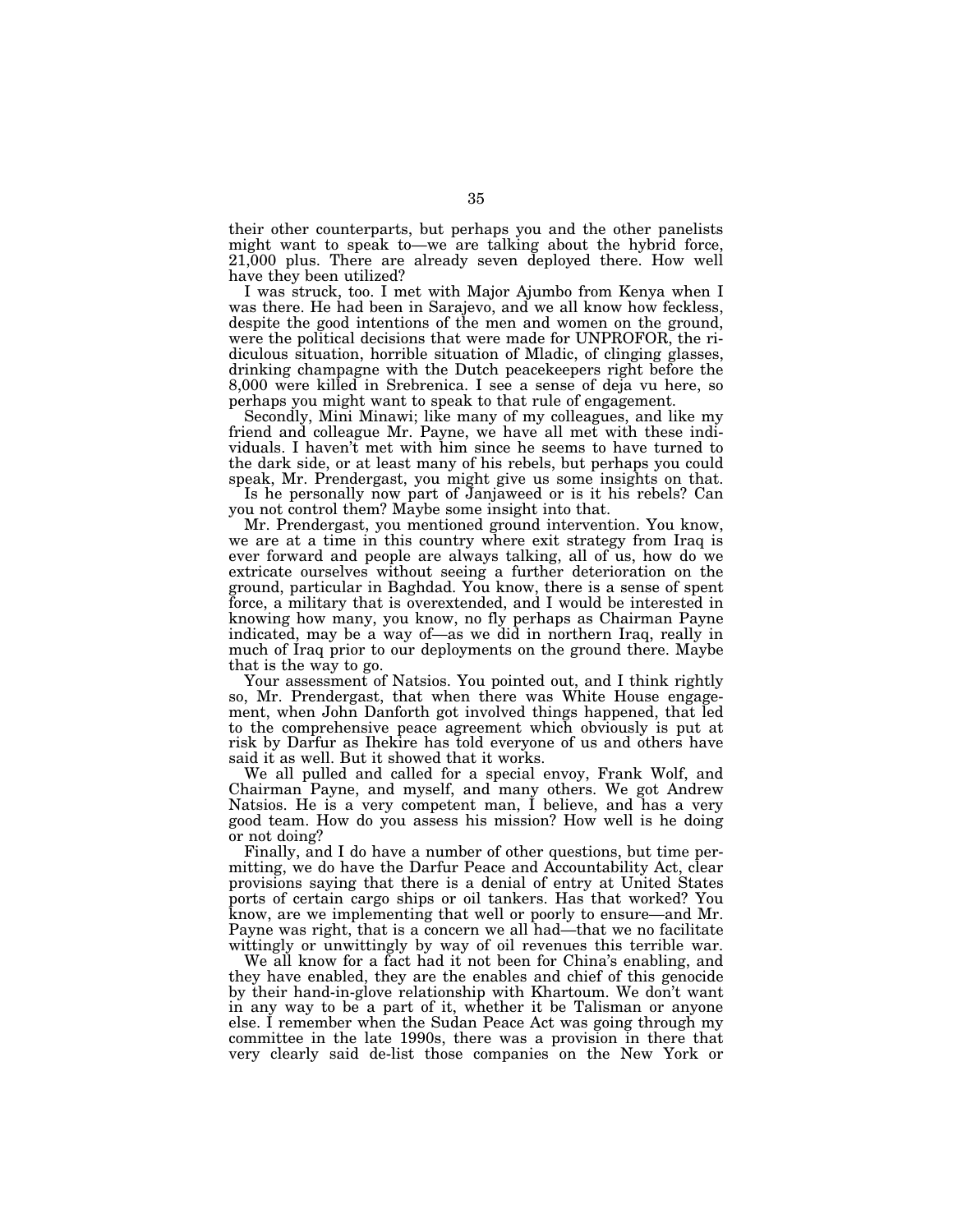their other counterparts, but perhaps you and the other panelists might want to speak to—we are talking about the hybrid force, 21,000 plus. There are already seven deployed there. How well have they been utilized?

I was struck, too. I met with Major Ajumbo from Kenya when I was there. He had been in Sarajevo, and we all know how feckless, despite the good intentions of the men and women on the ground, were the political decisions that were made for UNPROFOR, the ridiculous situation, horrible situation of Mladic, of clinging glasses, drinking champagne with the Dutch peacekeepers right before the 8,000 were killed in Srebrenica. I see a sense of deja vu here, so perhaps you might want to speak to that rule of engagement.

Secondly, Mini Minawi; like many of my colleagues, and like my friend and colleague Mr. Payne, we have all met with these individuals. I haven't met with him since he seems to have turned to the dark side, or at least many of his rebels, but perhaps you could speak, Mr. Prendergast, you might give us some insights on that.

Is he personally now part of Janjaweed or is it his rebels? Can you not control them? Maybe some insight into that.

Mr. Prendergast, you mentioned ground intervention. You know, we are at a time in this country where exit strategy from Iraq is ever forward and people are always talking, all of us, how do we extricate ourselves without seeing a further deterioration on the ground, particular in Baghdad. You know, there is a sense of spent force, a military that is overextended, and I would be interested in knowing how many, you know, no fly perhaps as Chairman Payne indicated, may be a way of—as we did in northern Iraq, really in much of Iraq prior to our deployments on the ground there. Maybe that is the way to go.

Your assessment of Natsios. You pointed out, and I think rightly so, Mr. Prendergast, that when there was White House engagement, when John Danforth got involved things happened, that led to the comprehensive peace agreement which obviously is put at risk by Darfur as Ihekire has told everyone of us and others have said it as well. But it showed that it works.

We all pulled and called for a special envoy, Frank Wolf, and Chairman Payne, and myself, and many others. We got Andrew Natsios. He is a very competent man, I believe, and has a very good team. How do you assess his mission? How well is he doing or not doing?

Finally, and I do have a number of other questions, but time permitting, we do have the Darfur Peace and Accountability Act, clear provisions saying that there is a denial of entry at United States ports of certain cargo ships or oil tankers. Has that worked? You know, are we implementing that well or poorly to ensure—and Mr. Payne was right, that is a concern we all had—that we no facilitate wittingly or unwittingly by way of oil revenues this terrible war.

We all know for a fact had it not been for China's enabling, and they have enabled, they are the enables and chief of this genocide by their hand-in-glove relationship with Khartoum. We don't want in any way to be a part of it, whether it be Talisman or anyone else. I remember when the Sudan Peace Act was going through my committee in the late 1990s, there was a provision in there that very clearly said de-list those companies on the New York or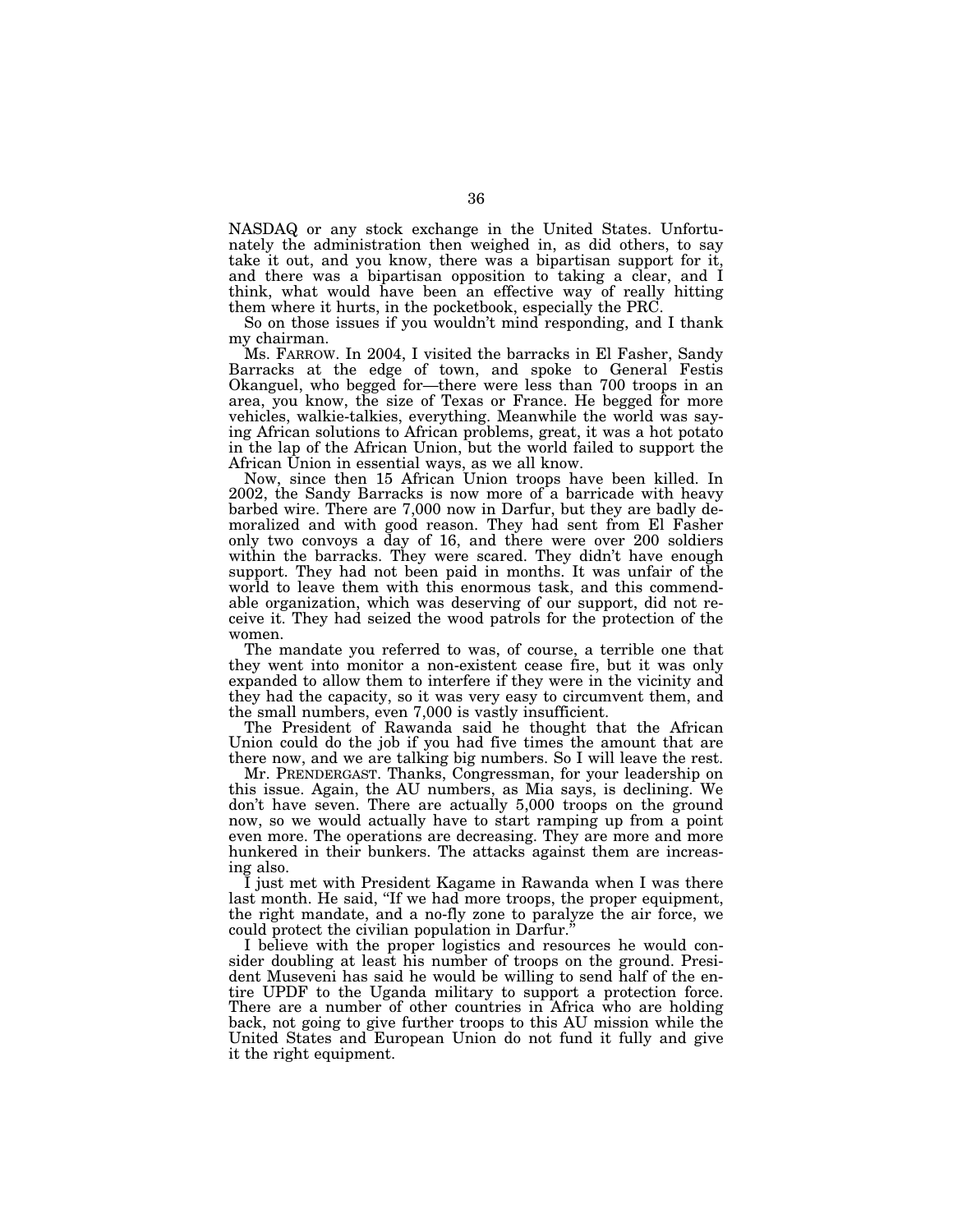NASDAQ or any stock exchange in the United States. Unfortunately the administration then weighed in, as did others, to say take it out, and you know, there was a bipartisan support for it, and there was a bipartisan opposition to taking a clear, and I think, what would have been an effective way of really hitting them where it hurts, in the pocketbook, especially the PRC.

So on those issues if you wouldn't mind responding, and I thank my chairman.

Ms. FARROW. In 2004, I visited the barracks in El Fasher, Sandy Barracks at the edge of town, and spoke to General Festis Okanguel, who begged for—there were less than 700 troops in an area, you know, the size of Texas or France. He begged for more vehicles, walkie-talkies, everything. Meanwhile the world was saying African solutions to African problems, great, it was a hot potato in the lap of the African Union, but the world failed to support the African Union in essential ways, as we all know.

Now, since then 15 African Union troops have been killed. In 2002, the Sandy Barracks is now more of a barricade with heavy barbed wire. There are 7,000 now in Darfur, but they are badly demoralized and with good reason. They had sent from El Fasher only two convoys a day of 16, and there were over 200 soldiers within the barracks. They were scared. They didn't have enough support. They had not been paid in months. It was unfair of the world to leave them with this enormous task, and this commendable organization, which was deserving of our support, did not receive it. They had seized the wood patrols for the protection of the women.

The mandate you referred to was, of course, a terrible one that they went into monitor a non-existent cease fire, but it was only expanded to allow them to interfere if they were in the vicinity and they had the capacity, so it was very easy to circumvent them, and the small numbers, even 7,000 is vastly insufficient.

The President of Rawanda said he thought that the African Union could do the job if you had five times the amount that are there now, and we are talking big numbers. So I will leave the rest.

Mr. PRENDERGAST. Thanks, Congressman, for your leadership on this issue. Again, the AU numbers, as Mia says, is declining. We don't have seven. There are actually 5,000 troops on the ground now, so we would actually have to start ramping up from a point even more. The operations are decreasing. They are more and more hunkered in their bunkers. The attacks against them are increasing also.

I just met with President Kagame in Rawanda when I was there last month. He said, "If we had more troops, the proper equipment, the right mandate, and a no-fly zone to paralyze the air force, we could protect the civilian population in Darfur.''

I believe with the proper logistics and resources he would consider doubling at least his number of troops on the ground. President Museveni has said he would be willing to send half of the entire UPDF to the Uganda military to support a protection force. There are a number of other countries in Africa who are holding back, not going to give further troops to this AU mission while the United States and European Union do not fund it fully and give it the right equipment.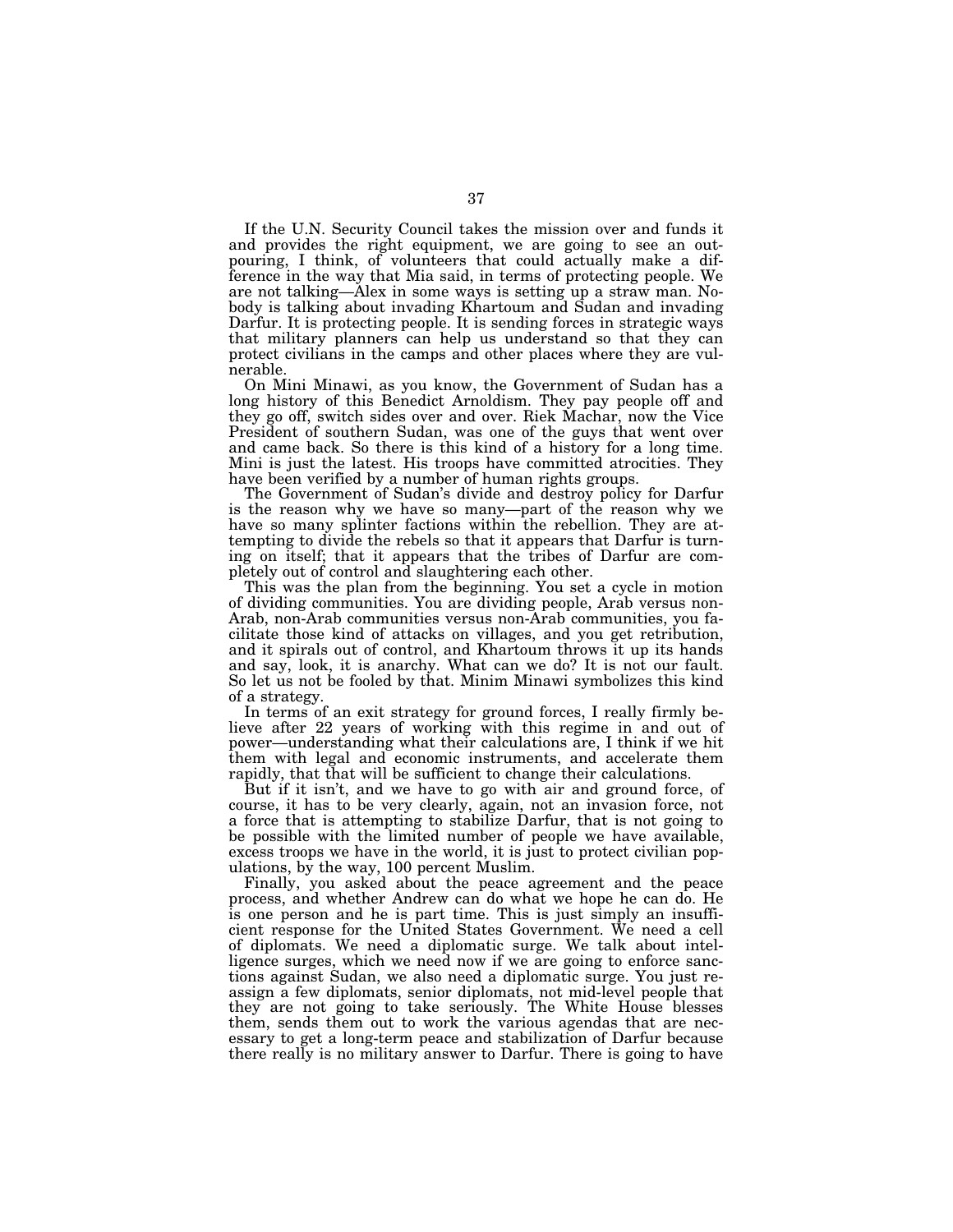If the U.N. Security Council takes the mission over and funds it and provides the right equipment, we are going to see an outpouring, I think, of volunteers that could actually make a difference in the way that Mia said, in terms of protecting people. We are not talking—Alex in some ways is setting up a straw man. Nobody is talking about invading Khartoum and Sudan and invading Darfur. It is protecting people. It is sending forces in strategic ways that military planners can help us understand so that they can protect civilians in the camps and other places where they are vulnerable.

On Mini Minawi, as you know, the Government of Sudan has a long history of this Benedict Arnoldism. They pay people off and they go off, switch sides over and over. Riek Machar, now the Vice President of southern Sudan, was one of the guys that went over and came back. So there is this kind of a history for a long time. Mini is just the latest. His troops have committed atrocities. They have been verified by a number of human rights groups.

The Government of Sudan's divide and destroy policy for Darfur is the reason why we have so many—part of the reason why we have so many splinter factions within the rebellion. They are attempting to divide the rebels so that it appears that Darfur is turning on itself; that it appears that the tribes of Darfur are completely out of control and slaughtering each other.

This was the plan from the beginning. You set a cycle in motion of dividing communities. You are dividing people, Arab versus non-Arab, non-Arab communities versus non-Arab communities, you facilitate those kind of attacks on villages, and you get retribution, and it spirals out of control, and Khartoum throws it up its hands and say, look, it is anarchy. What can we do? It is not our fault. So let us not be fooled by that. Minim Minawi symbolizes this kind of a strategy.

In terms of an exit strategy for ground forces, I really firmly believe after 22 years of working with this regime in and out of power—understanding what their calculations are, I think if we hit them with legal and economic instruments, and accelerate them rapidly, that that will be sufficient to change their calculations.

But if it isn't, and we have to go with air and ground force, of course, it has to be very clearly, again, not an invasion force, not a force that is attempting to stabilize Darfur, that is not going to be possible with the limited number of people we have available, excess troops we have in the world, it is just to protect civilian populations, by the way, 100 percent Muslim.

Finally, you asked about the peace agreement and the peace process, and whether Andrew can do what we hope he can do. He is one person and he is part time. This is just simply an insufficient response for the United States Government. We need a cell of diplomats. We need a diplomatic surge. We talk about intelligence surges, which we need now if we are going to enforce sanctions against Sudan, we also need a diplomatic surge. You just reassign a few diplomats, senior diplomats, not mid-level people that they are not going to take seriously. The White House blesses them, sends them out to work the various agendas that are necessary to get a long-term peace and stabilization of Darfur because there really is no military answer to Darfur. There is going to have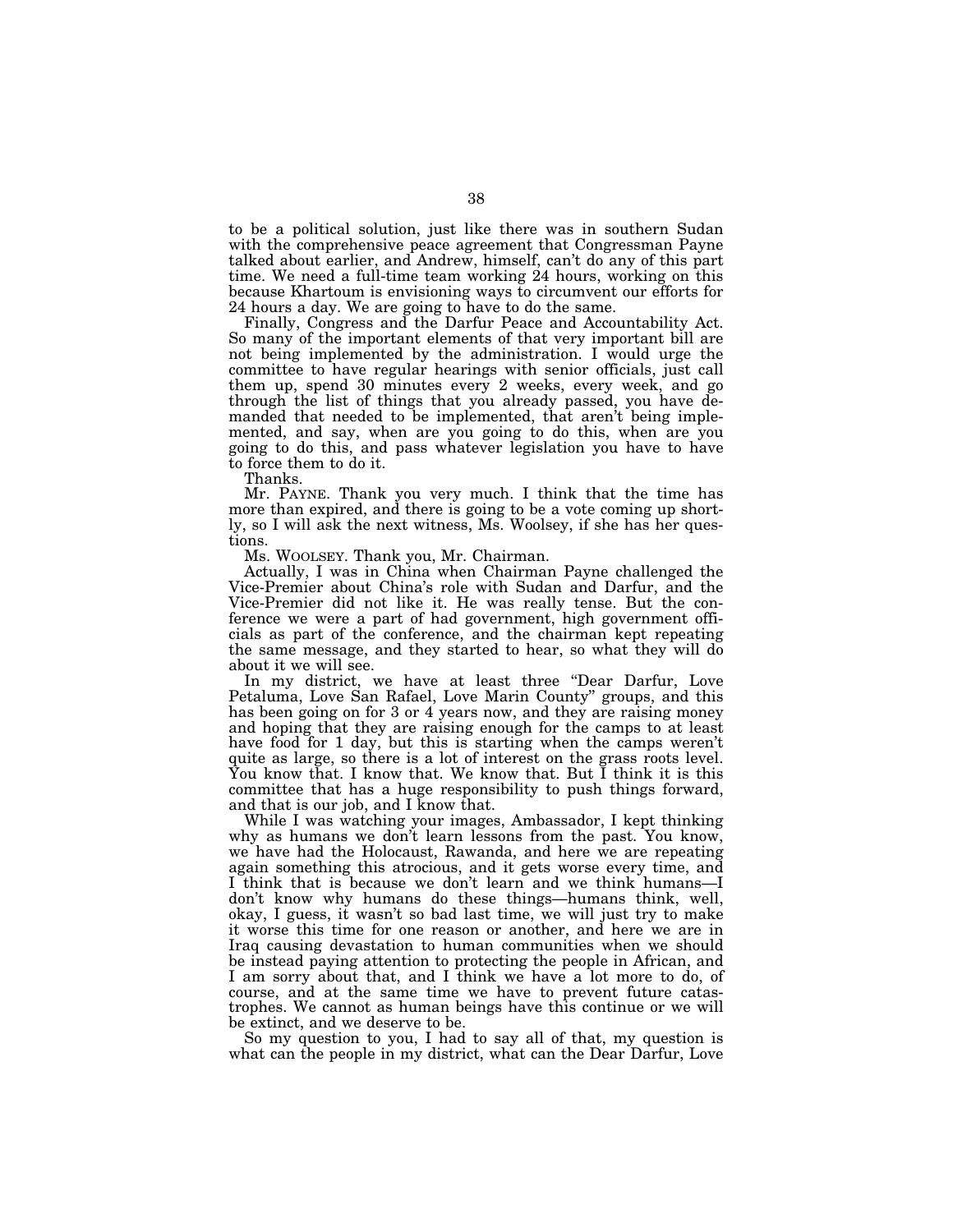to be a political solution, just like there was in southern Sudan with the comprehensive peace agreement that Congressman Payne talked about earlier, and Andrew, himself, can't do any of this part time. We need a full-time team working 24 hours, working on this because Khartoum is envisioning ways to circumvent our efforts for 24 hours a day. We are going to have to do the same.

Finally, Congress and the Darfur Peace and Accountability Act. So many of the important elements of that very important bill are not being implemented by the administration. I would urge the committee to have regular hearings with senior officials, just call them up, spend 30 minutes every 2 weeks, every week, and go through the list of things that you already passed, you have demanded that needed to be implemented, that aren't being implemented, and say, when are you going to do this, when are you going to do this, and pass whatever legislation you have to have to force them to do it.

Thanks.

Mr. PAYNE. Thank you very much. I think that the time has more than expired, and there is going to be a vote coming up shortly, so I will ask the next witness, Ms. Woolsey, if she has her questions.

Ms. WOOLSEY. Thank you, Mr. Chairman.

Actually, I was in China when Chairman Payne challenged the Vice-Premier about China's role with Sudan and Darfur, and the Vice-Premier did not like it. He was really tense. But the conference we were a part of had government, high government officials as part of the conference, and the chairman kept repeating the same message, and they started to hear, so what they will do about it we will see.

In my district, we have at least three ''Dear Darfur, Love Petaluma, Love San Rafael, Love Marin County'' groups, and this has been going on for 3 or 4 years now, and they are raising money and hoping that they are raising enough for the camps to at least have food for 1 day, but this is starting when the camps weren't quite as large, so there is a lot of interest on the grass roots level. You know that. I know that. We know that. But I think it is this committee that has a huge responsibility to push things forward, and that is our job, and I know that.

While I was watching your images, Ambassador, I kept thinking why as humans we don't learn lessons from the past. You know, we have had the Holocaust, Rawanda, and here we are repeating again something this atrocious, and it gets worse every time, and I think that is because we don't learn and we think humans—I don't know why humans do these things—humans think, well, okay, I guess, it wasn't so bad last time, we will just try to make it worse this time for one reason or another, and here we are in Iraq causing devastation to human communities when we should be instead paying attention to protecting the people in African, and I am sorry about that, and I think we have a lot more to do, of course, and at the same time we have to prevent future catastrophes. We cannot as human beings have this continue or we will be extinct, and we deserve to be.

So my question to you, I had to say all of that, my question is what can the people in my district, what can the Dear Darfur, Love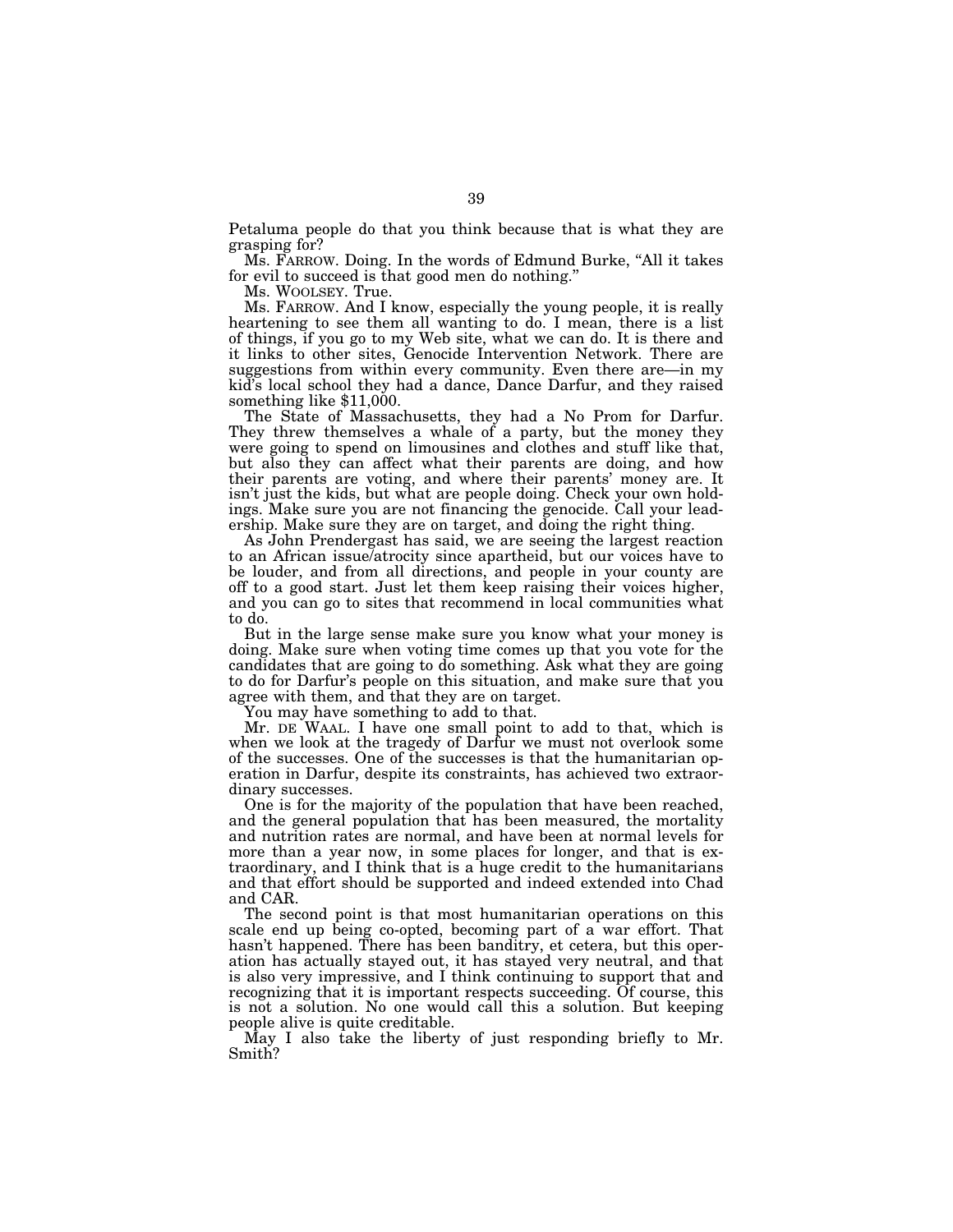Petaluma people do that you think because that is what they are grasping for?

Ms. FARROW. Doing. In the words of Edmund Burke, ''All it takes for evil to succeed is that good men do nothing.''

Ms. WOOLSEY. True.

Ms. FARROW. And I know, especially the young people, it is really heartening to see them all wanting to do. I mean, there is a list of things, if you go to my Web site, what we can do. It is there and it links to other sites, Genocide Intervention Network. There are suggestions from within every community. Even there are—in my kid's local school they had a dance, Dance Darfur, and they raised something like \$11,000.

The State of Massachusetts, they had a No Prom for Darfur. They threw themselves a whale of a party, but the money they were going to spend on limousines and clothes and stuff like that, but also they can affect what their parents are doing, and how their parents are voting, and where their parents' money are. It isn't just the kids, but what are people doing. Check your own holdings. Make sure you are not financing the genocide. Call your leadership. Make sure they are on target, and doing the right thing.

As John Prendergast has said, we are seeing the largest reaction to an African issue/atrocity since apartheid, but our voices have to be louder, and from all directions, and people in your county are off to a good start. Just let them keep raising their voices higher, and you can go to sites that recommend in local communities what to do.

But in the large sense make sure you know what your money is doing. Make sure when voting time comes up that you vote for the candidates that are going to do something. Ask what they are going to do for Darfur's people on this situation, and make sure that you agree with them, and that they are on target.

You may have something to add to that.

Mr. DE WAAL. I have one small point to add to that, which is when we look at the tragedy of Darfur we must not overlook some of the successes. One of the successes is that the humanitarian operation in Darfur, despite its constraints, has achieved two extraordinary successes.

One is for the majority of the population that have been reached, and the general population that has been measured, the mortality and nutrition rates are normal, and have been at normal levels for more than a year now, in some places for longer, and that is extraordinary, and I think that is a huge credit to the humanitarians and that effort should be supported and indeed extended into Chad and CAR.

The second point is that most humanitarian operations on this scale end up being co-opted, becoming part of a war effort. That hasn't happened. There has been banditry, et cetera, but this operation has actually stayed out, it has stayed very neutral, and that is also very impressive, and I think continuing to support that and recognizing that it is important respects succeeding. Of course, this is not a solution. No one would call this a solution. But keeping people alive is quite creditable.

May I also take the liberty of just responding briefly to Mr. Smith?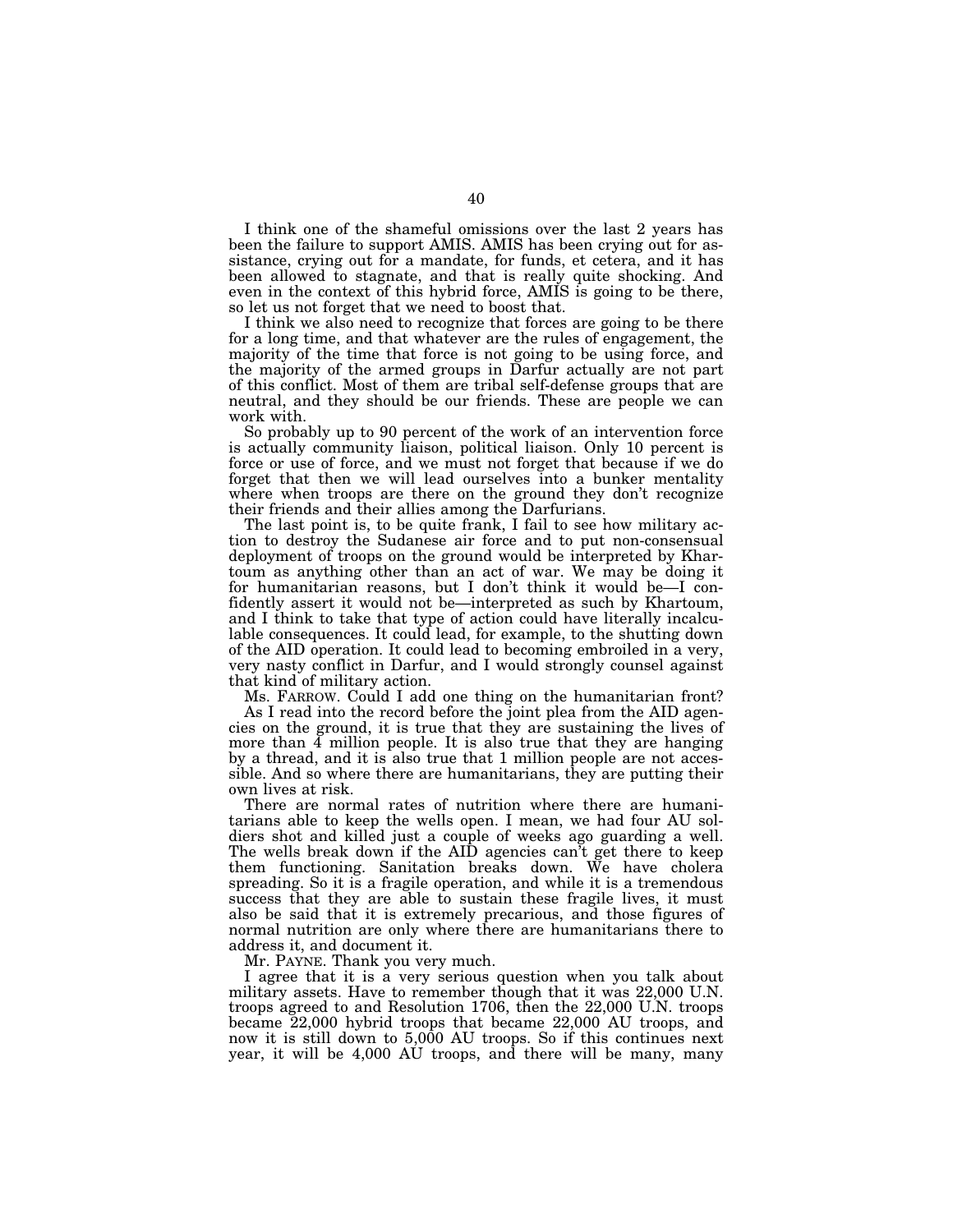I think one of the shameful omissions over the last 2 years has been the failure to support AMIS. AMIS has been crying out for assistance, crying out for a mandate, for funds, et cetera, and it has been allowed to stagnate, and that is really quite shocking. And even in the context of this hybrid force, AMIS is going to be there, so let us not forget that we need to boost that.

I think we also need to recognize that forces are going to be there for a long time, and that whatever are the rules of engagement, the majority of the time that force is not going to be using force, and the majority of the armed groups in Darfur actually are not part of this conflict. Most of them are tribal self-defense groups that are neutral, and they should be our friends. These are people we can work with.

So probably up to 90 percent of the work of an intervention force is actually community liaison, political liaison. Only 10 percent is force or use of force, and we must not forget that because if we do forget that then we will lead ourselves into a bunker mentality where when troops are there on the ground they don't recognize their friends and their allies among the Darfurians.

The last point is, to be quite frank, I fail to see how military action to destroy the Sudanese air force and to put non-consensual deployment of troops on the ground would be interpreted by Khartoum as anything other than an act of war. We may be doing it for humanitarian reasons, but I don't think it would be—I confidently assert it would not be—interpreted as such by Khartoum, and I think to take that type of action could have literally incalculable consequences. It could lead, for example, to the shutting down of the AID operation. It could lead to becoming embroiled in a very, very nasty conflict in Darfur, and I would strongly counsel against that kind of military action.

Ms. FARROW. Could I add one thing on the humanitarian front? As I read into the record before the joint plea from the AID agencies on the ground, it is true that they are sustaining the lives of more than  $\overline{4}$  million people. It is also true that they are hanging by a thread, and it is also true that 1 million people are not accessible. And so where there are humanitarians, they are putting their own lives at risk.

There are normal rates of nutrition where there are humanitarians able to keep the wells open. I mean, we had four AU soldiers shot and killed just a couple of weeks ago guarding a well. The wells break down if the AID agencies can't get there to keep them functioning. Sanitation breaks down. We have cholera spreading. So it is a fragile operation, and while it is a tremendous success that they are able to sustain these fragile lives, it must also be said that it is extremely precarious, and those figures of normal nutrition are only where there are humanitarians there to address it, and document it.

Mr. PAYNE. Thank you very much.

I agree that it is a very serious question when you talk about military assets. Have to remember though that it was 22,000 U.N. troops agreed to and Resolution 1706, then the 22,000 U.N. troops became 22,000 hybrid troops that became 22,000 AU troops, and now it is still down to 5,000 AU troops. So if this continues next year, it will be 4,000 AU troops, and there will be many, many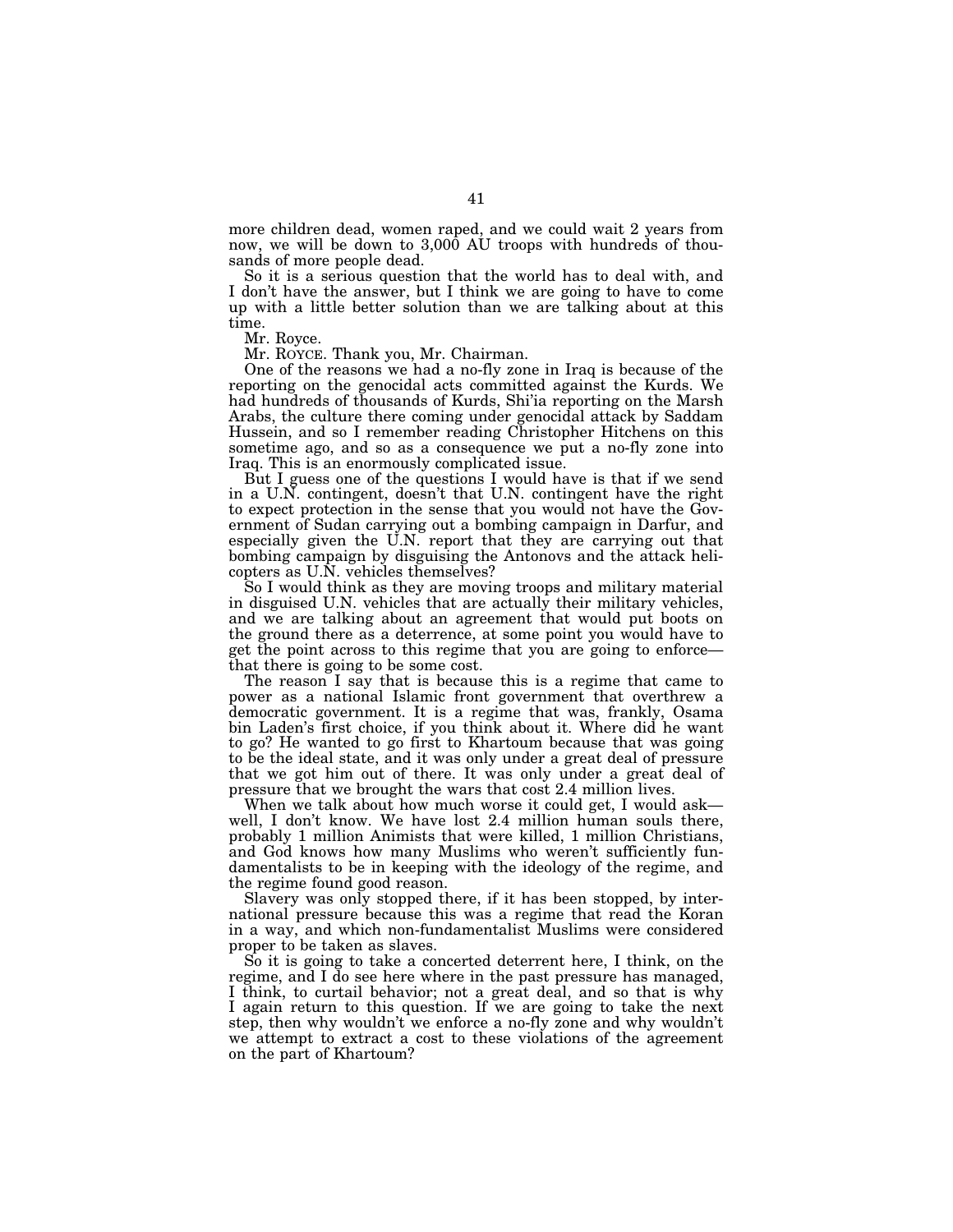more children dead, women raped, and we could wait 2 years from now, we will be down to 3,000 AU troops with hundreds of thousands of more people dead.

So it is a serious question that the world has to deal with, and I don't have the answer, but I think we are going to have to come up with a little better solution than we are talking about at this time.

Mr. Royce.

Mr. ROYCE. Thank you, Mr. Chairman.

One of the reasons we had a no-fly zone in Iraq is because of the reporting on the genocidal acts committed against the Kurds. We had hundreds of thousands of Kurds, Shi'ia reporting on the Marsh Arabs, the culture there coming under genocidal attack by Saddam Hussein, and so I remember reading Christopher Hitchens on this sometime ago, and so as a consequence we put a no-fly zone into Iraq. This is an enormously complicated issue.

But I guess one of the questions I would have is that if we send in a U.N. contingent, doesn't that U.N. contingent have the right to expect protection in the sense that you would not have the Government of Sudan carrying out a bombing campaign in Darfur, and especially given the U.N. report that they are carrying out that bombing campaign by disguising the Antonovs and the attack helicopters as U.N. vehicles themselves?

So I would think as they are moving troops and military material in disguised U.N. vehicles that are actually their military vehicles, and we are talking about an agreement that would put boots on the ground there as a deterrence, at some point you would have to get the point across to this regime that you are going to enforce that there is going to be some cost.

The reason I say that is because this is a regime that came to power as a national Islamic front government that overthrew a democratic government. It is a regime that was, frankly, Osama bin Laden's first choice, if you think about it. Where did he want to go? He wanted to go first to Khartoum because that was going to be the ideal state, and it was only under a great deal of pressure that we got him out of there. It was only under a great deal of pressure that we brought the wars that cost 2.4 million lives.

When we talk about how much worse it could get, I would ask well, I don't know. We have lost 2.4 million human souls there, probably 1 million Animists that were killed, 1 million Christians, and God knows how many Muslims who weren't sufficiently fundamentalists to be in keeping with the ideology of the regime, and the regime found good reason.

Slavery was only stopped there, if it has been stopped, by international pressure because this was a regime that read the Koran in a way, and which non-fundamentalist Muslims were considered proper to be taken as slaves.

So it is going to take a concerted deterrent here, I think, on the regime, and I do see here where in the past pressure has managed, I think, to curtail behavior; not a great deal, and so that is why I again return to this question. If we are going to take the next step, then why wouldn't we enforce a no-fly zone and why wouldn't we attempt to extract a cost to these violations of the agreement on the part of Khartoum?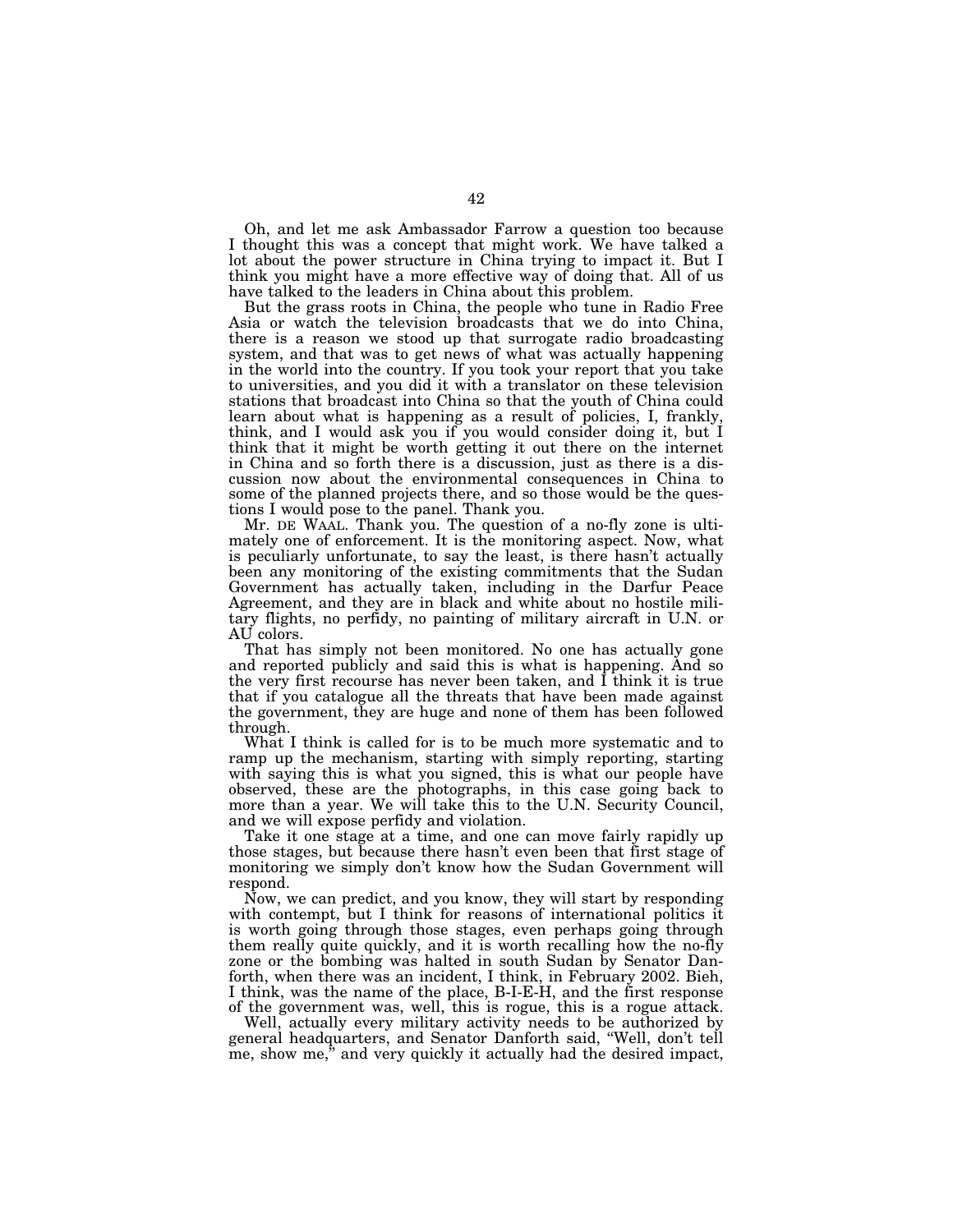Oh, and let me ask Ambassador Farrow a question too because I thought this was a concept that might work. We have talked a lot about the power structure in China trying to impact it. But I think you might have a more effective way of doing that. All of us have talked to the leaders in China about this problem.

But the grass roots in China, the people who tune in Radio Free Asia or watch the television broadcasts that we do into China, there is a reason we stood up that surrogate radio broadcasting system, and that was to get news of what was actually happening in the world into the country. If you took your report that you take to universities, and you did it with a translator on these television stations that broadcast into China so that the youth of China could learn about what is happening as a result of policies, I, frankly, think, and I would ask you if you would consider doing it, but I think that it might be worth getting it out there on the internet in China and so forth there is a discussion, just as there is a discussion now about the environmental consequences in China to some of the planned projects there, and so those would be the questions I would pose to the panel. Thank you.

Mr. DE WAAL. Thank you. The question of a no-fly zone is ultimately one of enforcement. It is the monitoring aspect. Now, what is peculiarly unfortunate, to say the least, is there hasn't actually been any monitoring of the existing commitments that the Sudan Government has actually taken, including in the Darfur Peace Agreement, and they are in black and white about no hostile military flights, no perfidy, no painting of military aircraft in U.N. or AU colors.

That has simply not been monitored. No one has actually gone and reported publicly and said this is what is happening. And so the very first recourse has never been taken, and I think it is true that if you catalogue all the threats that have been made against the government, they are huge and none of them has been followed through.

What I think is called for is to be much more systematic and to ramp up the mechanism, starting with simply reporting, starting with saying this is what you signed, this is what our people have observed, these are the photographs, in this case going back to more than a year. We will take this to the U.N. Security Council, and we will expose perfidy and violation.

Take it one stage at a time, and one can move fairly rapidly up those stages, but because there hasn't even been that first stage of monitoring we simply don't know how the Sudan Government will respond.

Now, we can predict, and you know, they will start by responding with contempt, but I think for reasons of international politics it is worth going through those stages, even perhaps going through them really quite quickly, and it is worth recalling how the no-fly zone or the bombing was halted in south Sudan by Senator Danforth, when there was an incident, I think, in February 2002. Bieh, I think, was the name of the place, B-I-E-H, and the first response of the government was, well, this is rogue, this is a rogue attack.

Well, actually every military activity needs to be authorized by general headquarters, and Senator Danforth said, ''Well, don't tell me, show me,'' and very quickly it actually had the desired impact,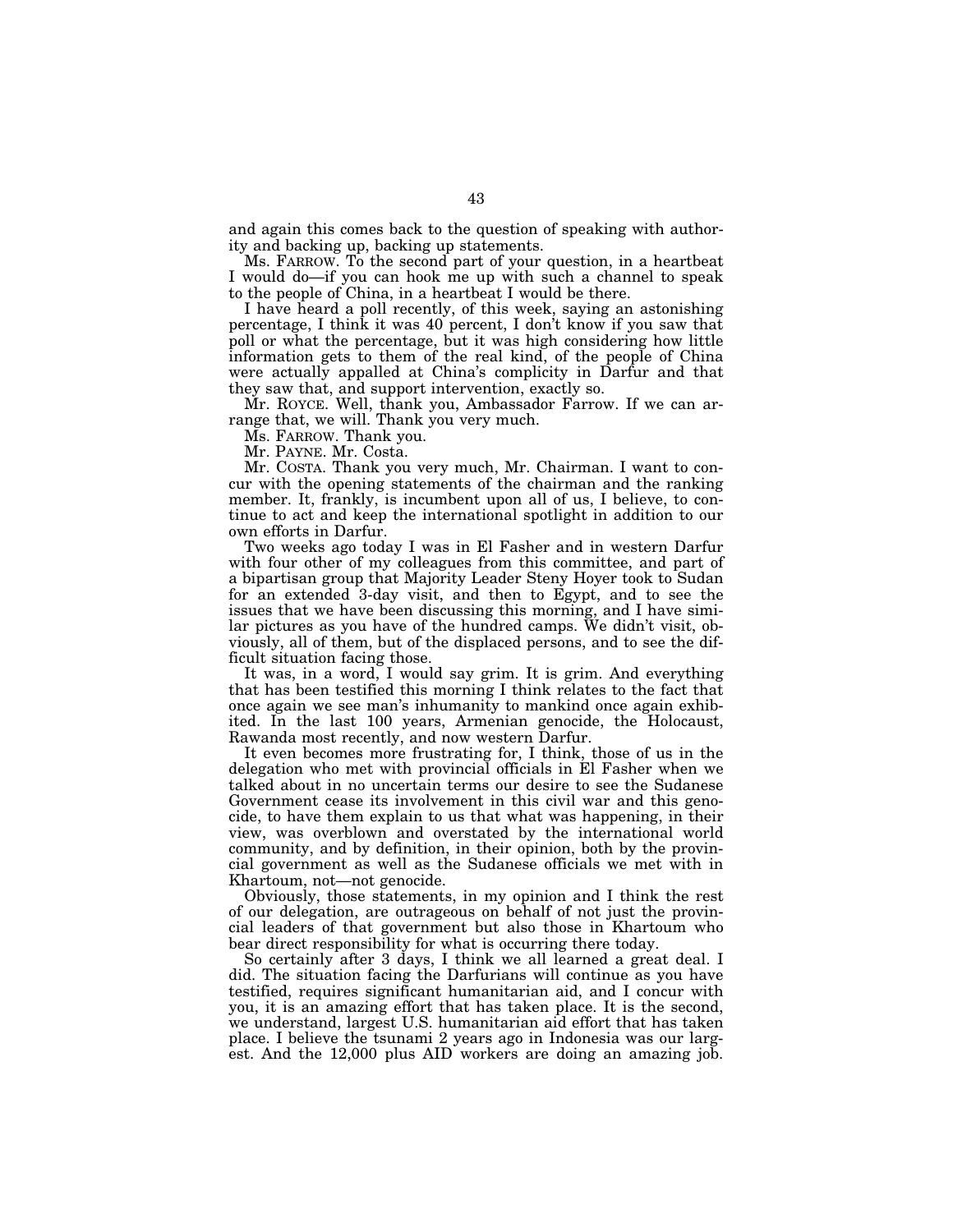and again this comes back to the question of speaking with authority and backing up, backing up statements.

Ms. FARROW. To the second part of your question, in a heartbeat I would do—if you can hook me up with such a channel to speak to the people of China, in a heartbeat I would be there.

I have heard a poll recently, of this week, saying an astonishing percentage, I think it was 40 percent, I don't know if you saw that poll or what the percentage, but it was high considering how little information gets to them of the real kind, of the people of China were actually appalled at China's complicity in Darfur and that they saw that, and support intervention, exactly so.

Mr. ROYCE. Well, thank you, Ambassador Farrow. If we can arrange that, we will. Thank you very much.

Ms. FARROW. Thank you.

Mr. PAYNE. Mr. Costa.

Mr. COSTA. Thank you very much, Mr. Chairman. I want to concur with the opening statements of the chairman and the ranking member. It, frankly, is incumbent upon all of us, I believe, to continue to act and keep the international spotlight in addition to our own efforts in Darfur.

Two weeks ago today I was in El Fasher and in western Darfur with four other of my colleagues from this committee, and part of a bipartisan group that Majority Leader Steny Hoyer took to Sudan for an extended 3-day visit, and then to Egypt, and to see the issues that we have been discussing this morning, and I have similar pictures as you have of the hundred camps. We didn't visit, obviously, all of them, but of the displaced persons, and to see the difficult situation facing those.

It was, in a word, I would say grim. It is grim. And everything that has been testified this morning I think relates to the fact that once again we see man's inhumanity to mankind once again exhibited. In the last 100 years, Armenian genocide, the Holocaust, Rawanda most recently, and now western Darfur.

It even becomes more frustrating for, I think, those of us in the delegation who met with provincial officials in El Fasher when we talked about in no uncertain terms our desire to see the Sudanese Government cease its involvement in this civil war and this genocide, to have them explain to us that what was happening, in their view, was overblown and overstated by the international world community, and by definition, in their opinion, both by the provincial government as well as the Sudanese officials we met with in Khartoum, not—not genocide.

Obviously, those statements, in my opinion and I think the rest of our delegation, are outrageous on behalf of not just the provincial leaders of that government but also those in Khartoum who bear direct responsibility for what is occurring there today.

So certainly after 3 days, I think we all learned a great deal. I did. The situation facing the Darfurians will continue as you have testified, requires significant humanitarian aid, and I concur with you, it is an amazing effort that has taken place. It is the second, we understand, largest U.S. humanitarian aid effort that has taken place. I believe the tsunami 2 years ago in Indonesia was our largest. And the 12,000 plus AID workers are doing an amazing job.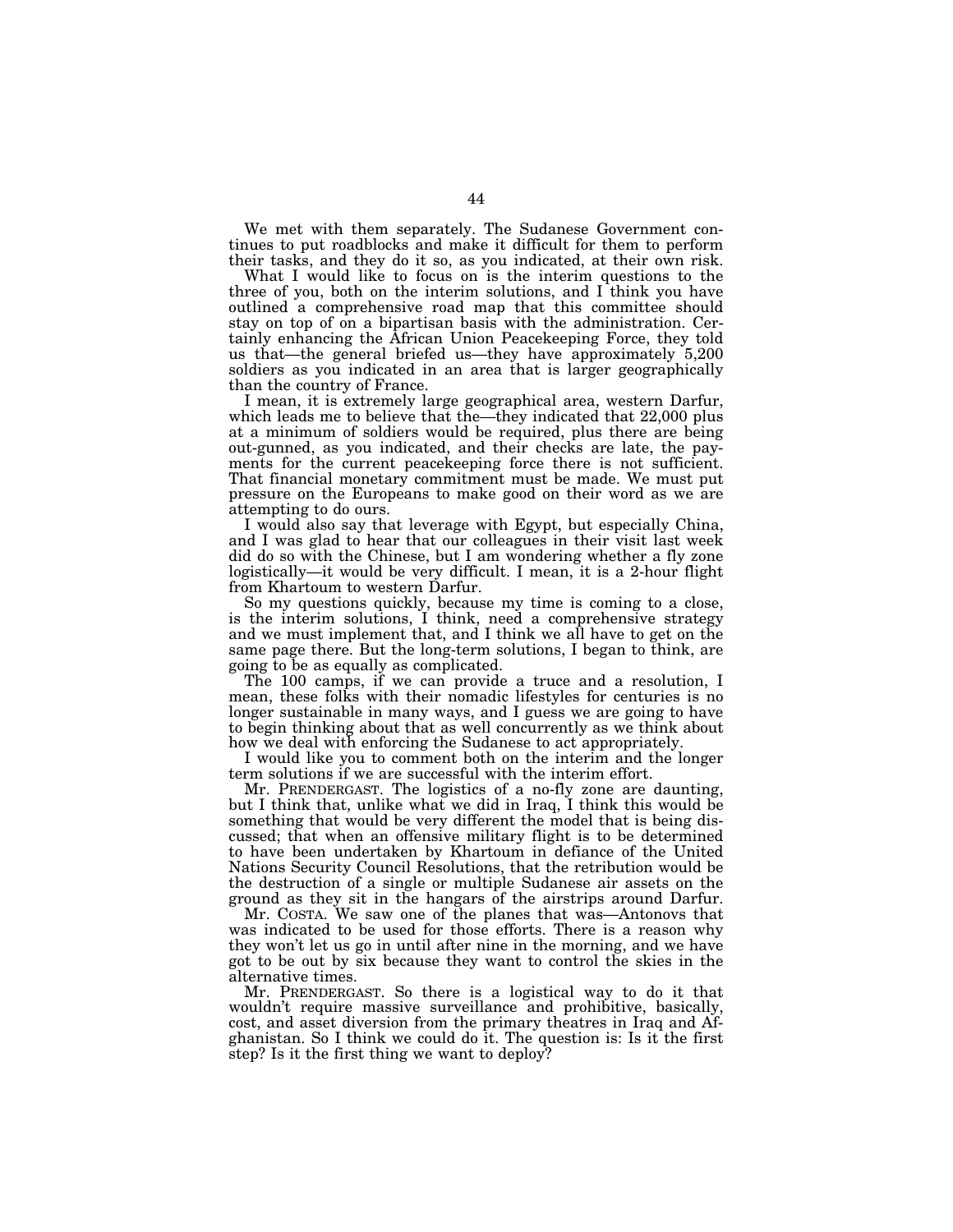We met with them separately. The Sudanese Government continues to put roadblocks and make it difficult for them to perform their tasks, and they do it so, as you indicated, at their own risk.

What I would like to focus on is the interim questions to the three of you, both on the interim solutions, and I think you have outlined a comprehensive road map that this committee should stay on top of on a bipartisan basis with the administration. Certainly enhancing the African Union Peacekeeping Force, they told us that—the general briefed us—they have approximately 5,200 soldiers as you indicated in an area that is larger geographically than the country of France.

I mean, it is extremely large geographical area, western Darfur, which leads me to believe that the—they indicated that 22,000 plus at a minimum of soldiers would be required, plus there are being out-gunned, as you indicated, and their checks are late, the payments for the current peacekeeping force there is not sufficient. That financial monetary commitment must be made. We must put pressure on the Europeans to make good on their word as we are attempting to do ours.

I would also say that leverage with Egypt, but especially China, and I was glad to hear that our colleagues in their visit last week did do so with the Chinese, but I am wondering whether a fly zone logistically—it would be very difficult. I mean, it is a 2-hour flight from Khartoum to western Darfur.

So my questions quickly, because my time is coming to a close, is the interim solutions, I think, need a comprehensive strategy and we must implement that, and I think we all have to get on the same page there. But the long-term solutions, I began to think, are going to be as equally as complicated.

The 100 camps, if we can provide a truce and a resolution, I mean, these folks with their nomadic lifestyles for centuries is no longer sustainable in many ways, and I guess we are going to have to begin thinking about that as well concurrently as we think about how we deal with enforcing the Sudanese to act appropriately.

I would like you to comment both on the interim and the longer term solutions if we are successful with the interim effort.

Mr. PRENDERGAST. The logistics of a no-fly zone are daunting, but I think that, unlike what we did in Iraq, I think this would be something that would be very different the model that is being discussed; that when an offensive military flight is to be determined to have been undertaken by Khartoum in defiance of the United Nations Security Council Resolutions, that the retribution would be the destruction of a single or multiple Sudanese air assets on the ground as they sit in the hangars of the airstrips around Darfur.

Mr. COSTA. We saw one of the planes that was—Antonovs that was indicated to be used for those efforts. There is a reason why they won't let us go in until after nine in the morning, and we have got to be out by six because they want to control the skies in the alternative times.

Mr. PRENDERGAST. So there is a logistical way to do it that wouldn't require massive surveillance and prohibitive, basically, cost, and asset diversion from the primary theatres in Iraq and Afghanistan. So I think we could do it. The question is: Is it the first step? Is it the first thing we want to deploy?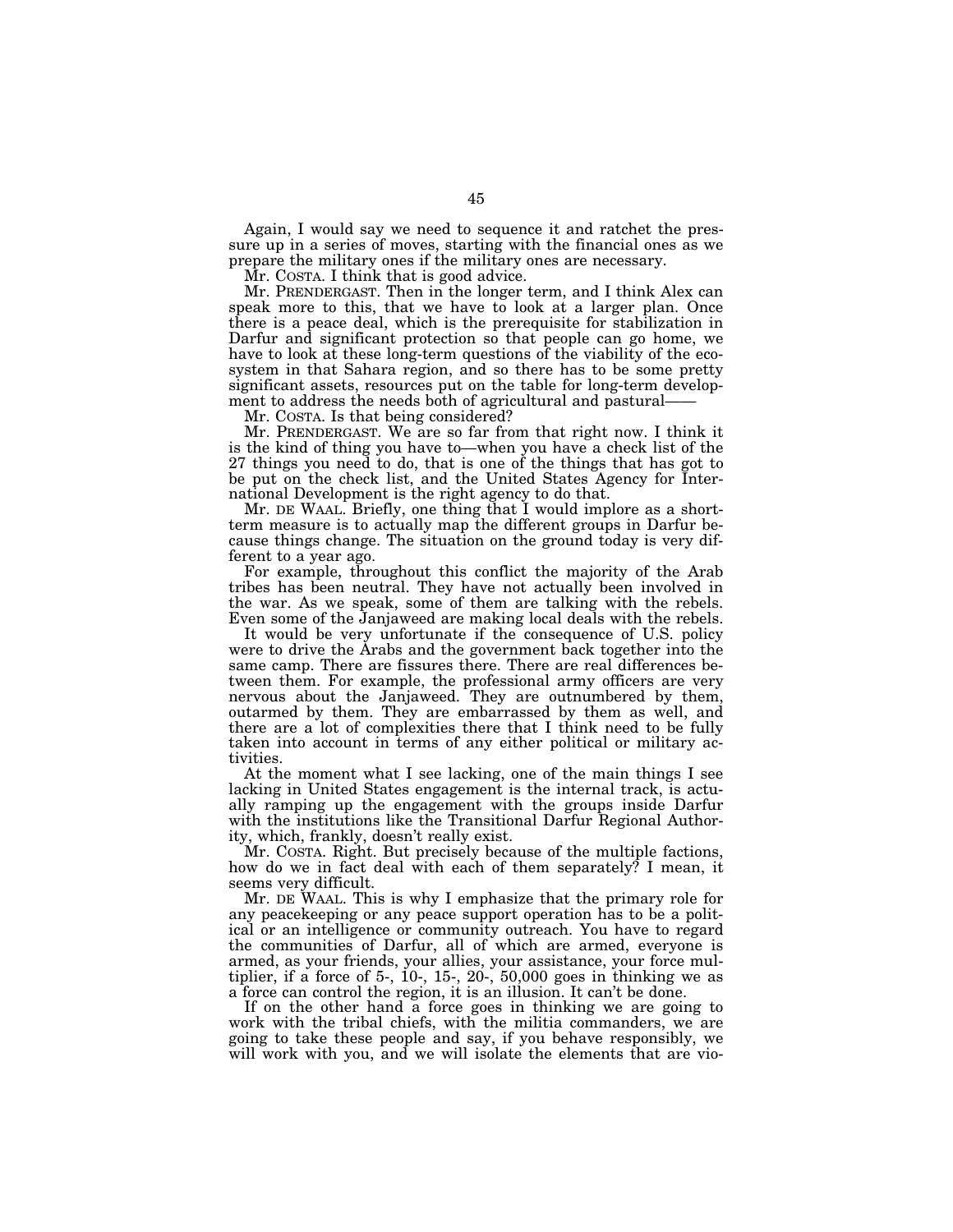Again, I would say we need to sequence it and ratchet the pressure up in a series of moves, starting with the financial ones as we prepare the military ones if the military ones are necessary.

Mr. COSTA. I think that is good advice.

Mr. PRENDERGAST. Then in the longer term, and I think Alex can speak more to this, that we have to look at a larger plan. Once there is a peace deal, which is the prerequisite for stabilization in Darfur and significant protection so that people can go home, we have to look at these long-term questions of the viability of the ecosystem in that Sahara region, and so there has to be some pretty significant assets, resources put on the table for long-term development to address the needs both of agricultural and pastural—

Mr. COSTA. Is that being considered?

Mr. PRENDERGAST. We are so far from that right now. I think it is the kind of thing you have to—when you have a check list of the 27 things you need to do, that is one of the things that has got to be put on the check list, and the United States Agency for International Development is the right agency to do that.

Mr. DE WAAL. Briefly, one thing that I would implore as a shortterm measure is to actually map the different groups in Darfur because things change. The situation on the ground today is very different to a year ago.

For example, throughout this conflict the majority of the Arab tribes has been neutral. They have not actually been involved in the war. As we speak, some of them are talking with the rebels. Even some of the Janjaweed are making local deals with the rebels.

It would be very unfortunate if the consequence of U.S. policy were to drive the Arabs and the government back together into the same camp. There are fissures there. There are real differences between them. For example, the professional army officers are very nervous about the Janjaweed. They are outnumbered by them, outarmed by them. They are embarrassed by them as well, and there are a lot of complexities there that I think need to be fully taken into account in terms of any either political or military activities.

At the moment what I see lacking, one of the main things I see lacking in United States engagement is the internal track, is actually ramping up the engagement with the groups inside Darfur with the institutions like the Transitional Darfur Regional Authority, which, frankly, doesn't really exist.

Mr. COSTA. Right. But precisely because of the multiple factions, how do we in fact deal with each of them separately? I mean, it seems very difficult.

Mr. DE WAAL. This is why I emphasize that the primary role for any peacekeeping or any peace support operation has to be a political or an intelligence or community outreach. You have to regard the communities of Darfur, all of which are armed, everyone is armed, as your friends, your allies, your assistance, your force multiplier, if a force of  $5$ -,  $10$ -,  $15$ -,  $20$ -,  $50,000$  goes in thinking we as a force can control the region, it is an illusion. It can't be done.

If on the other hand a force goes in thinking we are going to work with the tribal chiefs, with the militia commanders, we are going to take these people and say, if you behave responsibly, we will work with you, and we will isolate the elements that are vio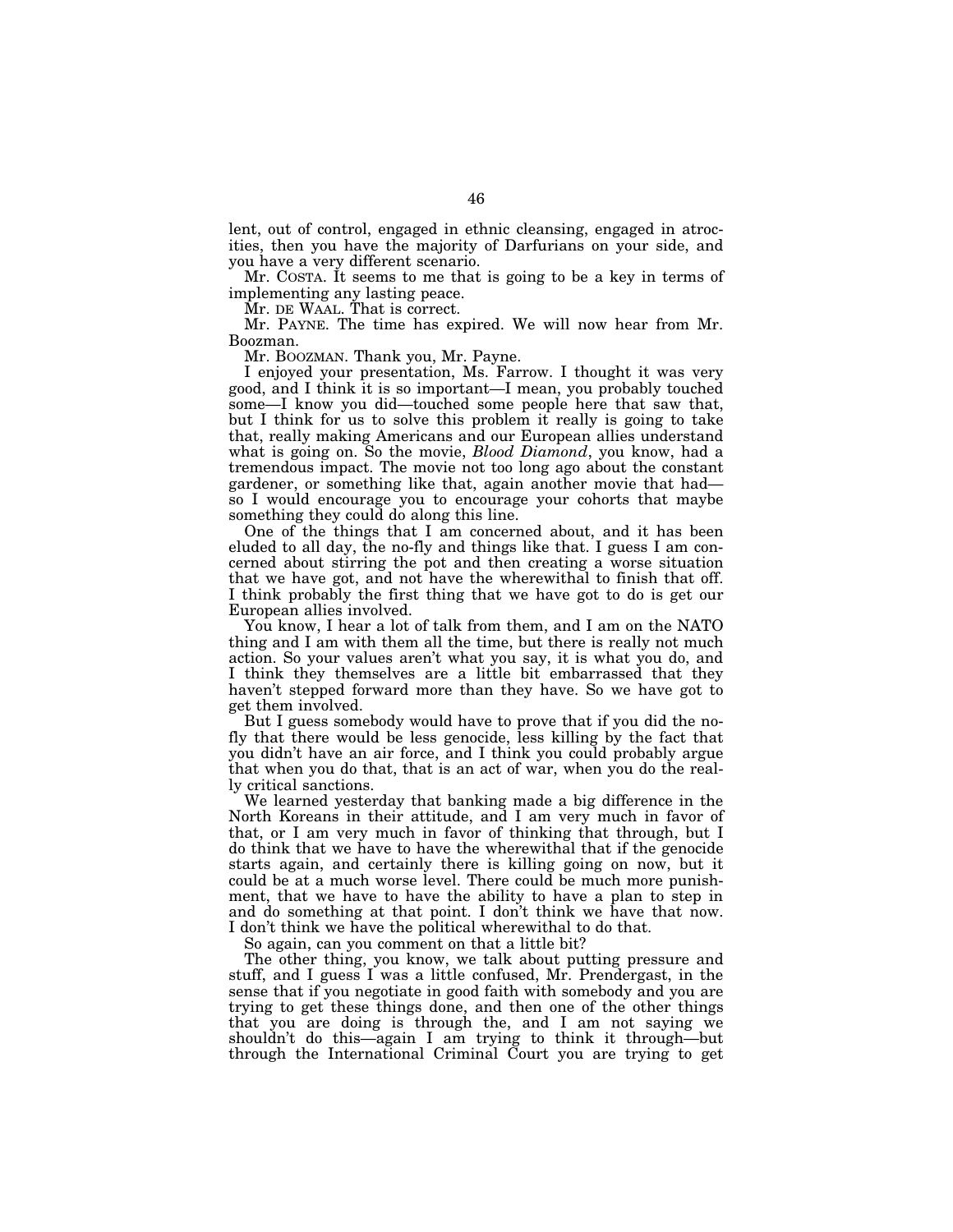lent, out of control, engaged in ethnic cleansing, engaged in atrocities, then you have the majority of Darfurians on your side, and you have a very different scenario.

Mr. COSTA. It seems to me that is going to be a key in terms of implementing any lasting peace.

Mr. DE WAAL. That is correct.

Mr. PAYNE. The time has expired. We will now hear from Mr. Boozman.

Mr. BOOZMAN. Thank you, Mr. Payne.

I enjoyed your presentation, Ms. Farrow. I thought it was very good, and I think it is so important—I mean, you probably touched some—I know you did—touched some people here that saw that, but I think for us to solve this problem it really is going to take that, really making Americans and our European allies understand what is going on. So the movie, *Blood Diamond*, you know, had a tremendous impact. The movie not too long ago about the constant gardener, or something like that, again another movie that had so I would encourage you to encourage your cohorts that maybe something they could do along this line.

One of the things that I am concerned about, and it has been eluded to all day, the no-fly and things like that. I guess I am concerned about stirring the pot and then creating a worse situation that we have got, and not have the wherewithal to finish that off. I think probably the first thing that we have got to do is get our European allies involved.

You know, I hear a lot of talk from them, and I am on the NATO thing and I am with them all the time, but there is really not much action. So your values aren't what you say, it is what you do, and I think they themselves are a little bit embarrassed that they haven't stepped forward more than they have. So we have got to get them involved.

But I guess somebody would have to prove that if you did the nofly that there would be less genocide, less killing by the fact that you didn't have an air force, and I think you could probably argue that when you do that, that is an act of war, when you do the really critical sanctions.

We learned yesterday that banking made a big difference in the North Koreans in their attitude, and I am very much in favor of that, or I am very much in favor of thinking that through, but I do think that we have to have the wherewithal that if the genocide starts again, and certainly there is killing going on now, but it could be at a much worse level. There could be much more punishment, that we have to have the ability to have a plan to step in and do something at that point. I don't think we have that now. I don't think we have the political wherewithal to do that.

So again, can you comment on that a little bit?

The other thing, you know, we talk about putting pressure and stuff, and I guess I was a little confused, Mr. Prendergast, in the sense that if you negotiate in good faith with somebody and you are trying to get these things done, and then one of the other things that you are doing is through the, and I am not saying we shouldn't do this—again I am trying to think it through—but through the International Criminal Court you are trying to get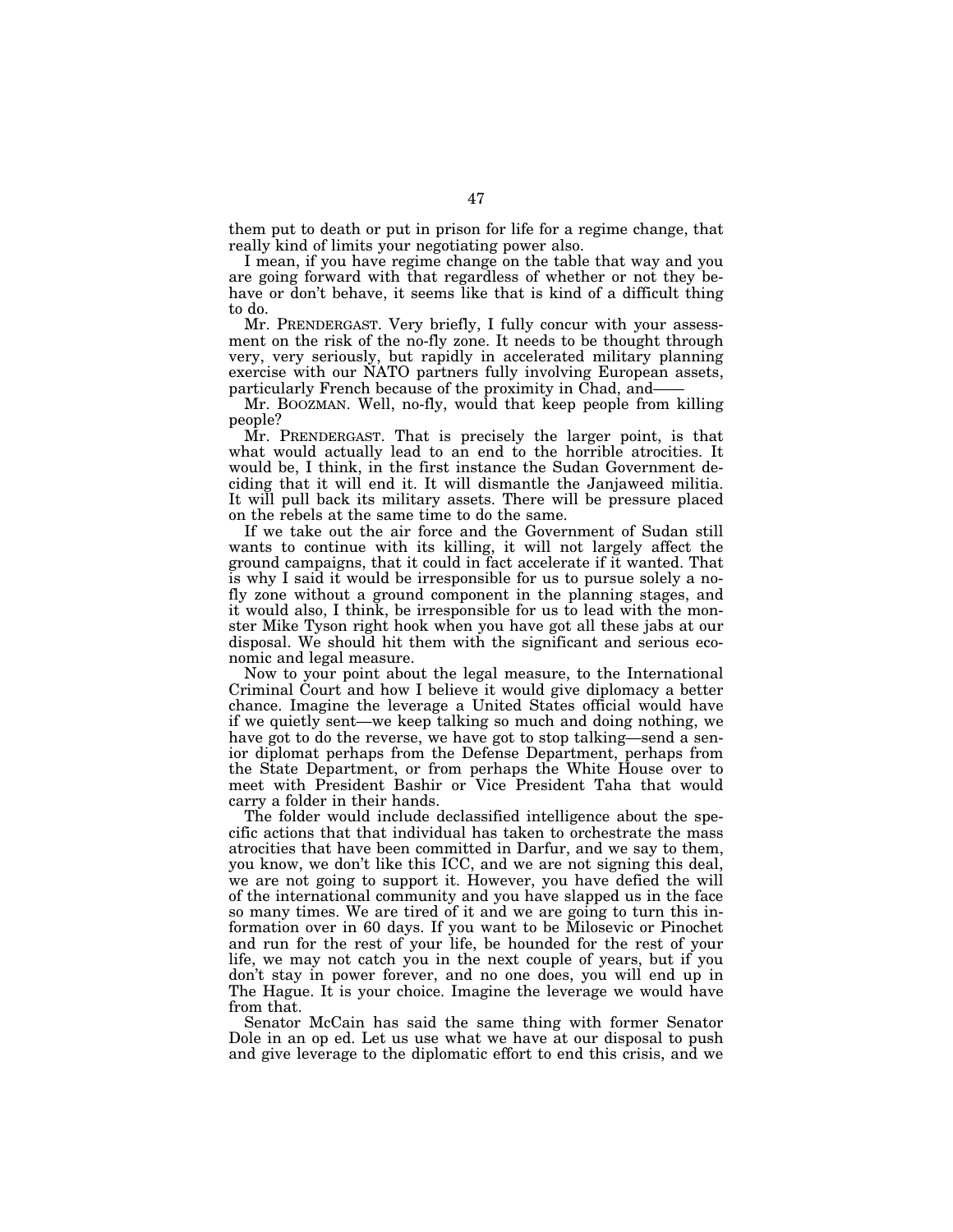them put to death or put in prison for life for a regime change, that really kind of limits your negotiating power also.

I mean, if you have regime change on the table that way and you are going forward with that regardless of whether or not they behave or don't behave, it seems like that is kind of a difficult thing to do.

Mr. PRENDERGAST. Very briefly, I fully concur with your assessment on the risk of the no-fly zone. It needs to be thought through very, very seriously, but rapidly in accelerated military planning exercise with our NATO partners fully involving European assets, particularly French because of the proximity in Chad, and——

Mr. BOOZMAN. Well, no-fly, would that keep people from killing people?

Mr. PRENDERGAST. That is precisely the larger point, is that what would actually lead to an end to the horrible atrocities. It would be, I think, in the first instance the Sudan Government deciding that it will end it. It will dismantle the Janjaweed militia. It will pull back its military assets. There will be pressure placed on the rebels at the same time to do the same.

If we take out the air force and the Government of Sudan still wants to continue with its killing, it will not largely affect the ground campaigns, that it could in fact accelerate if it wanted. That is why I said it would be irresponsible for us to pursue solely a nofly zone without a ground component in the planning stages, and it would also, I think, be irresponsible for us to lead with the monster Mike Tyson right hook when you have got all these jabs at our disposal. We should hit them with the significant and serious economic and legal measure.

Now to your point about the legal measure, to the International Criminal Court and how I believe it would give diplomacy a better chance. Imagine the leverage a United States official would have if we quietly sent—we keep talking so much and doing nothing, we have got to do the reverse, we have got to stop talking—send a senior diplomat perhaps from the Defense Department, perhaps from the State Department, or from perhaps the White House over to meet with President Bashir or Vice President Taha that would carry a folder in their hands.

The folder would include declassified intelligence about the specific actions that that individual has taken to orchestrate the mass atrocities that have been committed in Darfur, and we say to them, you know, we don't like this ICC, and we are not signing this deal, we are not going to support it. However, you have defied the will of the international community and you have slapped us in the face so many times. We are tired of it and we are going to turn this information over in 60 days. If you want to be Milosevic or Pinochet and run for the rest of your life, be hounded for the rest of your life, we may not catch you in the next couple of years, but if you don't stay in power forever, and no one does, you will end up in The Hague. It is your choice. Imagine the leverage we would have from that.

Senator McCain has said the same thing with former Senator Dole in an op ed. Let us use what we have at our disposal to push and give leverage to the diplomatic effort to end this crisis, and we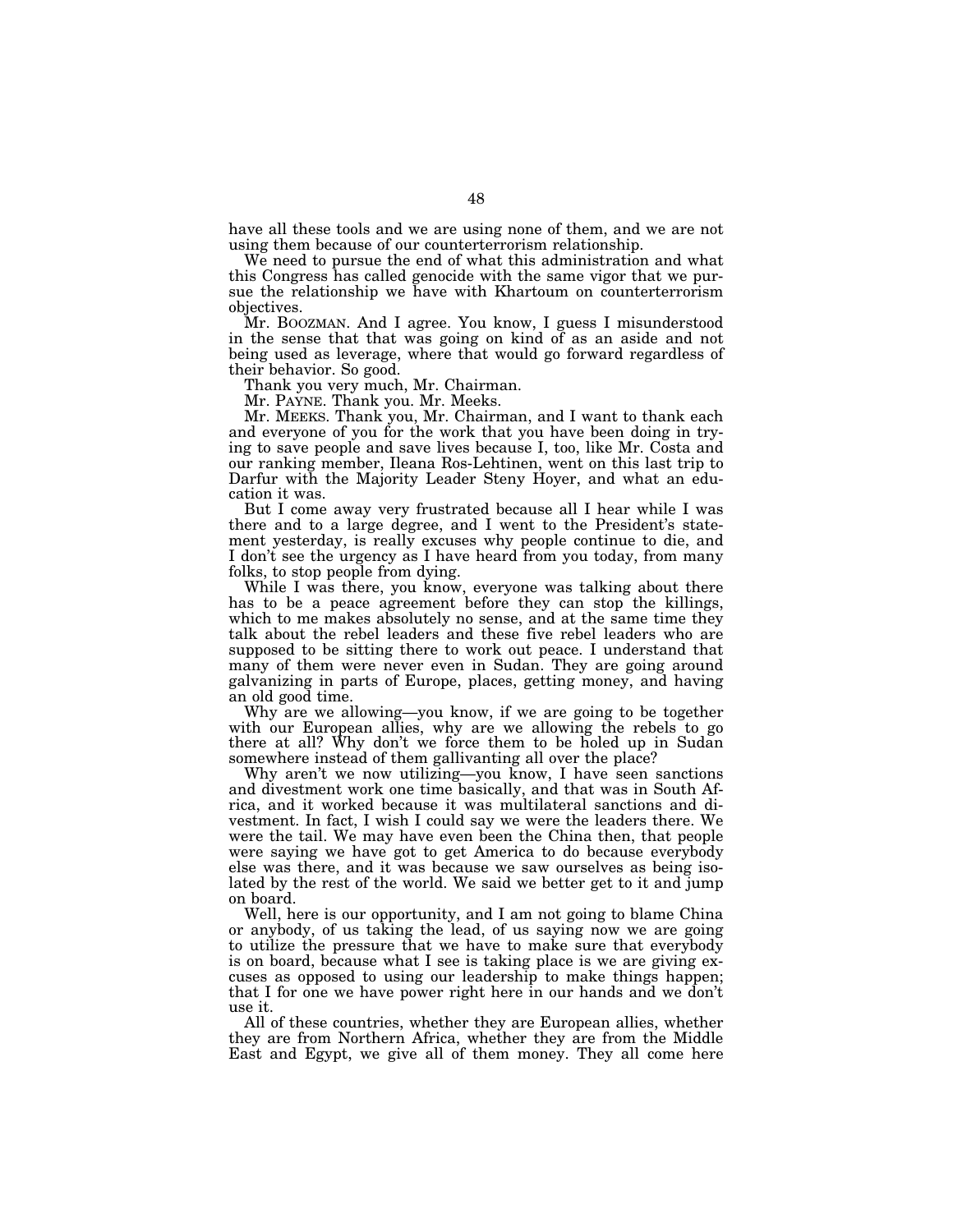have all these tools and we are using none of them, and we are not using them because of our counterterrorism relationship.

We need to pursue the end of what this administration and what this Congress has called genocide with the same vigor that we pursue the relationship we have with Khartoum on counterterrorism objectives.

Mr. BOOZMAN. And I agree. You know, I guess I misunderstood in the sense that that was going on kind of as an aside and not being used as leverage, where that would go forward regardless of their behavior. So good.

Thank you very much, Mr. Chairman.

Mr. PAYNE. Thank you. Mr. Meeks.

Mr. MEEKS. Thank you, Mr. Chairman, and I want to thank each and everyone of you for the work that you have been doing in trying to save people and save lives because I, too, like Mr. Costa and our ranking member, Ileana Ros-Lehtinen, went on this last trip to Darfur with the Majority Leader Steny Hoyer, and what an education it was.

But I come away very frustrated because all I hear while I was there and to a large degree, and I went to the President's statement yesterday, is really excuses why people continue to die, and I don't see the urgency as I have heard from you today, from many folks, to stop people from dying.

While I was there, you know, everyone was talking about there has to be a peace agreement before they can stop the killings, which to me makes absolutely no sense, and at the same time they talk about the rebel leaders and these five rebel leaders who are supposed to be sitting there to work out peace. I understand that many of them were never even in Sudan. They are going around galvanizing in parts of Europe, places, getting money, and having an old good time.

Why are we allowing—you know, if we are going to be together with our European allies, why are we allowing the rebels to go there at all? Why don't we force them to be holed up in Sudan somewhere instead of them gallivanting all over the place?

Why aren't we now utilizing—you know, I have seen sanctions and divestment work one time basically, and that was in South Africa, and it worked because it was multilateral sanctions and divestment. In fact, I wish I could say we were the leaders there. We were the tail. We may have even been the China then, that people were saying we have got to get America to do because everybody else was there, and it was because we saw ourselves as being isolated by the rest of the world. We said we better get to it and jump on board.

Well, here is our opportunity, and I am not going to blame China or anybody, of us taking the lead, of us saying now we are going to utilize the pressure that we have to make sure that everybody is on board, because what I see is taking place is we are giving excuses as opposed to using our leadership to make things happen; that I for one we have power right here in our hands and we don't use it.

All of these countries, whether they are European allies, whether they are from Northern Africa, whether they are from the Middle East and Egypt, we give all of them money. They all come here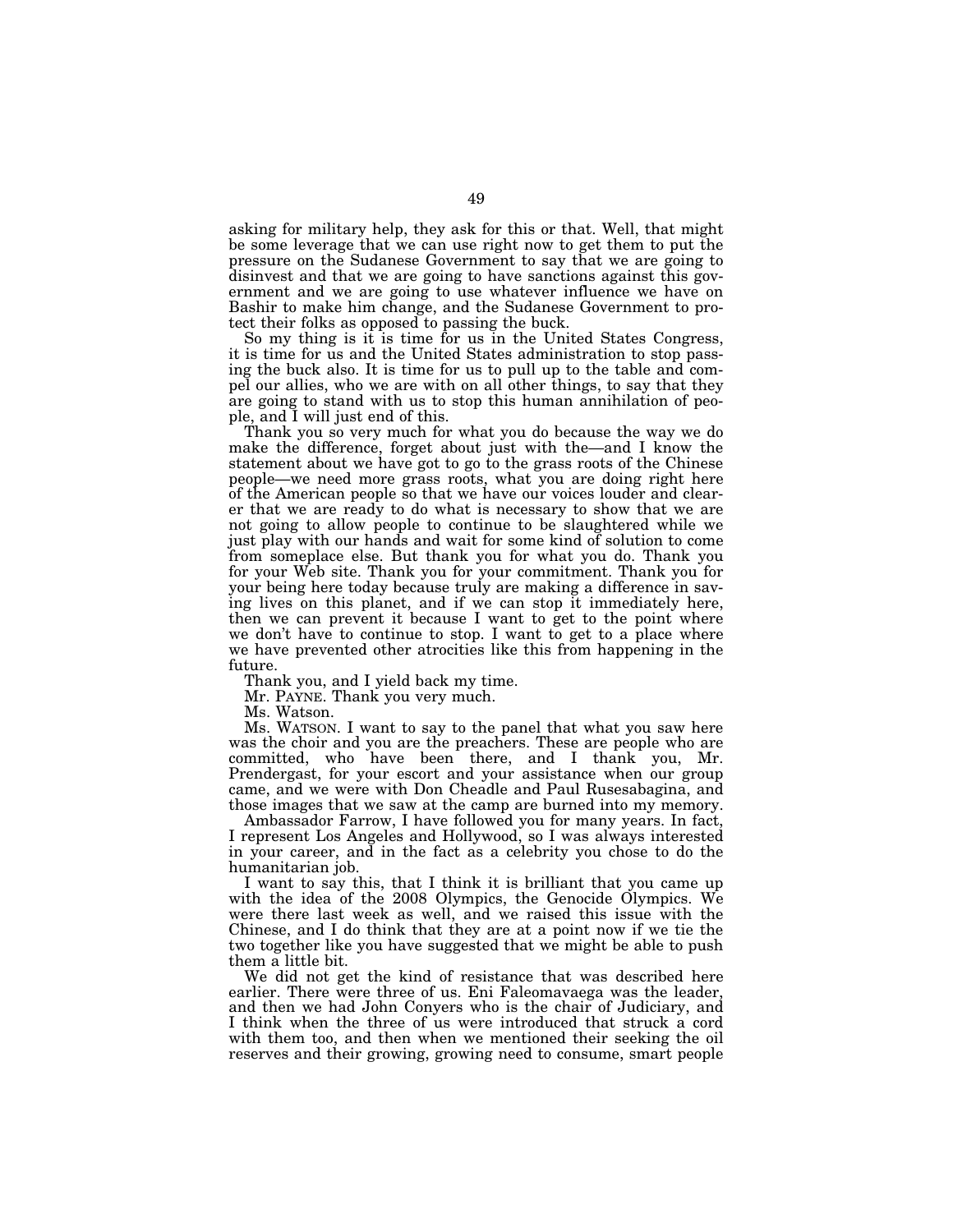asking for military help, they ask for this or that. Well, that might be some leverage that we can use right now to get them to put the pressure on the Sudanese Government to say that we are going to disinvest and that we are going to have sanctions against this government and we are going to use whatever influence we have on Bashir to make him change, and the Sudanese Government to protect their folks as opposed to passing the buck.

So my thing is it is time for us in the United States Congress, it is time for us and the United States administration to stop passing the buck also. It is time for us to pull up to the table and compel our allies, who we are with on all other things, to say that they are going to stand with us to stop this human annihilation of people, and I will just end of this.

Thank you so very much for what you do because the way we do make the difference, forget about just with the—and I know the statement about we have got to go to the grass roots of the Chinese people—we need more grass roots, what you are doing right here of the American people so that we have our voices louder and clearer that we are ready to do what is necessary to show that we are not going to allow people to continue to be slaughtered while we just play with our hands and wait for some kind of solution to come from someplace else. But thank you for what you do. Thank you for your Web site. Thank you for your commitment. Thank you for your being here today because truly are making a difference in saving lives on this planet, and if we can stop it immediately here, then we can prevent it because I want to get to the point where we don't have to continue to stop. I want to get to a place where we have prevented other atrocities like this from happening in the future.

Thank you, and I yield back my time.

Mr. PAYNE. Thank you very much.

Ms. Watson.

Ms. WATSON. I want to say to the panel that what you saw here was the choir and you are the preachers. These are people who are committed, who have been there, and I thank you, Mr. Prendergast, for your escort and your assistance when our group came, and we were with Don Cheadle and Paul Rusesabagina, and those images that we saw at the camp are burned into my memory.

Ambassador Farrow, I have followed you for many years. In fact, I represent Los Angeles and Hollywood, so I was always interested in your career, and in the fact as a celebrity you chose to do the humanitarian job.

I want to say this, that I think it is brilliant that you came up with the idea of the 2008 Olympics, the Genocide Olympics. We were there last week as well, and we raised this issue with the Chinese, and I do think that they are at a point now if we tie the two together like you have suggested that we might be able to push them a little bit.

We did not get the kind of resistance that was described here earlier. There were three of us. Eni Faleomavaega was the leader, and then we had John Conyers who is the chair of Judiciary, and I think when the three of us were introduced that struck a cord with them too, and then when we mentioned their seeking the oil reserves and their growing, growing need to consume, smart people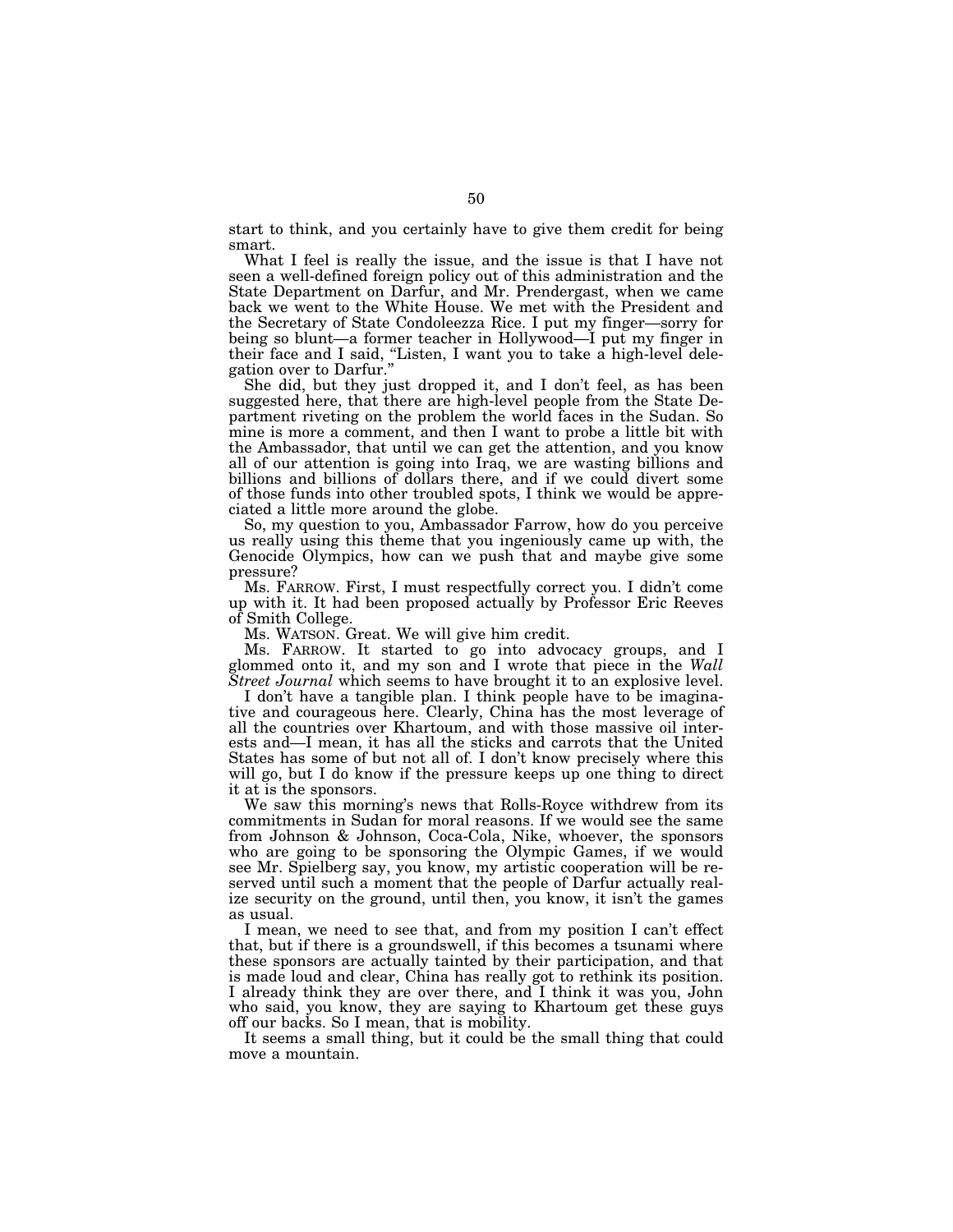start to think, and you certainly have to give them credit for being smart.

What I feel is really the issue, and the issue is that I have not seen a well-defined foreign policy out of this administration and the State Department on Darfur, and Mr. Prendergast, when we came back we went to the White House. We met with the President and the Secretary of State Condoleezza Rice. I put my finger—sorry for being so blunt—a former teacher in Hollywood—I put my finger in their face and I said, ''Listen, I want you to take a high-level delegation over to Darfur.''

She did, but they just dropped it, and I don't feel, as has been suggested here, that there are high-level people from the State Department riveting on the problem the world faces in the Sudan. So mine is more a comment, and then I want to probe a little bit with the Ambassador, that until we can get the attention, and you know all of our attention is going into Iraq, we are wasting billions and billions and billions of dollars there, and if we could divert some of those funds into other troubled spots, I think we would be appreciated a little more around the globe.

So, my question to you, Ambassador Farrow, how do you perceive us really using this theme that you ingeniously came up with, the Genocide Olympics, how can we push that and maybe give some pressure?

Ms. FARROW. First, I must respectfully correct you. I didn't come up with it. It had been proposed actually by Professor Eric Reeves of Smith College.

Ms. WATSON. Great. We will give him credit.

Ms. FARROW. It started to go into advocacy groups, and I glommed onto it, and my son and I wrote that piece in the *Wall Street Journal* which seems to have brought it to an explosive level.

I don't have a tangible plan. I think people have to be imaginative and courageous here. Clearly, China has the most leverage of all the countries over Khartoum, and with those massive oil interests and—I mean, it has all the sticks and carrots that the United States has some of but not all of. I don't know precisely where this will go, but I do know if the pressure keeps up one thing to direct it at is the sponsors.

We saw this morning's news that Rolls-Royce withdrew from its commitments in Sudan for moral reasons. If we would see the same from Johnson & Johnson, Coca-Cola, Nike, whoever, the sponsors who are going to be sponsoring the Olympic Games, if we would see Mr. Spielberg say, you know, my artistic cooperation will be reserved until such a moment that the people of Darfur actually realize security on the ground, until then, you know, it isn't the games as usual.

I mean, we need to see that, and from my position I can't effect that, but if there is a groundswell, if this becomes a tsunami where these sponsors are actually tainted by their participation, and that is made loud and clear, China has really got to rethink its position. I already think they are over there, and I think it was you, John who said, you know, they are saying to Khartoum get these guys off our backs. So I mean, that is mobility.

It seems a small thing, but it could be the small thing that could move a mountain.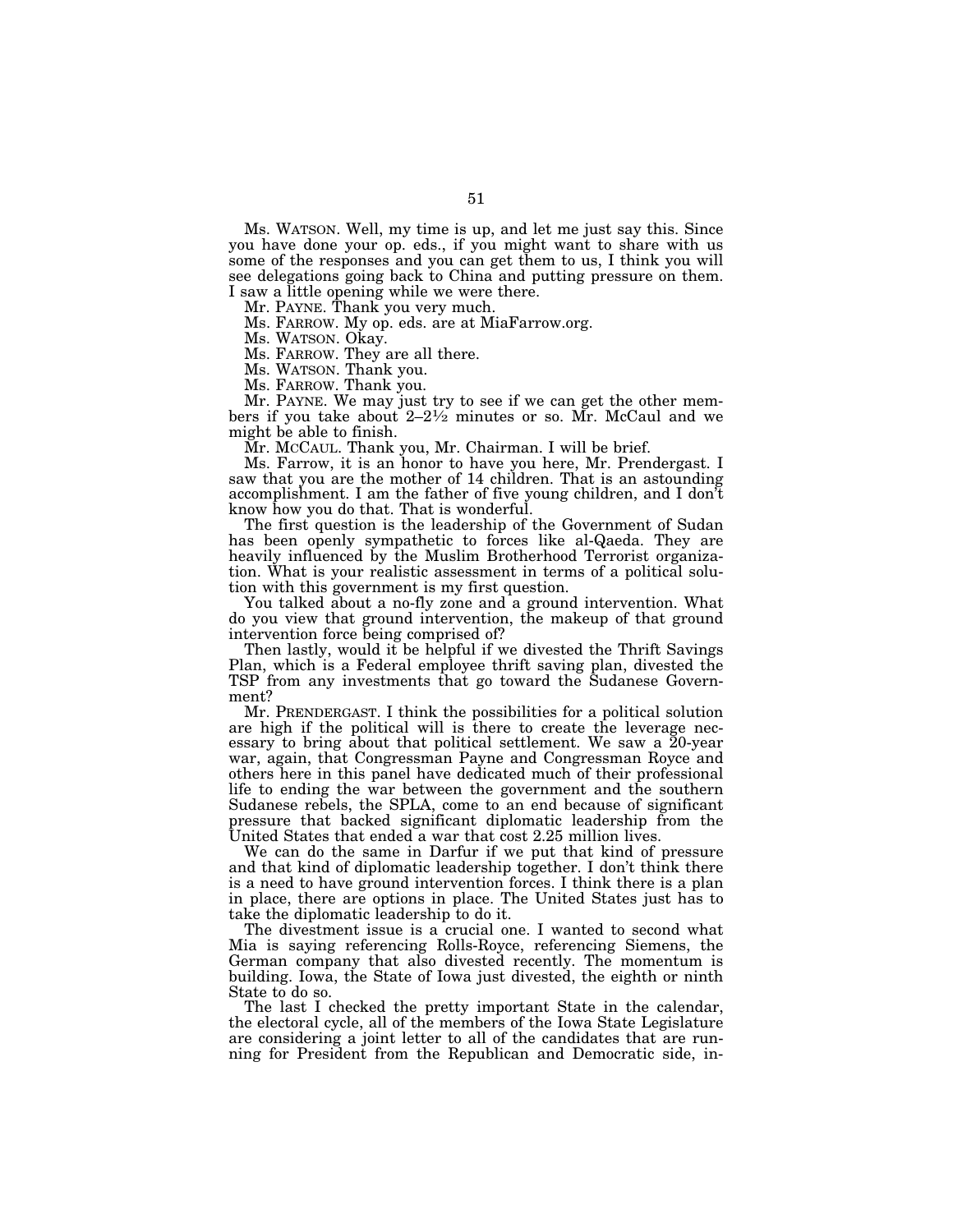Ms. WATSON. Well, my time is up, and let me just say this. Since you have done your op. eds., if you might want to share with us some of the responses and you can get them to us, I think you will see delegations going back to China and putting pressure on them. I saw a little opening while we were there.

Mr. PAYNE. Thank you very much.

Ms. FARROW. My op. eds. are at MiaFarrow.org.

Ms. WATSON. Okay.

Ms. FARROW. They are all there.

Ms. WATSON. Thank you.

Ms. FARROW. Thank you.

Mr. PAYNE. We may just try to see if we can get the other members if you take about  $2-2\frac{1}{2}$  minutes or so. Mr. McCaul and we might be able to finish.

Mr. MCCAUL. Thank you, Mr. Chairman. I will be brief.

Ms. Farrow, it is an honor to have you here, Mr. Prendergast. I saw that you are the mother of 14 children. That is an astounding accomplishment. I am the father of five young children, and I don't know how you do that. That is wonderful.

The first question is the leadership of the Government of Sudan has been openly sympathetic to forces like al-Qaeda. They are heavily influenced by the Muslim Brotherhood Terrorist organization. What is your realistic assessment in terms of a political solution with this government is my first question.

You talked about a no-fly zone and a ground intervention. What do you view that ground intervention, the makeup of that ground intervention force being comprised of?

Then lastly, would it be helpful if we divested the Thrift Savings Plan, which is a Federal employee thrift saving plan, divested the TSP from any investments that go toward the Sudanese Government?

Mr. PRENDERGAST. I think the possibilities for a political solution are high if the political will is there to create the leverage necessary to bring about that political settlement. We saw a  $20$ -year war, again, that Congressman Payne and Congressman Royce and others here in this panel have dedicated much of their professional life to ending the war between the government and the southern Sudanese rebels, the SPLA, come to an end because of significant pressure that backed significant diplomatic leadership from the United States that ended a war that cost 2.25 million lives.

We can do the same in Darfur if we put that kind of pressure and that kind of diplomatic leadership together. I don't think there is a need to have ground intervention forces. I think there is a plan in place, there are options in place. The United States just has to take the diplomatic leadership to do it.

The divestment issue is a crucial one. I wanted to second what Mia is saying referencing Rolls-Royce, referencing Siemens, the German company that also divested recently. The momentum is building. Iowa, the State of Iowa just divested, the eighth or ninth State to do so.

The last I checked the pretty important State in the calendar, the electoral cycle, all of the members of the Iowa State Legislature are considering a joint letter to all of the candidates that are running for President from the Republican and Democratic side, in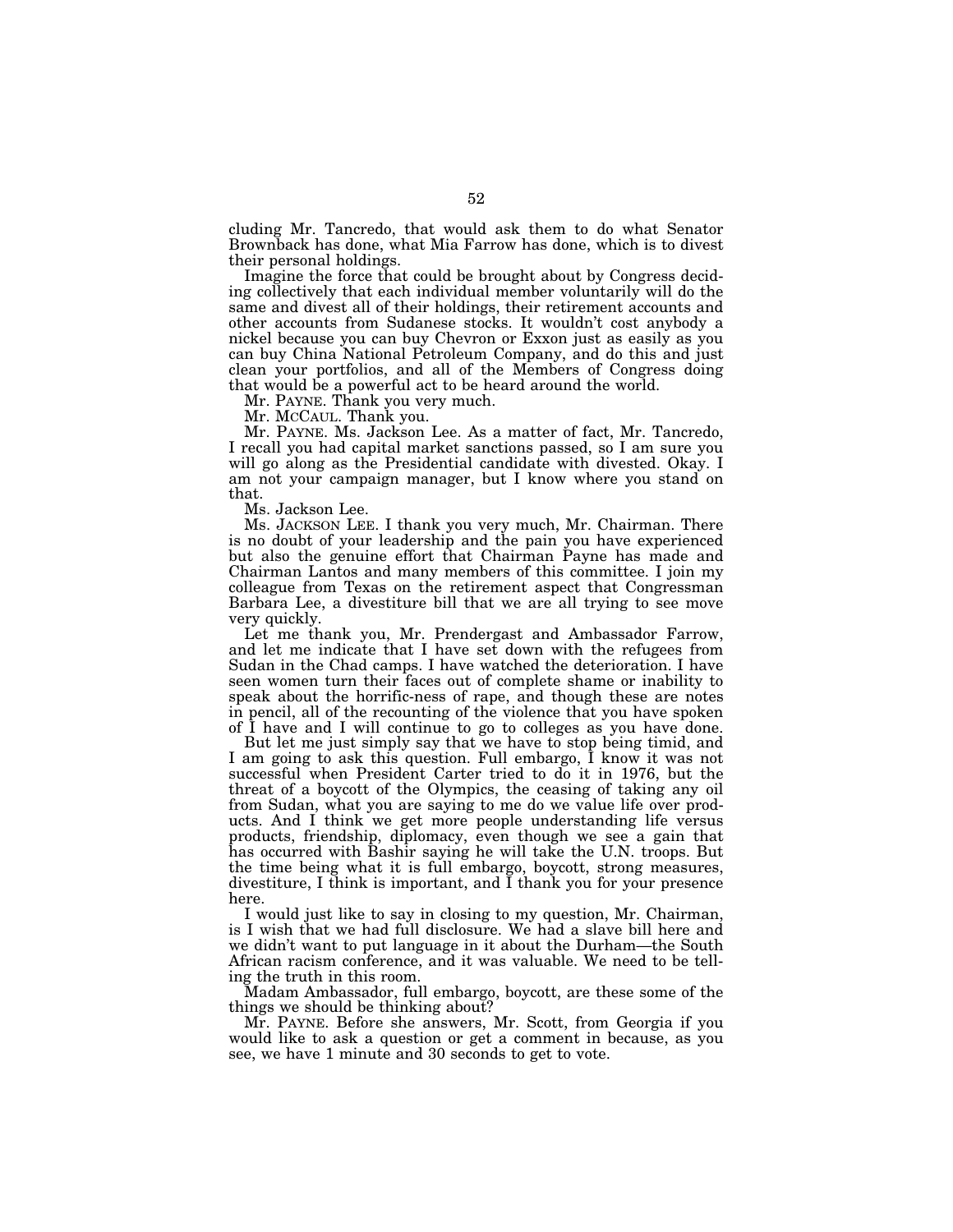cluding Mr. Tancredo, that would ask them to do what Senator Brownback has done, what Mia Farrow has done, which is to divest their personal holdings.

Imagine the force that could be brought about by Congress deciding collectively that each individual member voluntarily will do the same and divest all of their holdings, their retirement accounts and other accounts from Sudanese stocks. It wouldn't cost anybody a nickel because you can buy Chevron or Exxon just as easily as you can buy China National Petroleum Company, and do this and just clean your portfolios, and all of the Members of Congress doing that would be a powerful act to be heard around the world.

Mr. PAYNE. Thank you very much.

Mr. MCCAUL. Thank you.

Mr. PAYNE. Ms. Jackson Lee. As a matter of fact, Mr. Tancredo, I recall you had capital market sanctions passed, so I am sure you will go along as the Presidential candidate with divested. Okay. I am not your campaign manager, but I know where you stand on that.

Ms. Jackson Lee.

Ms. JACKSON LEE. I thank you very much, Mr. Chairman. There is no doubt of your leadership and the pain you have experienced but also the genuine effort that Chairman Payne has made and Chairman Lantos and many members of this committee. I join my colleague from Texas on the retirement aspect that Congressman Barbara Lee, a divestiture bill that we are all trying to see move very quickly.

Let me thank you, Mr. Prendergast and Ambassador Farrow, and let me indicate that I have set down with the refugees from Sudan in the Chad camps. I have watched the deterioration. I have seen women turn their faces out of complete shame or inability to speak about the horrific-ness of rape, and though these are notes in pencil, all of the recounting of the violence that you have spoken of I have and I will continue to go to colleges as you have done.

But let me just simply say that we have to stop being timid, and I am going to ask this question. Full embargo, I know it was not successful when President Carter tried to do it in 1976, but the threat of a boycott of the Olympics, the ceasing of taking any oil from Sudan, what you are saying to me do we value life over products. And I think we get more people understanding life versus products, friendship, diplomacy, even though we see a gain that has occurred with Bashir saying he will take the U.N. troops. But the time being what it is full embargo, boycott, strong measures, divestiture, I think is important, and  $\overline{I}$  thank you for your presence here.

I would just like to say in closing to my question, Mr. Chairman, is I wish that we had full disclosure. We had a slave bill here and we didn't want to put language in it about the Durham—the South African racism conference, and it was valuable. We need to be telling the truth in this room.

Madam Ambassador, full embargo, boycott, are these some of the things we should be thinking about?

Mr. PAYNE. Before she answers, Mr. Scott, from Georgia if you would like to ask a question or get a comment in because, as you see, we have 1 minute and 30 seconds to get to vote.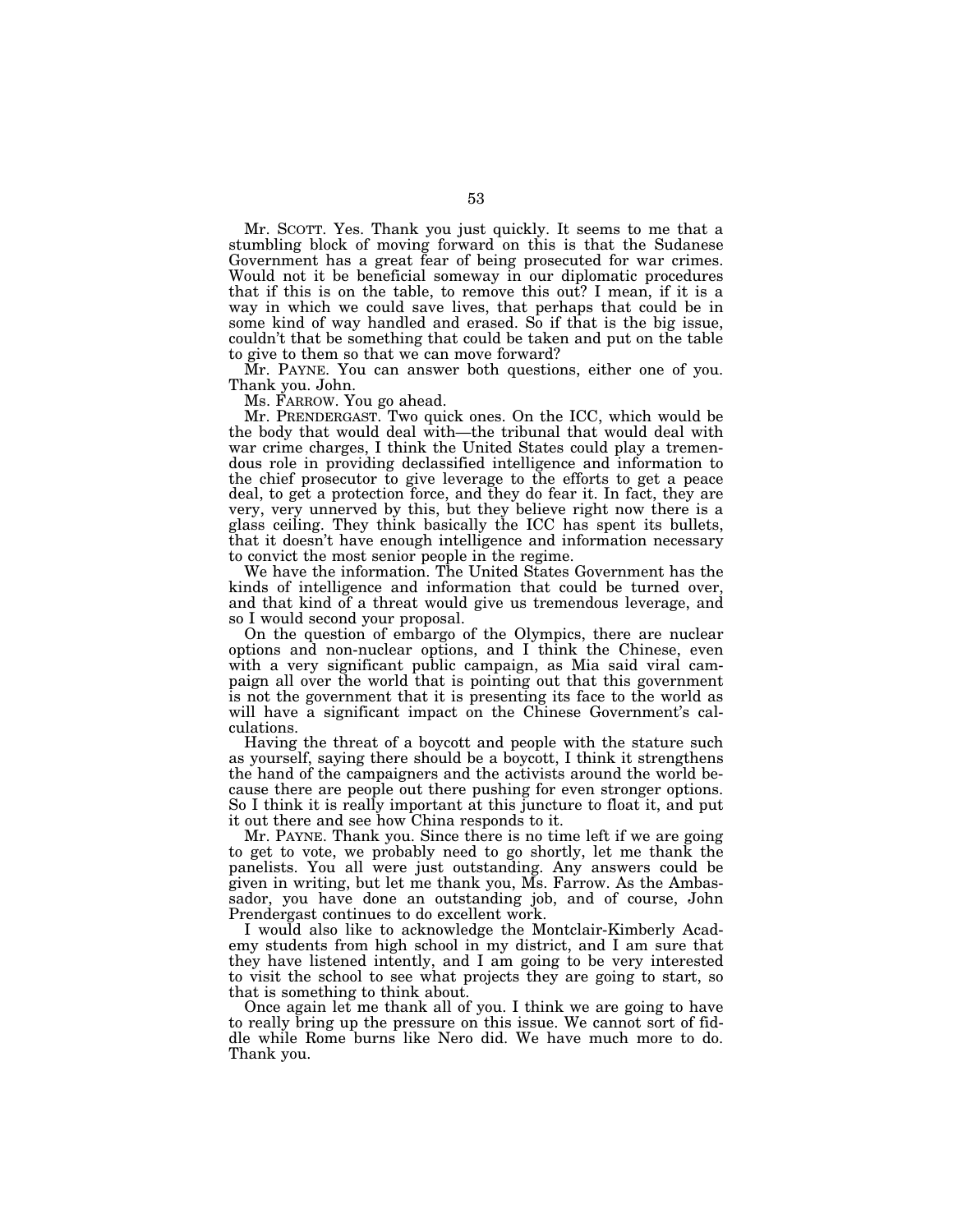Mr. SCOTT. Yes. Thank you just quickly. It seems to me that a stumbling block of moving forward on this is that the Sudanese Government has a great fear of being prosecuted for war crimes. Would not it be beneficial someway in our diplomatic procedures that if this is on the table, to remove this out? I mean, if it is a way in which we could save lives, that perhaps that could be in some kind of way handled and erased. So if that is the big issue, couldn't that be something that could be taken and put on the table to give to them so that we can move forward?

Mr. PAYNE. You can answer both questions, either one of you. Thank you. John.

Ms. FARROW. You go ahead.

Mr. PRENDERGAST. Two quick ones. On the ICC, which would be the body that would deal with—the tribunal that would deal with war crime charges, I think the United States could play a tremendous role in providing declassified intelligence and information to the chief prosecutor to give leverage to the efforts to get a peace deal, to get a protection force, and they do fear it. In fact, they are very, very unnerved by this, but they believe right now there is a glass ceiling. They think basically the ICC has spent its bullets, that it doesn't have enough intelligence and information necessary to convict the most senior people in the regime.

We have the information. The United States Government has the kinds of intelligence and information that could be turned over, and that kind of a threat would give us tremendous leverage, and so I would second your proposal.

On the question of embargo of the Olympics, there are nuclear options and non-nuclear options, and I think the Chinese, even with a very significant public campaign, as Mia said viral campaign all over the world that is pointing out that this government is not the government that it is presenting its face to the world as will have a significant impact on the Chinese Government's calculations.

Having the threat of a boycott and people with the stature such as yourself, saying there should be a boycott, I think it strengthens the hand of the campaigners and the activists around the world because there are people out there pushing for even stronger options. So I think it is really important at this juncture to float it, and put it out there and see how China responds to it.

Mr. PAYNE. Thank you. Since there is no time left if we are going to get to vote, we probably need to go shortly, let me thank the panelists. You all were just outstanding. Any answers could be given in writing, but let me thank you, Ms. Farrow. As the Ambassador, you have done an outstanding job, and of course, John Prendergast continues to do excellent work.

I would also like to acknowledge the Montclair-Kimberly Academy students from high school in my district, and I am sure that they have listened intently, and I am going to be very interested to visit the school to see what projects they are going to start, so that is something to think about.

Once again let me thank all of you. I think we are going to have to really bring up the pressure on this issue. We cannot sort of fiddle while Rome burns like Nero did. We have much more to do. Thank you.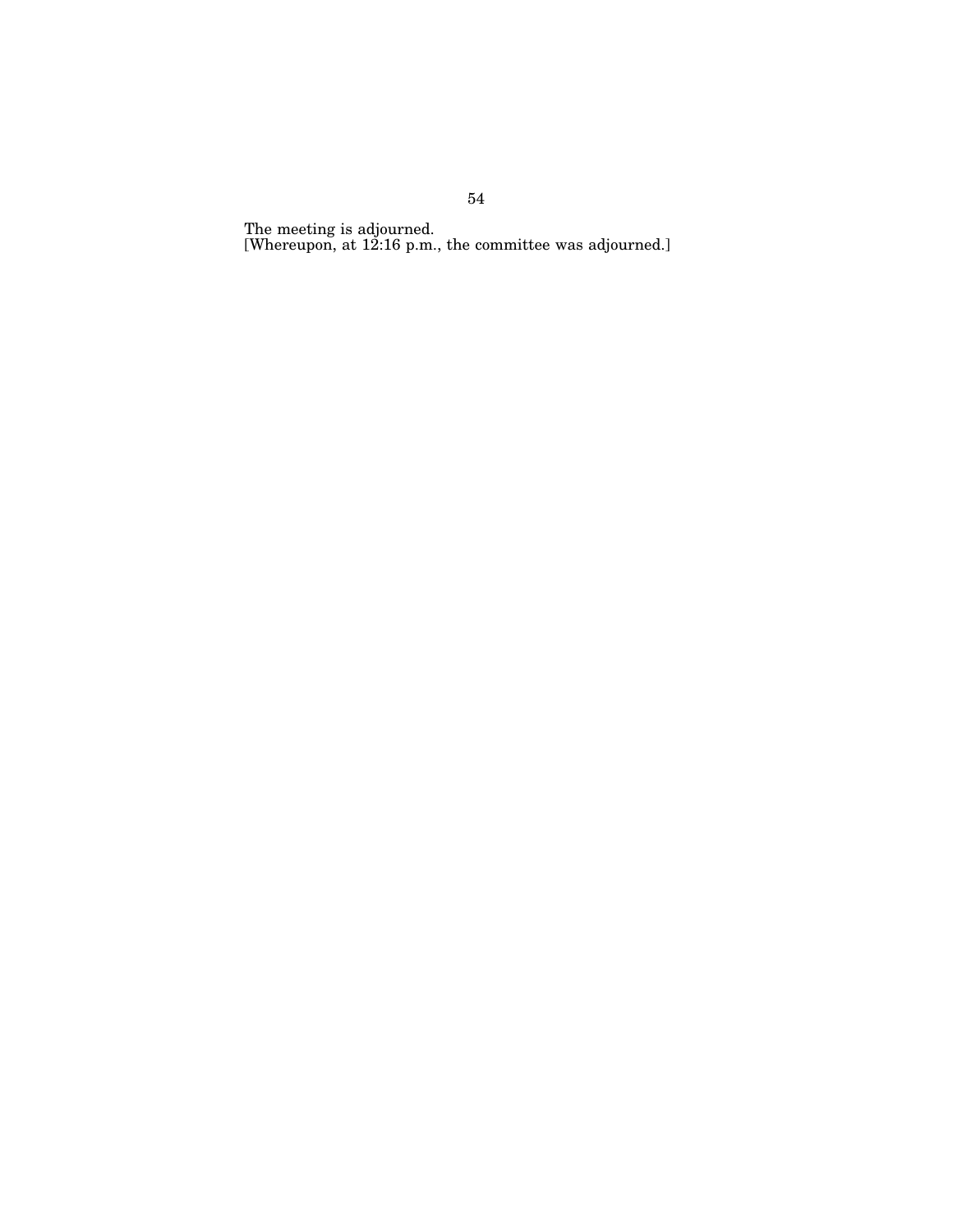The meeting is adjourned.

[Whereupon, at 12:16 p.m., the committee was adjourned.]